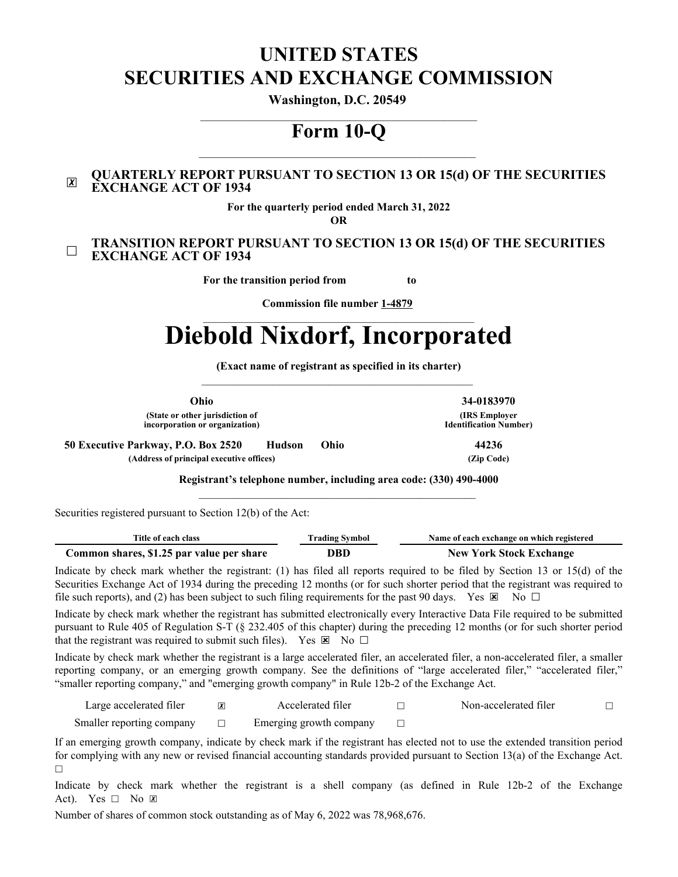# **UNITED STATES SECURITIES AND EXCHANGE COMMISSION**

**Washington, D.C. 20549**

# $\mathcal{L}_\text{max}$  and  $\mathcal{L}_\text{max}$  and  $\mathcal{L}_\text{max}$  and  $\mathcal{L}_\text{max}$  and  $\mathcal{L}_\text{max}$ **Form 10-Q**

#### $|\boldsymbol{\chi}|$ **QUARTERLY REPORT PURSUANT TO SECTION 13 OR 15(d) OF THE SECURITIES EXCHANGE ACT OF 1934**

**For the quarterly period ended March 31, 2022**

**OR**

#### ☐ **TRANSITION REPORT PURSUANT TO SECTION 13 OR 15(d) OF THE SECURITIES EXCHANGE ACT OF 1934**

**For the transition period from to** 

**Commission file number 1-4879**

# **Diebold Nixdorf, Incorporated**

**(Exact name of registrant as specified in its charter)**

**Ohio 34-0183970**

**(IRS Employer Identification Number)**

| Ohio                                                              |       | 34-01839                              |
|-------------------------------------------------------------------|-------|---------------------------------------|
| (State or other jurisdiction of<br>incorporation or organization) |       | (IRS Emple<br><b>Identification N</b> |
| 50 Executive Parkway, P.O. Box 2520<br><b>Hudson</b>              | (Ohio | 44236                                 |

**(Address of principal executive offices) (Zip Code)**

**Registrant's telephone number, including area code: (330) 490-4000**  $\mathcal{L}_\text{max}$  and  $\mathcal{L}_\text{max}$  and  $\mathcal{L}_\text{max}$  and  $\mathcal{L}_\text{max}$  and  $\mathcal{L}_\text{max}$ 

Securities registered pursuant to Section 12(b) of the Act:

| Title of each class                       | <b>Trading Symbol</b> | Name of each exchange on which registered |  |  |  |  |  |
|-------------------------------------------|-----------------------|-------------------------------------------|--|--|--|--|--|
| Common shares, \$1.25 par value per share | DBD                   | <b>New York Stock Exchange</b>            |  |  |  |  |  |

Indicate by check mark whether the registrant: (1) has filed all reports required to be filed by Section 13 or 15(d) of the Securities Exchange Act of 1934 during the preceding 12 months (or for such shorter period that the registrant was required to file such reports), and (2) has been subject to such filing requirements for the past 90 days. Yes  $\boxtimes$  No  $\Box$ 

Indicate by check mark whether the registrant has submitted electronically every Interactive Data File required to be submitted pursuant to Rule 405 of Regulation S-T (§ 232.405 of this chapter) during the preceding 12 months (or for such shorter period that the registrant was required to submit such files). Yes  $\boxtimes$  No  $\Box$ 

Indicate by check mark whether the registrant is a large accelerated filer, an accelerated filer, a non-accelerated filer, a smaller reporting company, or an emerging growth company. See the definitions of "large accelerated filer," "accelerated filer," "smaller reporting company," and "emerging growth company" in Rule 12b-2 of the Exchange Act.

| Large accelerated filer   | Accelerated filer       | Non-accelerated filer |  |
|---------------------------|-------------------------|-----------------------|--|
| Smaller reporting company | Emerging growth company |                       |  |

If an emerging growth company, indicate by check mark if the registrant has elected not to use the extended transition period for complying with any new or revised financial accounting standards provided pursuant to Section 13(a) of the Exchange Act. ☐

Indicate by check mark whether the registrant is a shell company (as defined in Rule 12b-2 of the Exchange Act). Yes  $\Box$  No  $\Box$ 

Number of shares of common stock outstanding as of May 6, 2022 was 78,968,676.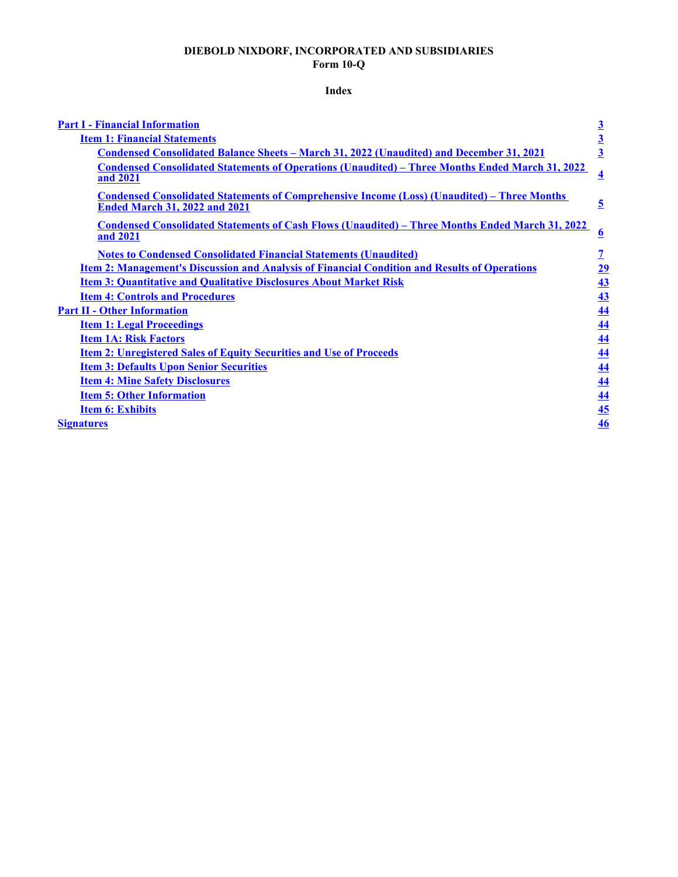# **DIEBOLD NIXDORF, INCORPORATED AND SUBSIDIARIES Form 10-Q**

# **Index**

<span id="page-1-0"></span>

| <b>Part I - Financial Information</b>                                                                                                      | $\overline{\mathbf{3}}$ |
|--------------------------------------------------------------------------------------------------------------------------------------------|-------------------------|
| <b>Item 1: Financial Statements</b>                                                                                                        | $\overline{\mathbf{3}}$ |
| <b>Condensed Consolidated Balance Sheets - March 31, 2022 (Unaudited) and December 31, 2021</b>                                            | $\overline{3}$          |
| <b>Condensed Consolidated Statements of Operations (Unaudited) – Three Months Ended March 31, 2022</b><br>and 2021                         | $\overline{\mathbf{4}}$ |
| <b>Condensed Consolidated Statements of Comprehensive Income (Loss) (Unaudited) – Three Months</b><br><b>Ended March 31, 2022 and 2021</b> | $\overline{5}$          |
| <u><b>Condensed Consolidated Statements of Cash Flows (Unaudited) – Three Months Ended March 31, 2022</b></u><br>and 2021                  | $\overline{\mathbf{6}}$ |
| <b>Notes to Condensed Consolidated Financial Statements (Unaudited)</b>                                                                    | $\overline{1}$          |
| <b>Item 2: Management's Discussion and Analysis of Financial Condition and Results of Operations</b>                                       | <u> 29</u>              |
| <b>Item 3: Quantitative and Qualitative Disclosures About Market Risk</b>                                                                  | 43                      |
| <b>Item 4: Controls and Procedures</b>                                                                                                     | 43                      |
| <b>Part II - Other Information</b>                                                                                                         | 44                      |
| <b>Item 1: Legal Proceedings</b>                                                                                                           | 44                      |
| <b>Item 1A: Risk Factors</b>                                                                                                               | 44                      |
| <b>Item 2: Unregistered Sales of Equity Securities and Use of Proceeds</b>                                                                 | 44                      |
| <b>Item 3: Defaults Upon Senior Securities</b>                                                                                             | 44                      |
| <b>Item 4: Mine Safety Disclosures</b>                                                                                                     | 44                      |
| <b>Item 5: Other Information</b>                                                                                                           | 44                      |
| <b>Item 6: Exhibits</b>                                                                                                                    | 45                      |
| <b>Signatures</b>                                                                                                                          | 46                      |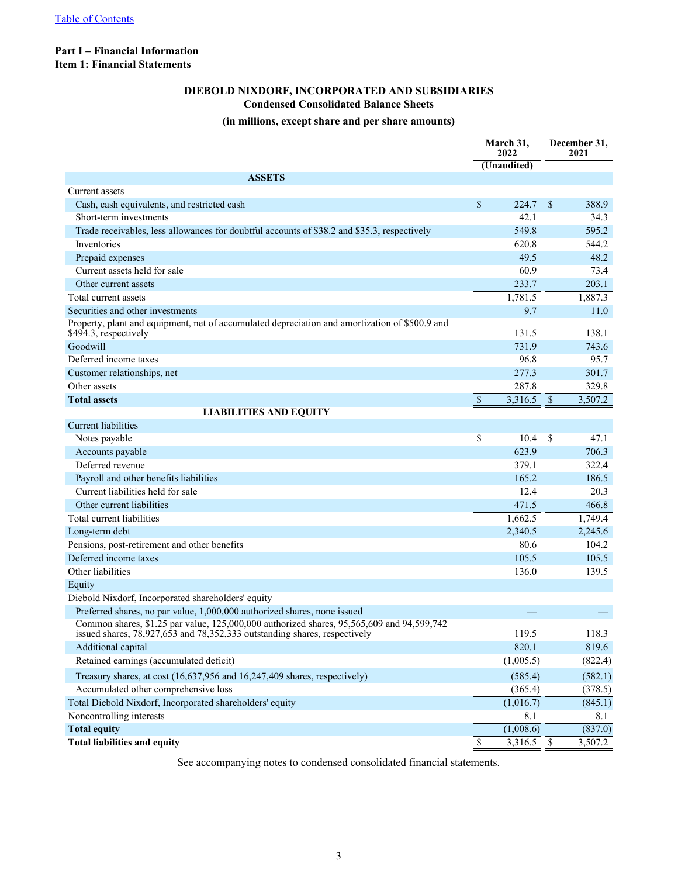#### <span id="page-2-0"></span>**Part I – Financial Information Item 1: Financial Statements**

# **DIEBOLD NIXDORF, INCORPORATED AND SUBSIDIARIES Condensed Consolidated Balance Sheets**

#### **(in millions, except share and per share amounts)**

|                                                                                                                                                                            | March 31,<br>2022<br>(Unaudited) |           |                          | December 31.<br>2021 |
|----------------------------------------------------------------------------------------------------------------------------------------------------------------------------|----------------------------------|-----------|--------------------------|----------------------|
| <b>ASSETS</b>                                                                                                                                                              |                                  |           |                          |                      |
| Current assets                                                                                                                                                             |                                  |           |                          |                      |
| Cash, cash equivalents, and restricted cash                                                                                                                                | \$                               | 224.7     | \$                       | 388.9                |
| Short-term investments                                                                                                                                                     |                                  | 42.1      |                          | 34.3                 |
| Trade receivables, less allowances for doubtful accounts of \$38.2 and \$35.3, respectively                                                                                |                                  | 549.8     |                          | 595.2                |
| Inventories                                                                                                                                                                |                                  | 620.8     |                          | 544.2                |
| Prepaid expenses                                                                                                                                                           |                                  | 49.5      |                          | 48.2                 |
| Current assets held for sale                                                                                                                                               |                                  | 60.9      |                          | 73.4                 |
| Other current assets                                                                                                                                                       |                                  | 233.7     |                          | 203.1                |
| Total current assets                                                                                                                                                       |                                  | 1,781.5   |                          | 1,887.3              |
| Securities and other investments                                                                                                                                           |                                  | 9.7       |                          | 11.0                 |
| Property, plant and equipment, net of accumulated depreciation and amortization of \$500.9 and<br>\$494.3, respectively                                                    |                                  | 131.5     |                          | 138.1                |
| Goodwill                                                                                                                                                                   |                                  | 731.9     |                          | 743.6                |
| Deferred income taxes                                                                                                                                                      |                                  | 96.8      |                          | 95.7                 |
| Customer relationships, net                                                                                                                                                |                                  | 277.3     |                          | 301.7                |
| Other assets                                                                                                                                                               |                                  | 287.8     |                          | 329.8                |
| <b>Total assets</b>                                                                                                                                                        | $\overline{\$}$                  | 3,316.5   | $\overline{\mathcal{S}}$ | 3,507.2              |
| <b>LIABILITIES AND EQUITY</b>                                                                                                                                              |                                  |           |                          |                      |
| <b>Current liabilities</b>                                                                                                                                                 |                                  |           |                          |                      |
| Notes payable                                                                                                                                                              | \$                               | 10.4      | \$                       | 47.1                 |
| Accounts payable                                                                                                                                                           |                                  | 623.9     |                          | 706.3                |
| Deferred revenue                                                                                                                                                           |                                  | 379.1     |                          | 322.4                |
| Payroll and other benefits liabilities                                                                                                                                     |                                  | 165.2     |                          | 186.5                |
| Current liabilities held for sale                                                                                                                                          |                                  | 12.4      |                          | 20.3                 |
| Other current liabilities                                                                                                                                                  |                                  | 471.5     |                          | 466.8                |
| Total current liabilities                                                                                                                                                  |                                  | 1,662.5   |                          | 1,749.4              |
| Long-term debt                                                                                                                                                             |                                  | 2,340.5   |                          | 2,245.6              |
| Pensions, post-retirement and other benefits                                                                                                                               |                                  | 80.6      |                          | 104.2                |
| Deferred income taxes                                                                                                                                                      |                                  | 105.5     |                          | 105.5                |
| Other liabilities                                                                                                                                                          |                                  | 136.0     |                          | 139.5                |
| Equity                                                                                                                                                                     |                                  |           |                          |                      |
| Diebold Nixdorf, Incorporated shareholders' equity                                                                                                                         |                                  |           |                          |                      |
| Preferred shares, no par value, 1,000,000 authorized shares, none issued                                                                                                   |                                  |           |                          |                      |
| Common shares, \$1.25 par value, 125,000,000 authorized shares, 95,565,609 and 94,599,742<br>issued shares, $78,927,653$ and $78,352,333$ outstanding shares, respectively |                                  | 119.5     |                          | 118.3                |
| Additional capital                                                                                                                                                         |                                  | 820.1     |                          | 819.6                |
| Retained earnings (accumulated deficit)                                                                                                                                    |                                  | (1,005.5) |                          | (822.4)              |
| Treasury shares, at cost (16,637,956 and 16,247,409 shares, respectively)                                                                                                  |                                  | (585.4)   |                          | (582.1)              |
| Accumulated other comprehensive loss                                                                                                                                       |                                  | (365.4)   |                          | (378.5)              |
| Total Diebold Nixdorf, Incorporated shareholders' equity                                                                                                                   |                                  | (1,016.7) |                          | (845.1)              |
| Noncontrolling interests                                                                                                                                                   |                                  | 8.1       |                          | 8.1                  |
| <b>Total equity</b>                                                                                                                                                        |                                  | (1,008.6) |                          | (837.0)              |
| <b>Total liabilities and equity</b>                                                                                                                                        | $\overline{\$}$                  | 3,316.5   | $\overline{\$}$          | 3,507.2              |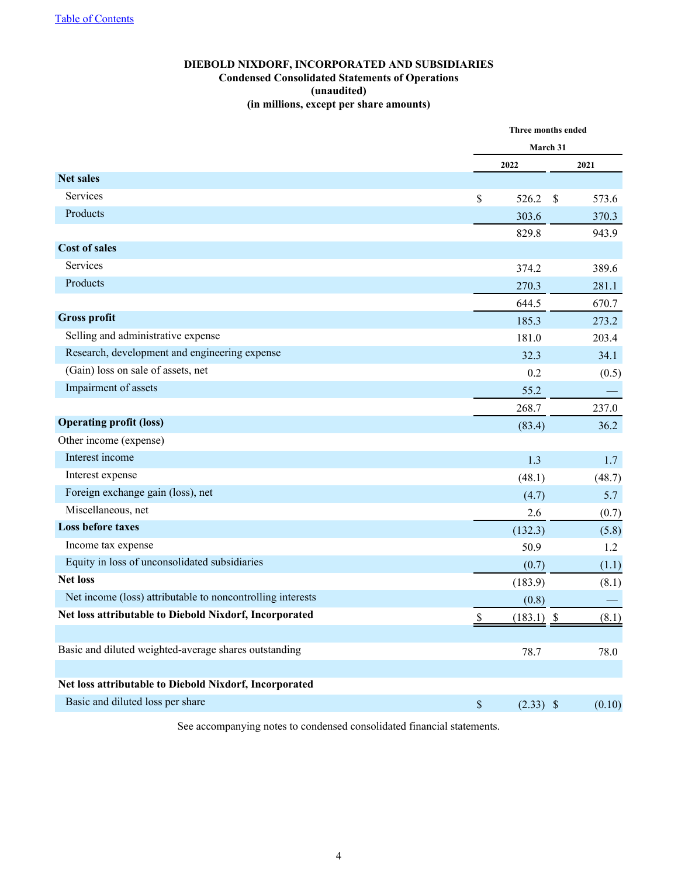# **DIEBOLD NIXDORF, INCORPORATED AND SUBSIDIARIES Condensed Consolidated Statements of Operations (unaudited) (in millions, except per share amounts)**

<span id="page-3-0"></span>

|                                                            |             | Three months ended |        |  |  |
|------------------------------------------------------------|-------------|--------------------|--------|--|--|
|                                                            |             | March 31           |        |  |  |
|                                                            | 2022        |                    | 2021   |  |  |
| <b>Net sales</b>                                           |             |                    |        |  |  |
| Services                                                   | \$<br>526.2 | $\mathbb{S}$       | 573.6  |  |  |
| Products                                                   | 303.6       |                    | 370.3  |  |  |
|                                                            | 829.8       |                    | 943.9  |  |  |
| <b>Cost of sales</b>                                       |             |                    |        |  |  |
| Services                                                   | 374.2       |                    | 389.6  |  |  |
| Products                                                   | 270.3       |                    | 281.1  |  |  |
|                                                            | 644.5       |                    | 670.7  |  |  |
| <b>Gross profit</b>                                        | 185.3       |                    | 273.2  |  |  |
| Selling and administrative expense                         | 181.0       |                    | 203.4  |  |  |
| Research, development and engineering expense              | 32.3        |                    | 34.1   |  |  |
| (Gain) loss on sale of assets, net                         |             | 0.2                | (0.5)  |  |  |
| Impairment of assets                                       | 55.2        |                    |        |  |  |
|                                                            | 268.7       |                    | 237.0  |  |  |
| <b>Operating profit (loss)</b>                             | (83.4)      |                    | 36.2   |  |  |
| Other income (expense)                                     |             |                    |        |  |  |
| Interest income                                            |             | 1.3                | 1.7    |  |  |
| Interest expense                                           | (48.1)      |                    | (48.7) |  |  |
| Foreign exchange gain (loss), net                          |             | (4.7)              | 5.7    |  |  |
| Miscellaneous, net                                         |             | 2.6                | (0.7)  |  |  |
| <b>Loss before taxes</b>                                   | (132.3)     |                    | (5.8)  |  |  |
| Income tax expense                                         | 50.9        |                    | 1.2    |  |  |
| Equity in loss of unconsolidated subsidiaries              |             | (0.7)              | (1.1)  |  |  |
| <b>Net loss</b>                                            | (183.9)     |                    | (8.1)  |  |  |
| Net income (loss) attributable to noncontrolling interests |             | (0.8)              |        |  |  |
| Net loss attributable to Diebold Nixdorf, Incorporated     | \$          | $(183.1)$ \$       | (8.1)  |  |  |
|                                                            |             |                    |        |  |  |
| Basic and diluted weighted-average shares outstanding      | 78.7        |                    | 78.0   |  |  |
|                                                            |             |                    |        |  |  |
| Net loss attributable to Diebold Nixdorf, Incorporated     |             |                    |        |  |  |
| Basic and diluted loss per share                           | $\mathbb S$ | $(2.33)$ \$        | (0.10) |  |  |
|                                                            |             |                    |        |  |  |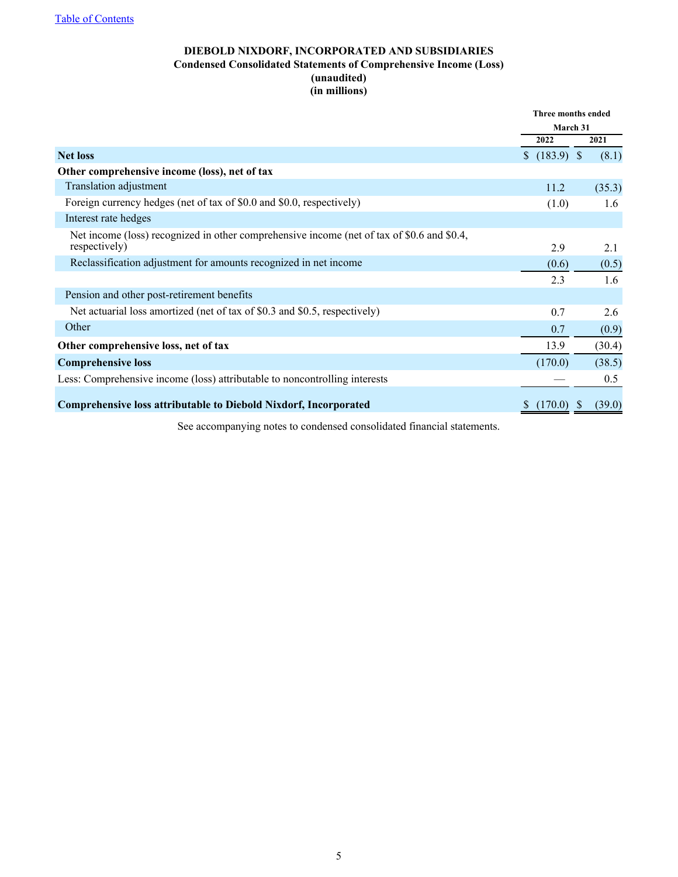# **DIEBOLD NIXDORF, INCORPORATED AND SUBSIDIARIES Condensed Consolidated Statements of Comprehensive Income (Loss) (unaudited) (in millions)**

<span id="page-4-0"></span>

|                                                                                                             | Three months ended |        |  |
|-------------------------------------------------------------------------------------------------------------|--------------------|--------|--|
|                                                                                                             | March 31           |        |  |
|                                                                                                             | 2022               | 2021   |  |
| <b>Net loss</b>                                                                                             | \$ (183.9) \$      | (8.1)  |  |
| Other comprehensive income (loss), net of tax                                                               |                    |        |  |
| <b>Translation adjustment</b>                                                                               | 11.2               | (35.3) |  |
| Foreign currency hedges (net of tax of \$0.0 and \$0.0, respectively)                                       | (1.0)              | 1.6    |  |
| Interest rate hedges                                                                                        |                    |        |  |
| Net income (loss) recognized in other comprehensive income (net of tax of \$0.6 and \$0.4,<br>respectively) | 2.9                | 2.1    |  |
| Reclassification adjustment for amounts recognized in net income                                            | (0.6)              | (0.5)  |  |
|                                                                                                             | 2.3                | 1.6    |  |
| Pension and other post-retirement benefits                                                                  |                    |        |  |
| Net actuarial loss amortized (net of tax of \$0.3 and \$0.5, respectively)                                  | 0.7                | 2.6    |  |
| Other                                                                                                       | 0.7                | (0.9)  |  |
| Other comprehensive loss, net of tax                                                                        | 13.9               | (30.4) |  |
| <b>Comprehensive loss</b>                                                                                   | (170.0)            | (38.5) |  |
| Less: Comprehensive income (loss) attributable to noncontrolling interests                                  |                    | 0.5    |  |
| Comprehensive loss attributable to Diebold Nixdorf, Incorporated                                            | (170.0)            | (39.0) |  |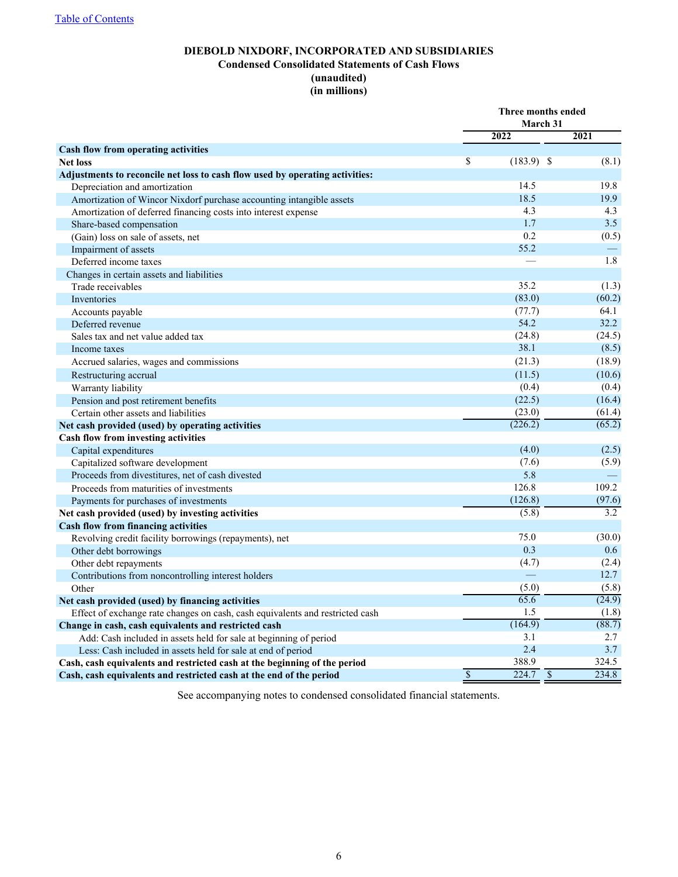# **DIEBOLD NIXDORF, INCORPORATED AND SUBSIDIARIES Condensed Consolidated Statements of Cash Flows (unaudited) (in millions)**

<span id="page-5-0"></span>

|                                                                               |                          | Three months ended                |        |  |  |
|-------------------------------------------------------------------------------|--------------------------|-----------------------------------|--------|--|--|
|                                                                               |                          | March 31                          |        |  |  |
|                                                                               |                          | 2022                              | 2021   |  |  |
| Cash flow from operating activities                                           |                          |                                   |        |  |  |
| <b>Net loss</b>                                                               | $\mathbf S$              | $(183.9)$ \$                      | (8.1)  |  |  |
| Adjustments to reconcile net loss to cash flow used by operating activities:  |                          |                                   |        |  |  |
| Depreciation and amortization                                                 |                          | 14.5                              | 19.8   |  |  |
| Amortization of Wincor Nixdorf purchase accounting intangible assets          |                          | 18.5                              | 19.9   |  |  |
| Amortization of deferred financing costs into interest expense                |                          | 4.3                               | 4.3    |  |  |
| Share-based compensation                                                      |                          | 1.7                               | 3.5    |  |  |
| (Gain) loss on sale of assets, net                                            |                          | 0.2                               | (0.5)  |  |  |
| Impairment of assets                                                          |                          | 55.2                              |        |  |  |
| Deferred income taxes                                                         |                          |                                   | 1.8    |  |  |
| Changes in certain assets and liabilities                                     |                          |                                   |        |  |  |
| Trade receivables                                                             |                          | 35.2                              | (1.3)  |  |  |
| Inventories                                                                   |                          | (83.0)                            | (60.2) |  |  |
| Accounts payable                                                              |                          | (77.7)                            | 64.1   |  |  |
| Deferred revenue                                                              |                          | 54.2                              | 32.2   |  |  |
| Sales tax and net value added tax                                             |                          | (24.8)                            | (24.5) |  |  |
| Income taxes                                                                  |                          | 38.1                              | (8.5)  |  |  |
| Accrued salaries, wages and commissions                                       |                          | (21.3)                            | (18.9) |  |  |
| Restructuring accrual                                                         |                          | (11.5)                            | (10.6) |  |  |
| Warranty liability                                                            |                          | (0.4)                             | (0.4)  |  |  |
| Pension and post retirement benefits                                          |                          | (22.5)                            | (16.4) |  |  |
| Certain other assets and liabilities                                          |                          | (23.0)                            | (61.4) |  |  |
| Net cash provided (used) by operating activities                              |                          | (226.2)                           | (65.2) |  |  |
| Cash flow from investing activities                                           |                          |                                   |        |  |  |
| Capital expenditures                                                          |                          | (4.0)                             | (2.5)  |  |  |
| Capitalized software development                                              |                          | (7.6)                             | (5.9)  |  |  |
| Proceeds from divestitures, net of cash divested                              |                          | 5.8                               |        |  |  |
| Proceeds from maturities of investments                                       |                          | 126.8                             | 109.2  |  |  |
| Payments for purchases of investments                                         |                          | (126.8)                           | (97.6) |  |  |
| Net cash provided (used) by investing activities                              |                          | (5.8)                             | 3.2    |  |  |
| <b>Cash flow from financing activities</b>                                    |                          |                                   |        |  |  |
| Revolving credit facility borrowings (repayments), net                        |                          | 75.0                              | (30.0) |  |  |
| Other debt borrowings                                                         |                          | 0.3                               | 0.6    |  |  |
| Other debt repayments                                                         |                          | (4.7)                             | (2.4)  |  |  |
| Contributions from noncontrolling interest holders                            |                          |                                   | 12.7   |  |  |
| Other                                                                         |                          | (5.0)                             | (5.8)  |  |  |
| Net cash provided (used) by financing activities                              |                          | 65.6                              | (24.9) |  |  |
| Effect of exchange rate changes on cash, cash equivalents and restricted cash |                          | 1.5                               | (1.8)  |  |  |
| Change in cash, cash equivalents and restricted cash                          |                          | (164.9)                           | (88.7) |  |  |
| Add: Cash included in assets held for sale at beginning of period             |                          | 3.1                               | 2.7    |  |  |
| Less: Cash included in assets held for sale at end of period                  |                          | 2.4                               | 3.7    |  |  |
| Cash, cash equivalents and restricted cash at the beginning of the period     |                          | 388.9                             | 324.5  |  |  |
| Cash, cash equivalents and restricted cash at the end of the period           | $\overline{\mathcal{S}}$ | 224.7<br>$\overline{\mathcal{S}}$ | 234.8  |  |  |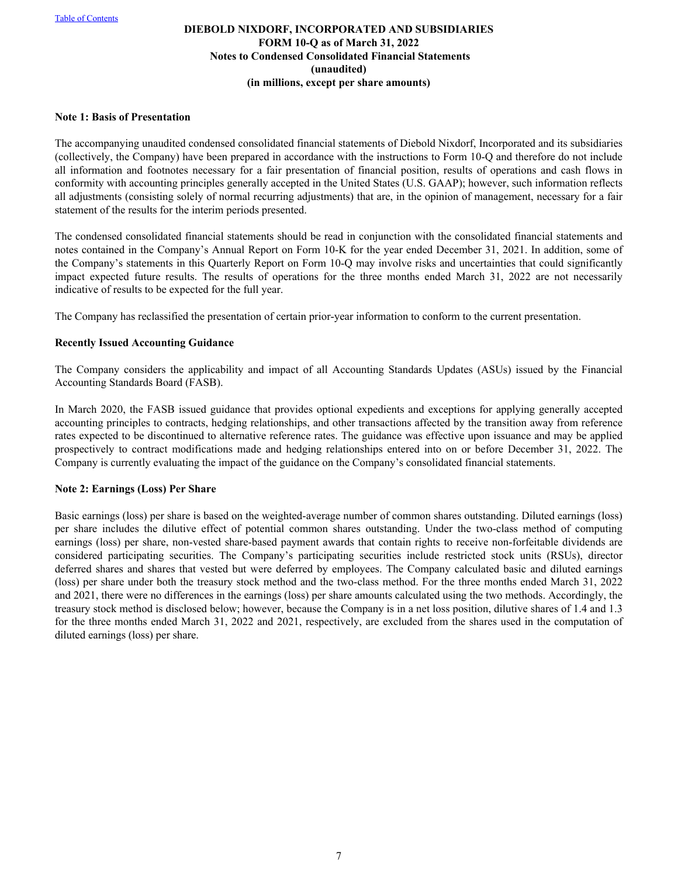#### <span id="page-6-0"></span>**Note 1: Basis of Presentation**

The accompanying unaudited condensed consolidated financial statements of Diebold Nixdorf, Incorporated and its subsidiaries (collectively, the Company) have been prepared in accordance with the instructions to Form 10-Q and therefore do not include all information and footnotes necessary for a fair presentation of financial position, results of operations and cash flows in conformity with accounting principles generally accepted in the United States (U.S. GAAP); however, such information reflects all adjustments (consisting solely of normal recurring adjustments) that are, in the opinion of management, necessary for a fair statement of the results for the interim periods presented.

The condensed consolidated financial statements should be read in conjunction with the consolidated financial statements and notes contained in the Company's Annual Report on Form 10-K for the year ended December 31, 2021. In addition, some of the Company's statements in this Quarterly Report on Form 10-Q may involve risks and uncertainties that could significantly impact expected future results. The results of operations for the three months ended March 31, 2022 are not necessarily indicative of results to be expected for the full year.

The Company has reclassified the presentation of certain prior-year information to conform to the current presentation.

#### **Recently Issued Accounting Guidance**

The Company considers the applicability and impact of all Accounting Standards Updates (ASUs) issued by the Financial Accounting Standards Board (FASB).

In March 2020, the FASB issued guidance that provides optional expedients and exceptions for applying generally accepted accounting principles to contracts, hedging relationships, and other transactions affected by the transition away from reference rates expected to be discontinued to alternative reference rates. The guidance was effective upon issuance and may be applied prospectively to contract modifications made and hedging relationships entered into on or before December 31, 2022. The Company is currently evaluating the impact of the guidance on the Company's consolidated financial statements.

#### **Note 2: Earnings (Loss) Per Share**

Basic earnings (loss) per share is based on the weighted-average number of common shares outstanding. Diluted earnings (loss) per share includes the dilutive effect of potential common shares outstanding. Under the two-class method of computing earnings (loss) per share, non-vested share-based payment awards that contain rights to receive non-forfeitable dividends are considered participating securities. The Company's participating securities include restricted stock units (RSUs), director deferred shares and shares that vested but were deferred by employees. The Company calculated basic and diluted earnings (loss) per share under both the treasury stock method and the two-class method. For the three months ended March 31, 2022 and 2021, there were no differences in the earnings (loss) per share amounts calculated using the two methods. Accordingly, the treasury stock method is disclosed below; however, because the Company is in a net loss position, dilutive shares of 1.4 and 1.3 for the three months ended March 31, 2022 and 2021, respectively, are excluded from the shares used in the computation of diluted earnings (loss) per share.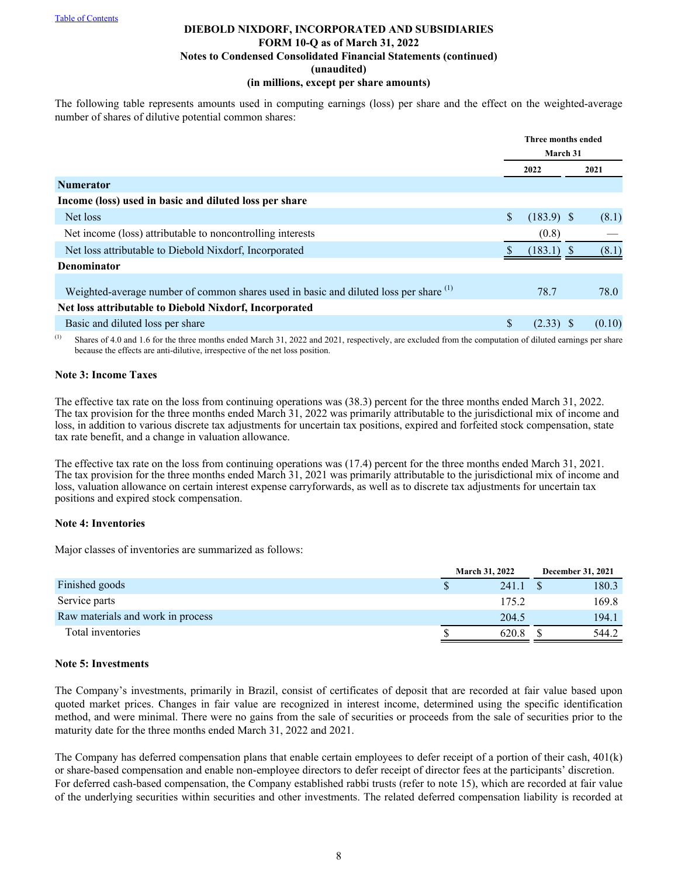The following table represents amounts used in computing earnings (loss) per share and the effect on the weighted-average number of shares of dilutive potential common shares:

|                                                                                                  | <b>Three months ended</b> |              |  |        |
|--------------------------------------------------------------------------------------------------|---------------------------|--------------|--|--------|
|                                                                                                  | <b>March 31</b>           |              |  |        |
|                                                                                                  |                           | 2022         |  | 2021   |
| <b>Numerator</b>                                                                                 |                           |              |  |        |
| Income (loss) used in basic and diluted loss per share                                           |                           |              |  |        |
| Net loss                                                                                         | \$                        | $(183.9)$ \$ |  | (8.1)  |
| Net income (loss) attributable to noncontrolling interests                                       |                           | (0.8)        |  |        |
| Net loss attributable to Diebold Nixdorf, Incorporated                                           |                           | $(183.1)$ \$ |  | (8.1)  |
| Denominator                                                                                      |                           |              |  |        |
| Weighted-average number of common shares used in basic and diluted loss per share <sup>(1)</sup> |                           | 78.7         |  | 78.0   |
| Net loss attributable to Diebold Nixdorf, Incorporated                                           |                           |              |  |        |
| Basic and diluted loss per share                                                                 | \$                        | $(2.33)$ \$  |  | (0.10) |

<sup>(1)</sup> Shares of 4.0 and 1.6 for the three months ended March 31, 2022 and 2021, respectively, are excluded from the computation of diluted earnings per share because the effects are anti-dilutive, irrespective of the net loss position.

## **Note 3: Income Taxes**

The effective tax rate on the loss from continuing operations was (38.3) percent for the three months ended March 31, 2022. The tax provision for the three months ended March 31, 2022 was primarily attributable to the jurisdictional mix of income and loss, in addition to various discrete tax adjustments for uncertain tax positions, expired and forfeited stock compensation, state tax rate benefit, and a change in valuation allowance.

The effective tax rate on the loss from continuing operations was (17.4) percent for the three months ended March 31, 2021. The tax provision for the three months ended March 31, 2021 was primarily attributable to the jurisdictional mix of income and loss, valuation allowance on certain interest expense carryforwards, as well as to discrete tax adjustments for uncertain tax positions and expired stock compensation.

#### **Note 4: Inventories**

Major classes of inventories are summarized as follows:

|                                   | <b>March 31, 2022</b> | December 31, 2021 |
|-----------------------------------|-----------------------|-------------------|
| Finished goods                    | 241.1                 | 180.3             |
| Service parts                     | 175.2                 | 169.8             |
| Raw materials and work in process | 204.5                 | 194.1             |
| Total inventories                 | 620.8                 | 544.2             |

## **Note 5: Investments**

The Company's investments, primarily in Brazil, consist of certificates of deposit that are recorded at fair value based upon quoted market prices. Changes in fair value are recognized in interest income, determined using the specific identification method, and were minimal. There were no gains from the sale of securities or proceeds from the sale of securities prior to the maturity date for the three months ended March 31, 2022 and 2021.

The Company has deferred compensation plans that enable certain employees to defer receipt of a portion of their cash, 401(k) or share-based compensation and enable non-employee directors to defer receipt of director fees at the participants' discretion. For deferred cash-based compensation, the Company established rabbi trusts (refer to note 15), which are recorded at fair value of the underlying securities within securities and other investments. The related deferred compensation liability is recorded at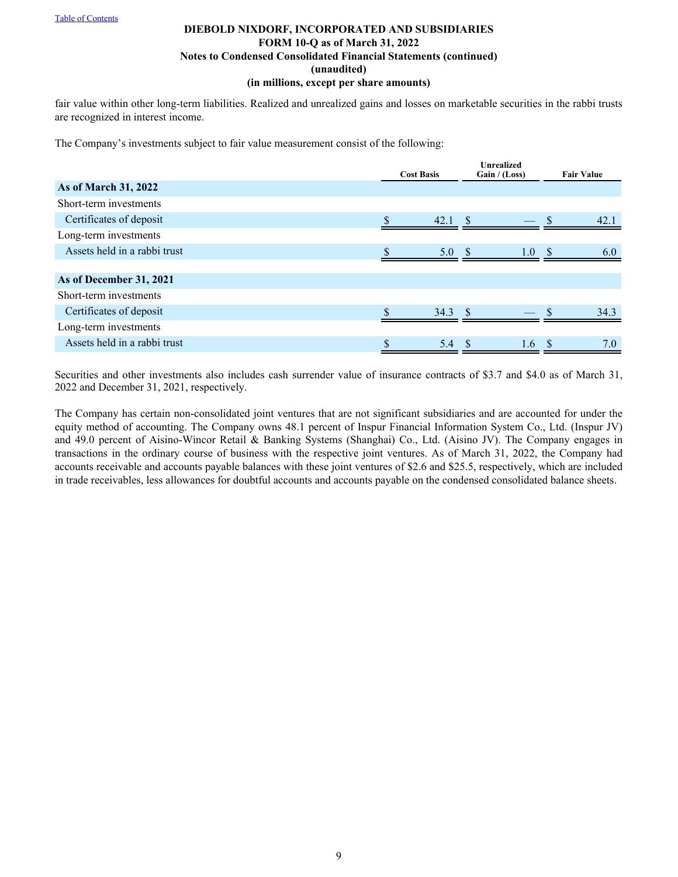fair value within other long-term liabilities. Realized and unrealized gains and losses on marketable securities in the rabbi trusts are recognized in interest income.

The Company's investments subject to fair value measurement consist of the following:

|                              | <b>Unrealized</b><br>Gain / (Loss)<br><b>Cost Basis</b> |  |                  | <b>Fair Value</b> |      |  |
|------------------------------|---------------------------------------------------------|--|------------------|-------------------|------|--|
| As of March 31, 2022         |                                                         |  |                  |                   |      |  |
| Short-term investments       |                                                         |  |                  |                   |      |  |
| Certificates of deposit      | 42.1                                                    |  |                  |                   | 42.1 |  |
| Long-term investments        |                                                         |  |                  |                   |      |  |
| Assets held in a rabbi trust | 5.0 S                                                   |  | 1.0 <sup>5</sup> |                   | 6.0  |  |
|                              |                                                         |  |                  |                   |      |  |
| As of December 31, 2021      |                                                         |  |                  |                   |      |  |
| Short-term investments       |                                                         |  |                  |                   |      |  |
| Certificates of deposit      | $34.3$ \$                                               |  |                  |                   | 34.3 |  |
| Long-term investments        |                                                         |  |                  |                   |      |  |
| Assets held in a rabbi trust | \$<br>5.4                                               |  | 1.6              | <sup>\$</sup>     | 7.0  |  |

Securities and other investments also includes cash surrender value of insurance contracts of \$3.7 and \$4.0 as of March 31, 2022 and December 31, 2021, respectively.

The Company has certain non-consolidated joint ventures that are not significant subsidiaries and are accounted for under the equity method of accounting. The Company owns 48.1 percent of Inspur Financial Information System Co., Ltd. (Inspur JV) and 49.0 percent of Aisino-Wincor Retail & Banking Systems (Shanghai) Co., Ltd. (Aisino JV). The Company engages in transactions in the ordinary course of business with the respective joint ventures. As of March 31, 2022, the Company had accounts receivable and accounts payable balances with these joint ventures of \$2.6 and \$25.5, respectively, which are included in trade receivables, less allowances for doubtful accounts and accounts payable on the condensed consolidated balance sheets.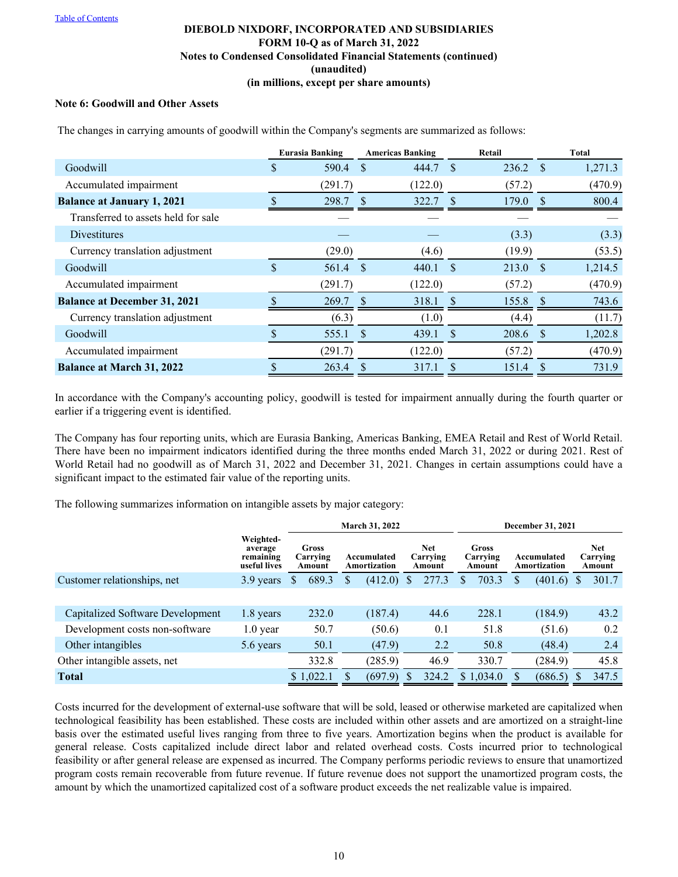# **Note 6: Goodwill and Other Assets**

|                                     |               | <b>Eurasia Banking</b> |               | <b>Americas Banking</b> |               | Retail     |            | <b>Total</b> |
|-------------------------------------|---------------|------------------------|---------------|-------------------------|---------------|------------|------------|--------------|
| Goodwill                            | \$            | 590.4                  | <sup>\$</sup> | 444.7                   | <sup>S</sup>  | $236.2$ \$ |            | 1,271.3      |
| Accumulated impairment              |               | (291.7)                |               | (122.0)                 |               | (57.2)     |            | (470.9)      |
| <b>Balance at January 1, 2021</b>   |               | 298.7                  |               | 322.7                   |               | 179.0      |            | 800.4        |
| Transferred to assets held for sale |               |                        |               |                         |               |            |            |              |
| <b>Divestitures</b>                 |               |                        |               |                         |               | (3.3)      |            | (3.3)        |
| Currency translation adjustment     |               | (29.0)                 |               | (4.6)                   |               | (19.9)     |            | (53.5)       |
| Goodwill                            | $\mathcal{S}$ | 561.4                  | - \$          | 440.1                   | -S            | $213.0$ \$ |            | 1,214.5      |
| Accumulated impairment              |               | (291.7)                |               | (122.0)                 |               | (57.2)     |            | (470.9)      |
| <b>Balance at December 31, 2021</b> |               | 269.7                  | <sup>S</sup>  | 318.1                   | <sup>\$</sup> | 155.8      | $\sqrt{s}$ | 743.6        |
| Currency translation adjustment     |               | (6.3)                  |               | (1.0)                   |               | (4.4)      |            | (11.7)       |
| Goodwill                            |               | 555.1                  | <sup>S</sup>  | 439.1                   | S             | $208.6$ \$ |            | 1,202.8      |
| Accumulated impairment              |               | (291.7)                |               | (122.0)                 |               | (57.2)     |            | (470.9)      |
| <b>Balance at March 31, 2022</b>    |               | 263.4                  |               | 317.1                   |               | 151.4      | \$.        | 731.9        |

The changes in carrying amounts of goodwill within the Company's segments are summarized as follows:

In accordance with the Company's accounting policy, goodwill is tested for impairment annually during the fourth quarter or earlier if a triggering event is identified.

The Company has four reporting units, which are Eurasia Banking, Americas Banking, EMEA Retail and Rest of World Retail. There have been no impairment indicators identified during the three months ended March 31, 2022 or during 2021. Rest of World Retail had no goodwill as of March 31, 2022 and December 31, 2021. Changes in certain assumptions could have a significant impact to the estimated fair value of the reporting units.

The following summarizes information on intangible assets by major category:

|                                         |                                                   |                             | March 31, 2022 |                             | December 31, 2021 |                                  |   |                                    |   |                             |   |                            |
|-----------------------------------------|---------------------------------------------------|-----------------------------|----------------|-----------------------------|-------------------|----------------------------------|---|------------------------------------|---|-----------------------------|---|----------------------------|
|                                         | Weighted-<br>average<br>remaining<br>useful lives | Gross<br>Carrying<br>Amount |                | Accumulated<br>Amortization |                   | <b>Net</b><br>Carrying<br>Amount |   | <b>Gross</b><br>Carrying<br>Amount |   | Accumulated<br>Amortization |   | Net.<br>Carrying<br>Amount |
| Customer relationships, net             | 3.9 years                                         | 689.3<br>\$                 | S              | (412.0)                     | S                 | 277.3                            | S | 703.3                              | S | (401.6)                     | S | 301.7                      |
|                                         |                                                   |                             |                |                             |                   |                                  |   |                                    |   |                             |   |                            |
| <b>Capitalized Software Development</b> | 1.8 years                                         | 232.0                       |                | (187.4)                     |                   | 44.6                             |   | 228.1                              |   | (184.9)                     |   | 43.2                       |
| Development costs non-software          | $1.0$ year                                        | 50.7                        |                | (50.6)                      |                   | 0.1                              |   | 51.8                               |   | (51.6)                      |   | 0.2                        |
| Other intangibles                       | 5.6 years                                         | 50.1                        |                | (47.9)                      |                   | 2.2                              |   | 50.8                               |   | (48.4)                      |   | 2.4                        |
| Other intangible assets, net            |                                                   | 332.8                       |                | (285.9)                     |                   | 46.9                             |   | 330.7                              |   | (284.9)                     |   | 45.8                       |
| <b>Total</b>                            |                                                   | \$1,022.1                   |                | (697.9)                     |                   | 324.2                            |   | \$1,034.0                          |   | (686.5)                     |   | 347.5                      |

Costs incurred for the development of external-use software that will be sold, leased or otherwise marketed are capitalized when technological feasibility has been established. These costs are included within other assets and are amortized on a straight-line basis over the estimated useful lives ranging from three to five years. Amortization begins when the product is available for general release. Costs capitalized include direct labor and related overhead costs. Costs incurred prior to technological feasibility or after general release are expensed as incurred. The Company performs periodic reviews to ensure that unamortized program costs remain recoverable from future revenue. If future revenue does not support the unamortized program costs, the amount by which the unamortized capitalized cost of a software product exceeds the net realizable value is impaired.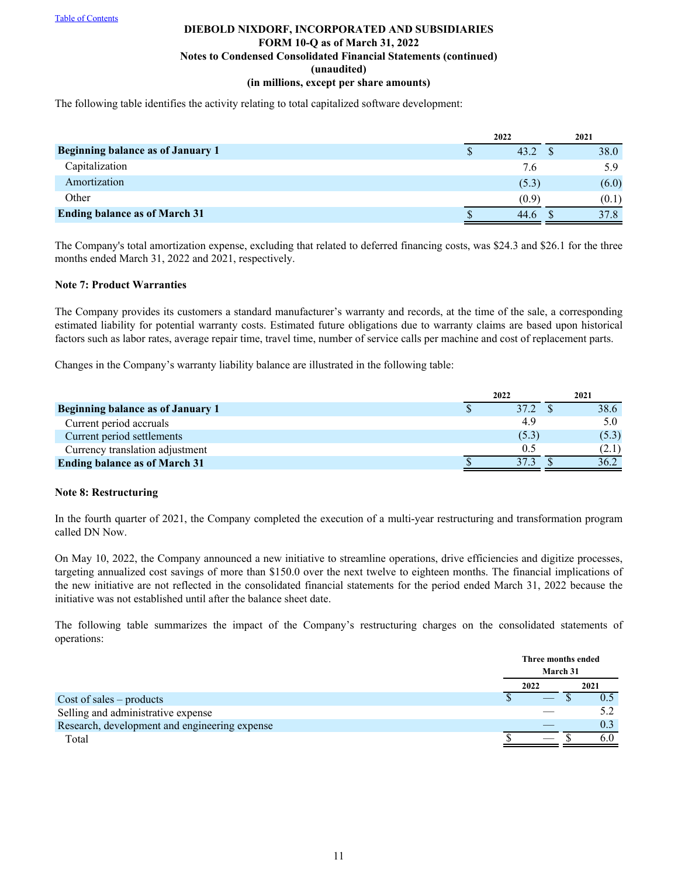The following table identifies the activity relating to total capitalized software development:

|                                          |   | 2022  | 2021  |
|------------------------------------------|---|-------|-------|
| <b>Beginning balance as of January 1</b> | Φ | 43.2  | 38.0  |
| Capitalization                           |   | 7.6   | 5.9   |
| Amortization                             |   | (5.3) | (6.0) |
| Other                                    |   | (0.9) | (0.1) |
| <b>Ending balance as of March 31</b>     |   | 44.6  | 37.8  |

The Company's total amortization expense, excluding that related to deferred financing costs, was \$24.3 and \$26.1 for the three months ended March 31, 2022 and 2021, respectively.

#### **Note 7: Product Warranties**

The Company provides its customers a standard manufacturer's warranty and records, at the time of the sale, a corresponding estimated liability for potential warranty costs. Estimated future obligations due to warranty claims are based upon historical factors such as labor rates, average repair time, travel time, number of service calls per machine and cost of replacement parts.

Changes in the Company's warranty liability balance are illustrated in the following table:

|                                      | 2022  | 2021  |
|--------------------------------------|-------|-------|
| Beginning balance as of January 1    | 37.2  | 38.6  |
| Current period accruals              | 4.9   |       |
| Current period settlements           | (5.3) | (5.3) |
| Currency translation adjustment      | 0.5   | (2.1) |
| <b>Ending balance as of March 31</b> |       | 36.2  |

#### **Note 8: Restructuring**

In the fourth quarter of 2021, the Company completed the execution of a multi-year restructuring and transformation program called DN Now.

On May 10, 2022, the Company announced a new initiative to streamline operations, drive efficiencies and digitize processes, targeting annualized cost savings of more than \$150.0 over the next twelve to eighteen months. The financial implications of the new initiative are not reflected in the consolidated financial statements for the period ended March 31, 2022 because the initiative was not established until after the balance sheet date.

The following table summarizes the impact of the Company's restructuring charges on the consolidated statements of operations:

|                                               |  | Three months ended |  |      |
|-----------------------------------------------|--|--------------------|--|------|
|                                               |  | March 31           |  |      |
|                                               |  | 2022               |  | 2021 |
| $Cost of sales - products$                    |  |                    |  | 0.5  |
| Selling and administrative expense            |  |                    |  | 5.2  |
| Research, development and engineering expense |  |                    |  | 0.3  |
| Total                                         |  |                    |  |      |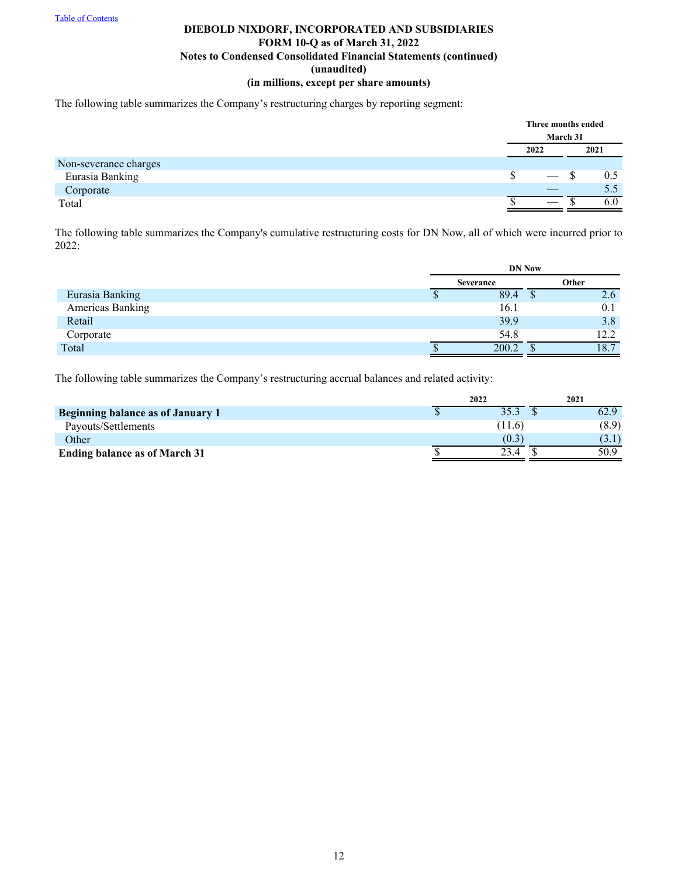The following table summarizes the Company's restructuring charges by reporting segment:

|                       | Three months ended | March 31 |      |
|-----------------------|--------------------|----------|------|
|                       | 2022               |          | 2021 |
| Non-severance charges |                    |          |      |
| Eurasia Banking       | \$                 |          | 0.5  |
| Corporate             |                    |          | 5.5  |
| Total                 |                    |          |      |

The following table summarizes the Company's cumulative restructuring costs for DN Now, all of which were incurred prior to 2022:

|                  |   |                  | <b>DN Now</b> |       |
|------------------|---|------------------|---------------|-------|
|                  |   | <b>Severance</b> |               | Other |
| Eurasia Banking  | Φ | 89.4             |               | 2.6   |
| Americas Banking |   | 16.1             |               | 0.1   |
| Retail           |   | 39.9             |               | 3.8   |
| Corporate        |   | 54.8             |               | 12.2  |
| Total            |   | 200.2            |               | 18.7  |

The following table summarizes the Company's restructuring accrual balances and related activity:

|                                      | 2022  | 2021  |
|--------------------------------------|-------|-------|
| Beginning balance as of January 1    |       | 62.9  |
| Payouts/Settlements                  | 11.6  | (8.9) |
| Other                                | (0.3) | (3.1) |
| <b>Ending balance as of March 31</b> | 23.4  | 50.9  |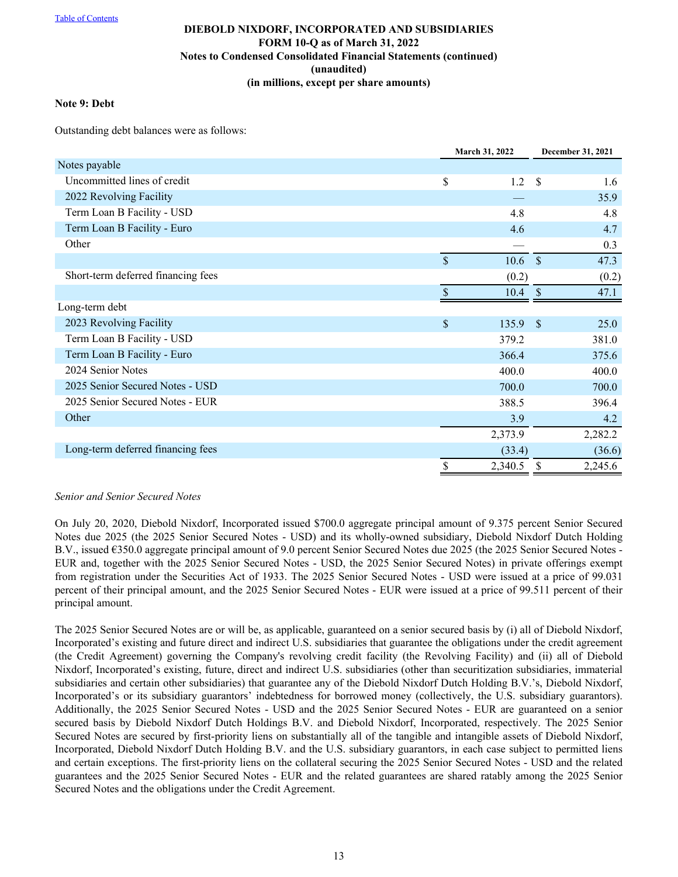#### **Note 9: Debt**

Outstanding debt balances were as follows:

|                                    |             | March 31, 2022 |               | December 31, 2021 |
|------------------------------------|-------------|----------------|---------------|-------------------|
| Notes payable                      |             |                |               |                   |
| Uncommitted lines of credit        | \$          | 1.2            | -\$           | 1.6               |
| 2022 Revolving Facility            |             |                |               | 35.9              |
| Term Loan B Facility - USD         |             | 4.8            |               | 4.8               |
| Term Loan B Facility - Euro        |             | 4.6            |               | 4.7               |
| Other                              |             |                |               | 0.3               |
|                                    | $\mathbf S$ | 10.6           | $\mathcal{S}$ | 47.3              |
| Short-term deferred financing fees |             | (0.2)          |               | (0.2)             |
|                                    |             | 10.4           | -\$           | 47.1              |
| Long-term debt                     |             |                |               |                   |
| 2023 Revolving Facility            | \$          | 135.9          | $\mathcal{S}$ | 25.0              |
| Term Loan B Facility - USD         |             | 379.2          |               | 381.0             |
| Term Loan B Facility - Euro        |             | 366.4          |               | 375.6             |
| 2024 Senior Notes                  |             | 400.0          |               | 400.0             |
| 2025 Senior Secured Notes - USD    |             | 700.0          |               | 700.0             |
| 2025 Senior Secured Notes - EUR    |             | 388.5          |               | 396.4             |
| Other                              |             | 3.9            |               | 4.2               |
|                                    |             | 2,373.9        |               | 2,282.2           |
| Long-term deferred financing fees  |             | (33.4)         |               | (36.6)            |
|                                    | \$          | 2,340.5        | \$            | 2,245.6           |

#### *Senior and Senior Secured Notes*

On July 20, 2020, Diebold Nixdorf, Incorporated issued \$700.0 aggregate principal amount of 9.375 percent Senior Secured Notes due 2025 (the 2025 Senior Secured Notes - USD) and its wholly-owned subsidiary, Diebold Nixdorf Dutch Holding B.V., issued €350.0 aggregate principal amount of 9.0 percent Senior Secured Notes due 2025 (the 2025 Senior Secured Notes - EUR and, together with the 2025 Senior Secured Notes - USD, the 2025 Senior Secured Notes) in private offerings exempt from registration under the Securities Act of 1933. The 2025 Senior Secured Notes - USD were issued at a price of 99.031 percent of their principal amount, and the 2025 Senior Secured Notes - EUR were issued at a price of 99.511 percent of their principal amount.

The 2025 Senior Secured Notes are or will be, as applicable, guaranteed on a senior secured basis by (i) all of Diebold Nixdorf, Incorporated's existing and future direct and indirect U.S. subsidiaries that guarantee the obligations under the credit agreement (the Credit Agreement) governing the Company's revolving credit facility (the Revolving Facility) and (ii) all of Diebold Nixdorf, Incorporated's existing, future, direct and indirect U.S. subsidiaries (other than securitization subsidiaries, immaterial subsidiaries and certain other subsidiaries) that guarantee any of the Diebold Nixdorf Dutch Holding B.V.'s, Diebold Nixdorf, Incorporated's or its subsidiary guarantors' indebtedness for borrowed money (collectively, the U.S. subsidiary guarantors). Additionally, the 2025 Senior Secured Notes - USD and the 2025 Senior Secured Notes - EUR are guaranteed on a senior secured basis by Diebold Nixdorf Dutch Holdings B.V. and Diebold Nixdorf, Incorporated, respectively. The 2025 Senior Secured Notes are secured by first-priority liens on substantially all of the tangible and intangible assets of Diebold Nixdorf, Incorporated, Diebold Nixdorf Dutch Holding B.V. and the U.S. subsidiary guarantors, in each case subject to permitted liens and certain exceptions. The first-priority liens on the collateral securing the 2025 Senior Secured Notes - USD and the related guarantees and the 2025 Senior Secured Notes - EUR and the related guarantees are shared ratably among the 2025 Senior Secured Notes and the obligations under the Credit Agreement.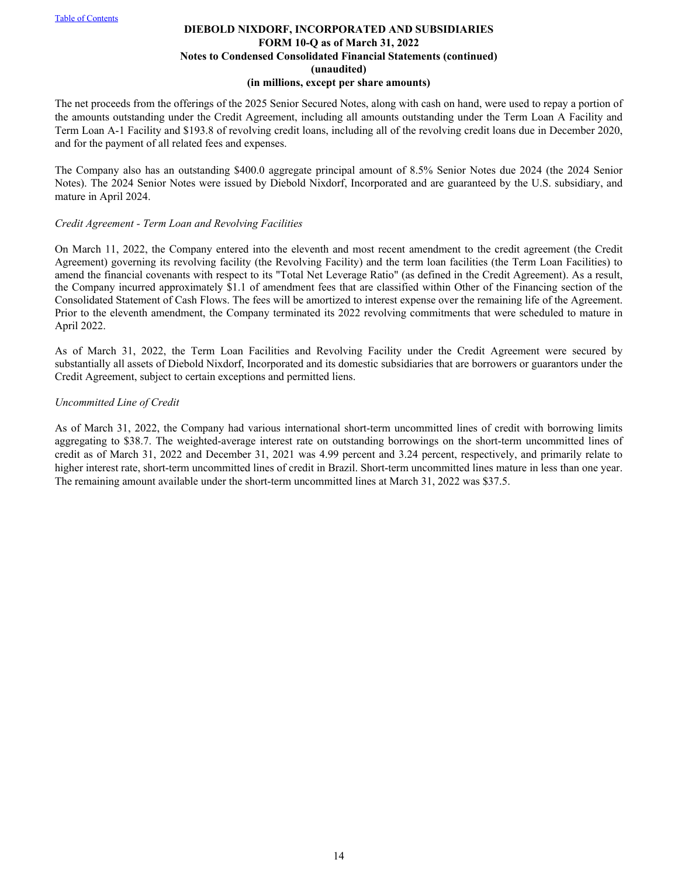The net proceeds from the offerings of the 2025 Senior Secured Notes, along with cash on hand, were used to repay a portion of the amounts outstanding under the Credit Agreement, including all amounts outstanding under the Term Loan A Facility and Term Loan A-1 Facility and \$193.8 of revolving credit loans, including all of the revolving credit loans due in December 2020, and for the payment of all related fees and expenses.

The Company also has an outstanding \$400.0 aggregate principal amount of 8.5% Senior Notes due 2024 (the 2024 Senior Notes). The 2024 Senior Notes were issued by Diebold Nixdorf, Incorporated and are guaranteed by the U.S. subsidiary, and mature in April 2024.

#### *Credit Agreement - Term Loan and Revolving Facilities*

On March 11, 2022, the Company entered into the eleventh and most recent amendment to the credit agreement (the Credit Agreement) governing its revolving facility (the Revolving Facility) and the term loan facilities (the Term Loan Facilities) to amend the financial covenants with respect to its "Total Net Leverage Ratio" (as defined in the Credit Agreement). As a result, the Company incurred approximately \$1.1 of amendment fees that are classified within Other of the Financing section of the Consolidated Statement of Cash Flows. The fees will be amortized to interest expense over the remaining life of the Agreement. Prior to the eleventh amendment, the Company terminated its 2022 revolving commitments that were scheduled to mature in April 2022.

As of March 31, 2022, the Term Loan Facilities and Revolving Facility under the Credit Agreement were secured by substantially all assets of Diebold Nixdorf, Incorporated and its domestic subsidiaries that are borrowers or guarantors under the Credit Agreement, subject to certain exceptions and permitted liens.

## *Uncommitted Line of Credit*

As of March 31, 2022, the Company had various international short-term uncommitted lines of credit with borrowing limits aggregating to \$38.7. The weighted-average interest rate on outstanding borrowings on the short-term uncommitted lines of credit as of March 31, 2022 and December 31, 2021 was 4.99 percent and 3.24 percent, respectively, and primarily relate to higher interest rate, short-term uncommitted lines of credit in Brazil. Short-term uncommitted lines mature in less than one year. The remaining amount available under the short-term uncommitted lines at March 31, 2022 was \$37.5.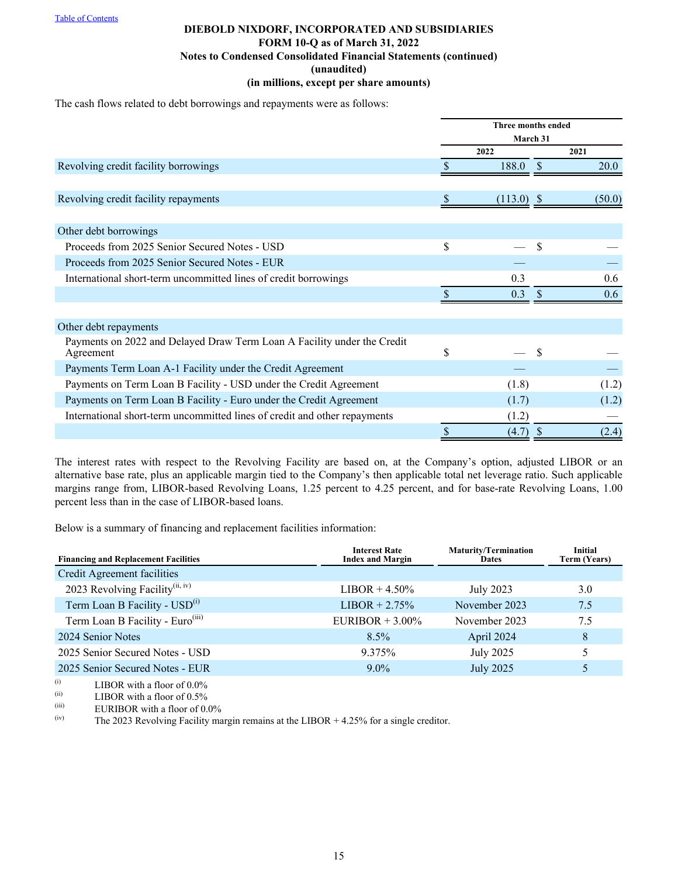The cash flows related to debt borrowings and repayments were as follows:

|                                                                                      |                  | <b>Three months ended</b> |        |  |  |  |
|--------------------------------------------------------------------------------------|------------------|---------------------------|--------|--|--|--|
|                                                                                      | March 31<br>2022 |                           | 2021   |  |  |  |
| Revolving credit facility borrowings                                                 | 188.0            |                           | 20.0   |  |  |  |
|                                                                                      |                  |                           |        |  |  |  |
| Revolving credit facility repayments                                                 | $(113.0)$ \$     |                           | (50.0) |  |  |  |
|                                                                                      |                  |                           |        |  |  |  |
| Other debt borrowings                                                                |                  |                           |        |  |  |  |
| Proceeds from 2025 Senior Secured Notes - USD                                        | \$               | \$                        |        |  |  |  |
| Proceeds from 2025 Senior Secured Notes - EUR                                        |                  |                           |        |  |  |  |
| International short-term uncommitted lines of credit borrowings                      | 0.3              |                           | 0.6    |  |  |  |
|                                                                                      | 0.3              |                           | 0.6    |  |  |  |
|                                                                                      |                  |                           |        |  |  |  |
| Other debt repayments                                                                |                  |                           |        |  |  |  |
| Payments on 2022 and Delayed Draw Term Loan A Facility under the Credit<br>Agreement | \$               |                           |        |  |  |  |
| Payments Term Loan A-1 Facility under the Credit Agreement                           |                  |                           |        |  |  |  |
| Payments on Term Loan B Facility - USD under the Credit Agreement                    | (1.8)            |                           | (1.2)  |  |  |  |
| Payments on Term Loan B Facility - Euro under the Credit Agreement                   | (1.7)            |                           | (1.2)  |  |  |  |
| International short-term uncommitted lines of credit and other repayments            | (1.2)            |                           |        |  |  |  |
|                                                                                      | \$<br>$(4.7)$ \$ |                           | (2.4)  |  |  |  |

The interest rates with respect to the Revolving Facility are based on, at the Company's option, adjusted LIBOR or an alternative base rate, plus an applicable margin tied to the Company's then applicable total net leverage ratio. Such applicable margins range from, LIBOR-based Revolving Loans, 1.25 percent to 4.25 percent, and for base-rate Revolving Loans, 1.00 percent less than in the case of LIBOR-based loans.

Below is a summary of financing and replacement facilities information:

| <b>Financing and Replacement Facilities</b>  | <b>Interest Rate</b><br><b>Index and Margin</b> | <b>Maturity/Termination</b><br><b>Dates</b> | <b>Initial</b><br><b>Term (Years)</b> |
|----------------------------------------------|-------------------------------------------------|---------------------------------------------|---------------------------------------|
| Credit Agreement facilities                  |                                                 |                                             |                                       |
| 2023 Revolving Facility <sup>(ii, iv)</sup>  | $LIBOR + 4.50\%$                                | July 2023                                   | 3.0                                   |
| Term Loan B Facility - USD <sup>(i)</sup>    | $LIBOR + 2.75\%$                                | November 2023                               | 7.5                                   |
| Term Loan B Facility - Euro <sup>(iii)</sup> | EURIBOR $+3.00\%$                               | November 2023                               | 7.5                                   |
| 2024 Senior Notes                            | $8.5\%$                                         | April 2024                                  | 8                                     |
| 2025 Senior Secured Notes - USD              | 9.375%                                          | July 2025                                   | 5                                     |
| 2025 Senior Secured Notes - EUR              | $9.0\%$                                         | <b>July 2025</b>                            | 5                                     |

 $\begin{array}{ll}\n\text{(i)} & \text{LIBOR with a floor of } 0.0\% \\
\text{(ii)} & \text{LIBOR with a floor of } 0.0\% \\
\end{array}$ 

 $LIBOR$  with a floor of 0.5%

(iii) EURIBOR with a floor of  $0.0\%$ <br>(iv) The 2023 Revolving Facility ma

The 2023 Revolving Facility margin remains at the LIBOR  $+ 4.25\%$  for a single creditor.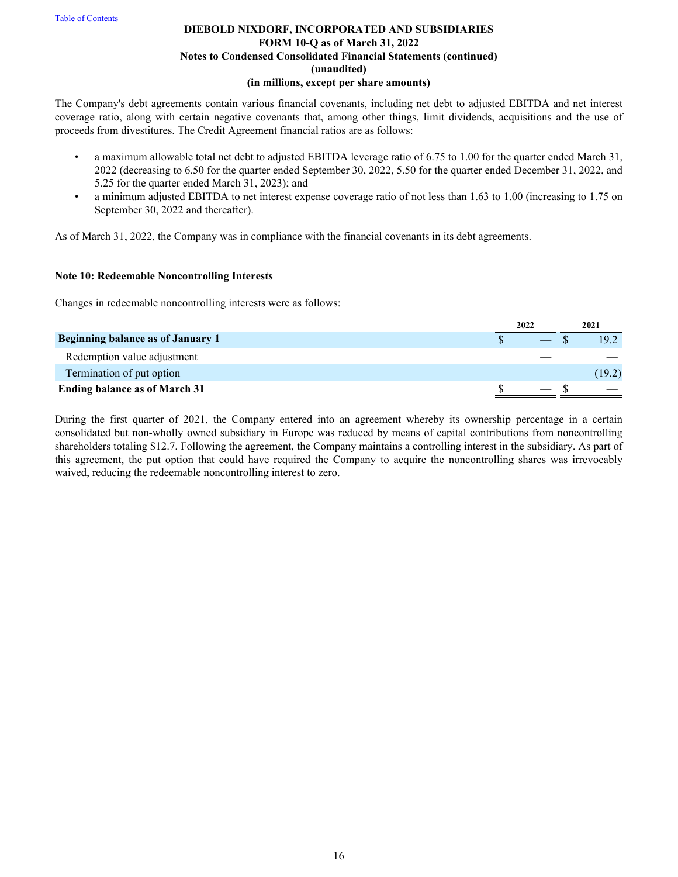The Company's debt agreements contain various financial covenants, including net debt to adjusted EBITDA and net interest coverage ratio, along with certain negative covenants that, among other things, limit dividends, acquisitions and the use of proceeds from divestitures. The Credit Agreement financial ratios are as follows:

- a maximum allowable total net debt to adjusted EBITDA leverage ratio of 6.75 to 1.00 for the quarter ended March 31, 2022 (decreasing to 6.50 for the quarter ended September 30, 2022, 5.50 for the quarter ended December 31, 2022, and 5.25 for the quarter ended March 31, 2023); and
- a minimum adjusted EBITDA to net interest expense coverage ratio of not less than 1.63 to 1.00 (increasing to 1.75 on September 30, 2022 and thereafter).

As of March 31, 2022, the Company was in compliance with the financial covenants in its debt agreements.

## **Note 10: Redeemable Noncontrolling Interests**

Changes in redeemable noncontrolling interests were as follows:

|                                      | 2022 |  | 2021   |
|--------------------------------------|------|--|--------|
| Beginning balance as of January 1    |      |  | 19.2   |
| Redemption value adjustment          |      |  |        |
| Termination of put option            |      |  | (19.2) |
| <b>Ending balance as of March 31</b> |      |  |        |

During the first quarter of 2021, the Company entered into an agreement whereby its ownership percentage in a certain consolidated but non-wholly owned subsidiary in Europe was reduced by means of capital contributions from noncontrolling shareholders totaling \$12.7. Following the agreement, the Company maintains a controlling interest in the subsidiary. As part of this agreement, the put option that could have required the Company to acquire the noncontrolling shares was irrevocably waived, reducing the redeemable noncontrolling interest to zero.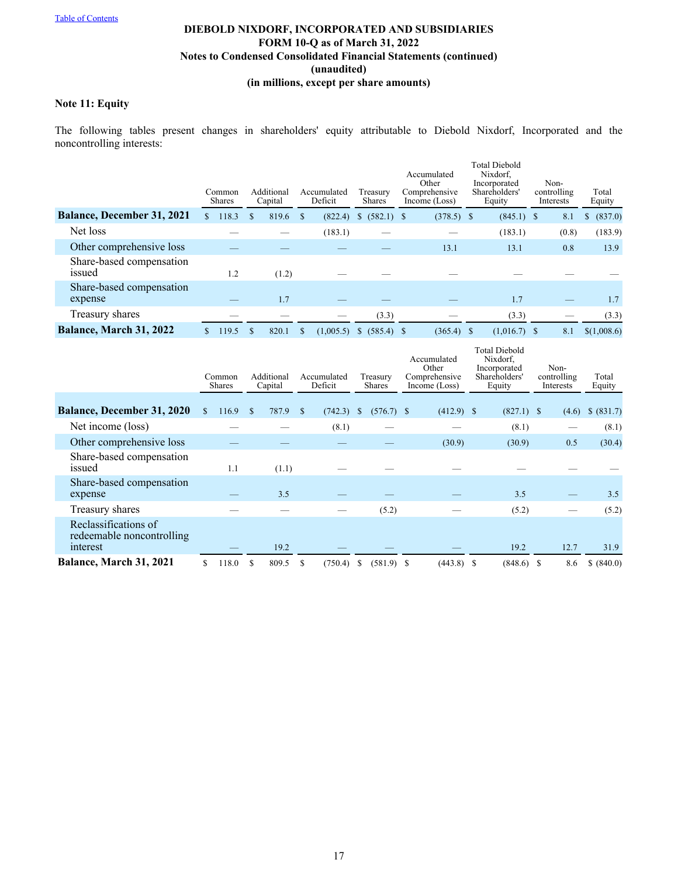# **Note 11: Equity**

The following tables present changes in shareholders' equity attributable to Diebold Nixdorf, Incorporated and the noncontrolling interests:

|                                     | Common<br><b>Shares</b> |   | Additional<br>Capital | Accumulated<br>Deficit | Treasury<br><b>Shares</b>     | Accumulated<br>Other<br>Comprehensive<br>Income (Loss) | <b>Total Diebold</b><br>Nixdorf.<br>Incorporated<br>Shareholders'<br>Equity | Non-<br>controlling<br>Interests | Total<br>Equity |
|-------------------------------------|-------------------------|---|-----------------------|------------------------|-------------------------------|--------------------------------------------------------|-----------------------------------------------------------------------------|----------------------------------|-----------------|
| <b>Balance, December 31, 2021</b>   | 118.3                   | S | 819.6                 | (822.4)                | $(582.1)$ \$<br><sup>\$</sup> | $(378.5)$ \$                                           | $(845.1)$ \$                                                                | 8.1                              | (837.0)<br>\$   |
| Net loss                            |                         |   |                       | (183.1)                |                               |                                                        | (183.1)                                                                     | (0.8)                            | (183.9)         |
| Other comprehensive loss            |                         |   |                       |                        |                               | 13.1                                                   | 13.1                                                                        | 0.8                              | 13.9            |
| Share-based compensation<br>issued  | 1.2                     |   | (1.2)                 |                        |                               |                                                        |                                                                             |                                  |                 |
| Share-based compensation<br>expense |                         |   | 1.7                   |                        |                               |                                                        | 1.7                                                                         |                                  | 1.7             |
| Treasury shares                     |                         |   |                       |                        | (3.3)                         |                                                        | (3.3)                                                                       |                                  | (3.3)           |
| Balance, March 31, 2022             | 119.5                   |   | 820.1                 | (1,005.5)              | $(585.4)$ \$<br><sup>\$</sup> | $(365.4)$ \$                                           | $(1,016.7)$ \$                                                              | 8.1                              | \$(1,008.6)     |

|                                                               |     | Common<br><b>Shares</b> |    | Additional<br>Capital |               | Accumulated<br>Deficit | Treasury<br><b>Shares</b> |              |  |              |  |              |       |            | Accumulated<br>Other<br>Comprehensive<br>Income (Loss) |  | <b>Total Diebold</b><br>Nixdorf,<br>Incorporated<br>Shareholders'<br>Equity |  | Non-<br>controlling<br>Interests | Total<br>Equity |
|---------------------------------------------------------------|-----|-------------------------|----|-----------------------|---------------|------------------------|---------------------------|--------------|--|--------------|--|--------------|-------|------------|--------------------------------------------------------|--|-----------------------------------------------------------------------------|--|----------------------------------|-----------------|
| <b>Balance, December 31, 2020</b>                             | \$. | 116.9                   | -S | 787.9                 | <sup>\$</sup> | (742.3)                | <sup>\$</sup>             | $(576.7)$ \$ |  | $(412.9)$ \$ |  | $(827.1)$ \$ | (4.6) | \$ (831.7) |                                                        |  |                                                                             |  |                                  |                 |
| Net income (loss)                                             |     |                         |    |                       |               | (8.1)                  |                           |              |  |              |  | (8.1)        |       | (8.1)      |                                                        |  |                                                                             |  |                                  |                 |
| Other comprehensive loss                                      |     |                         |    |                       |               |                        |                           |              |  | (30.9)       |  | (30.9)       | 0.5   | (30.4)     |                                                        |  |                                                                             |  |                                  |                 |
| Share-based compensation<br>issued                            |     | 1.1                     |    | (1.1)                 |               |                        |                           |              |  |              |  |              |       |            |                                                        |  |                                                                             |  |                                  |                 |
| Share-based compensation<br>expense                           |     |                         |    | 3.5                   |               |                        |                           |              |  |              |  | 3.5          |       | 3.5        |                                                        |  |                                                                             |  |                                  |                 |
| Treasury shares                                               |     |                         |    |                       |               |                        |                           | (5.2)        |  |              |  | (5.2)        |       | (5.2)      |                                                        |  |                                                                             |  |                                  |                 |
| Reclassifications of<br>redeemable noncontrolling<br>interest |     |                         |    | 19.2                  |               |                        |                           |              |  |              |  | 19.2         | 12.7  | 31.9       |                                                        |  |                                                                             |  |                                  |                 |
| Balance, March 31, 2021                                       |     | 118.0                   | S  | 809.5                 |               | (750.4)                | S                         | $(581.9)$ \$ |  | $(443.8)$ \$ |  | $(848.6)$ \$ | 8.6   | \$ (840.0) |                                                        |  |                                                                             |  |                                  |                 |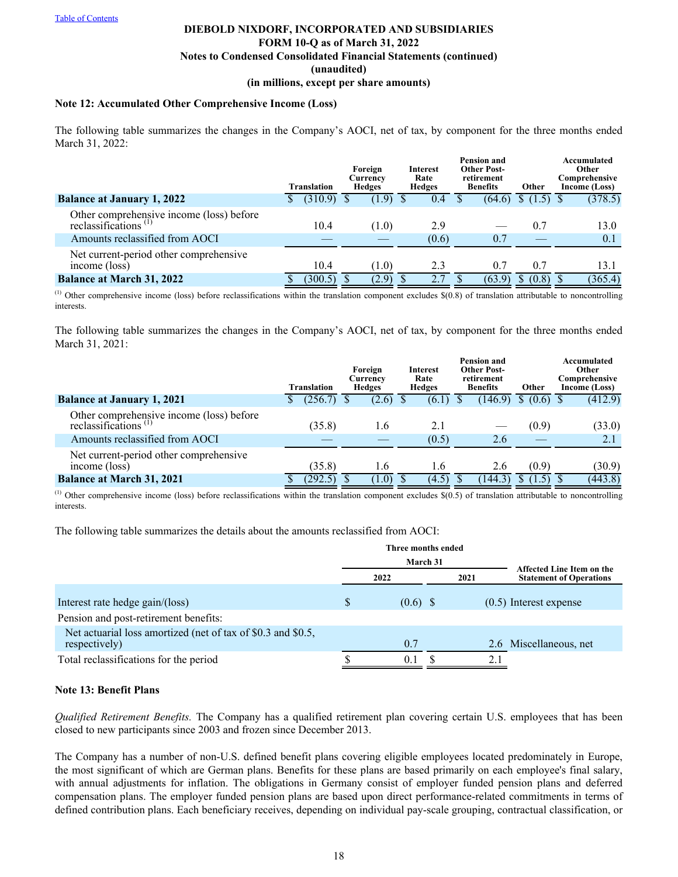#### **Note 12: Accumulated Other Comprehensive Income (Loss)**

The following table summarizes the changes in the Company's AOCI, net of tax, by component for the three months ended March 31, 2022:

|                                                                     | <b>Translation</b> |         |  | Foreign<br>Currency<br>Hedges |  | Interest<br>Rate<br>Hedges |  | <b>Pension and</b><br><b>Other Post-</b><br>retirement<br><b>Benefits</b> | Other        | Accumulated<br>Other<br>Comprehensive<br>Income (Loss) |
|---------------------------------------------------------------------|--------------------|---------|--|-------------------------------|--|----------------------------|--|---------------------------------------------------------------------------|--------------|--------------------------------------------------------|
| <b>Balance at January 1, 2022</b>                                   |                    | (310.9) |  | (1.9)                         |  | 0.4                        |  | (64.6)                                                                    |              | (378.5)                                                |
| Other comprehensive income (loss) before<br>reclassifications $(1)$ |                    | 10.4    |  | (1.0)                         |  | 2.9                        |  |                                                                           | 0.7          | 13.0                                                   |
| Amounts reclassified from AOCI                                      |                    |         |  |                               |  | (0.6)                      |  | 0.7                                                                       |              | 0.1                                                    |
| Net current-period other comprehensive<br>income (loss)             |                    | 10.4    |  | (1.0)                         |  | 2.3                        |  | 0.7                                                                       | 0.7          | 13.1                                                   |
| <b>Balance at March 31, 2022</b>                                    |                    | (300.5) |  | (2.9)                         |  |                            |  | (63.9)                                                                    | (0.8)<br>\$. | (365.4)                                                |

 $^{(1)}$  Other comprehensive income (loss) before reclassifications within the translation component excludes  $$(0.8)$  of translation attributable to noncontrolling interests.

The following table summarizes the changes in the Company's AOCI, net of tax, by component for the three months ended March 31, 2021:

|                                                                              |  | <b>Translation</b> |  | Foreign<br>Currency<br>Hedges |  | Interest<br>Rate<br>Hedges | <b>Pension and</b><br><b>Other Post-</b><br>retirement<br><b>Benefits</b> |         | Other      | Accumulated<br>Other<br>Comprehensive<br>Income (Loss) |
|------------------------------------------------------------------------------|--|--------------------|--|-------------------------------|--|----------------------------|---------------------------------------------------------------------------|---------|------------|--------------------------------------------------------|
| <b>Balance at January 1, 2021</b>                                            |  | (256.7)            |  | (2.6)                         |  | (6.1)                      |                                                                           | (146.9) | $(0.6)$ \$ | (412.9)                                                |
| Other comprehensive income (loss) before<br>reclassifications <sup>(1)</sup> |  | (35.8)             |  | 1.6                           |  | 2.1                        |                                                                           |         | (0.9)      | (33.0)                                                 |
| Amounts reclassified from AOCI                                               |  |                    |  |                               |  | (0.5)                      |                                                                           | 2.6     |            | 2.1                                                    |
| Net current-period other comprehensive<br>income (loss)                      |  | (35.8)             |  | 1.6                           |  | 1.6                        |                                                                           | 2.6     | (0.9)      | (30.9)                                                 |
| <b>Balance at March 31, 2021</b>                                             |  | (292.5)            |  | (1.0)                         |  | (4.5)                      |                                                                           | (144.3) | (1.5)      | (443.8)                                                |

 $<sup>(1)</sup>$  Other comprehensive income (loss) before reclassifications within the translation component excludes  $$(0.5)$  of translation attributable to noncontrolling</sup> interests.

The following table summarizes the details about the amounts reclassified from AOCI:

|                                                                               | Three months ended |                                |                          |
|-------------------------------------------------------------------------------|--------------------|--------------------------------|--------------------------|
|                                                                               | March 31           | Affected Line Item on the      |                          |
|                                                                               | 2022               | <b>Statement of Operations</b> |                          |
| Interest rate hedge gain/(loss)                                               | \$<br>$(0.6)$ \$   |                                | $(0.5)$ Interest expense |
| Pension and post-retirement benefits:                                         |                    |                                |                          |
| Net actuarial loss amortized (net of tax of \$0.3 and \$0.5,<br>respectively) | 0.7                |                                | 2.6 Miscellaneous, net   |
| Total reclassifications for the period                                        | 0.1                | 2.1                            |                          |

## **Note 13: Benefit Plans**

*Qualified Retirement Benefits.* The Company has a qualified retirement plan covering certain U.S. employees that has been closed to new participants since 2003 and frozen since December 2013.

The Company has a number of non-U.S. defined benefit plans covering eligible employees located predominately in Europe, the most significant of which are German plans. Benefits for these plans are based primarily on each employee's final salary, with annual adjustments for inflation. The obligations in Germany consist of employer funded pension plans and deferred compensation plans. The employer funded pension plans are based upon direct performance-related commitments in terms of defined contribution plans. Each beneficiary receives, depending on individual pay-scale grouping, contractual classification, or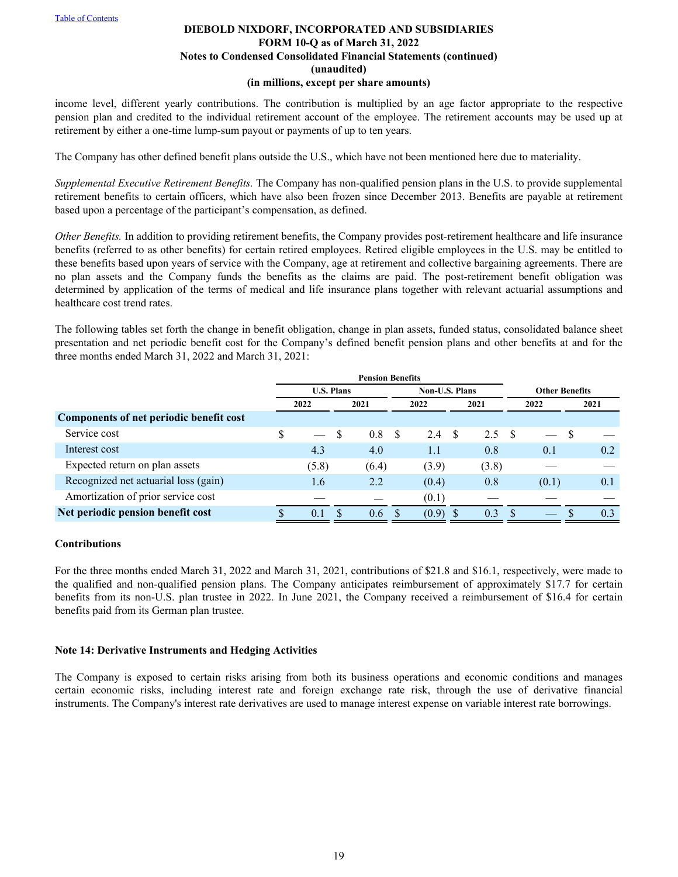income level, different yearly contributions. The contribution is multiplied by an age factor appropriate to the respective pension plan and credited to the individual retirement account of the employee. The retirement accounts may be used up at retirement by either a one-time lump-sum payout or payments of up to ten years.

The Company has other defined benefit plans outside the U.S., which have not been mentioned here due to materiality.

*Supplemental Executive Retirement Benefits.* The Company has non-qualified pension plans in the U.S. to provide supplemental retirement benefits to certain officers, which have also been frozen since December 2013. Benefits are payable at retirement based upon a percentage of the participant's compensation, as defined.

*Other Benefits*. In addition to providing retirement benefits, the Company provides post-retirement healthcare and life insurance benefits (referred to as other benefits) for certain retired employees. Retired eligible employees in the U.S. may be entitled to these benefits based upon years of service with the Company, age at retirement and collective bargaining agreements. There are no plan assets and the Company funds the benefits as the claims are paid. The post-retirement benefit obligation was determined by application of the terms of medical and life insurance plans together with relevant actuarial assumptions and healthcare cost trend rates.

The following tables set forth the change in benefit obligation, change in plan assets, funded status, consolidated balance sheet presentation and net periodic benefit cost for the Company's defined benefit pension plans and other benefits at and for the three months ended March 31, 2022 and March 31, 2021:

|                                         |                                            | <b>Pension Benefits</b> |  |       |    |       |                       |                |  |       |   |      |
|-----------------------------------------|--------------------------------------------|-------------------------|--|-------|----|-------|-----------------------|----------------|--|-------|---|------|
|                                         | <b>U.S. Plans</b><br><b>Non-U.S. Plans</b> |                         |  |       |    |       | <b>Other Benefits</b> |                |  |       |   |      |
|                                         | 2022                                       |                         |  | 2021  |    | 2022  |                       | 2021           |  | 2022  |   | 2021 |
| Components of net periodic benefit cost |                                            |                         |  |       |    |       |                       |                |  |       |   |      |
| Service cost                            | \$                                         |                         |  | 0.8   | -S | 2.4   | - \$                  | $2.5 \quad$ \$ |  |       | S |      |
| Interest cost                           |                                            | 4.3                     |  | 4.0   |    | 1.1   |                       | 0.8            |  | 0.1   |   | 0.2  |
| Expected return on plan assets          |                                            | (5.8)                   |  | (6.4) |    | (3.9) |                       | (3.8)          |  |       |   |      |
| Recognized net actuarial loss (gain)    |                                            | 1.6                     |  | 2.2   |    | (0.4) |                       | 0.8            |  | (0.1) |   | 0.1  |
| Amortization of prior service cost      |                                            |                         |  |       |    | (0.1) |                       |                |  |       |   |      |
| Net periodic pension benefit cost       |                                            | 0.1                     |  | 0.6   |    | (0.9) |                       | 0.3            |  |       |   | 0.3  |

# **Contributions**

For the three months ended March 31, 2022 and March 31, 2021, contributions of \$21.8 and \$16.1, respectively, were made to the qualified and non-qualified pension plans. The Company anticipates reimbursement of approximately \$17.7 for certain benefits from its non-U.S. plan trustee in 2022. In June 2021, the Company received a reimbursement of \$16.4 for certain benefits paid from its German plan trustee.

## **Note 14: Derivative Instruments and Hedging Activities**

The Company is exposed to certain risks arising from both its business operations and economic conditions and manages certain economic risks, including interest rate and foreign exchange rate risk, through the use of derivative financial instruments. The Company's interest rate derivatives are used to manage interest expense on variable interest rate borrowings.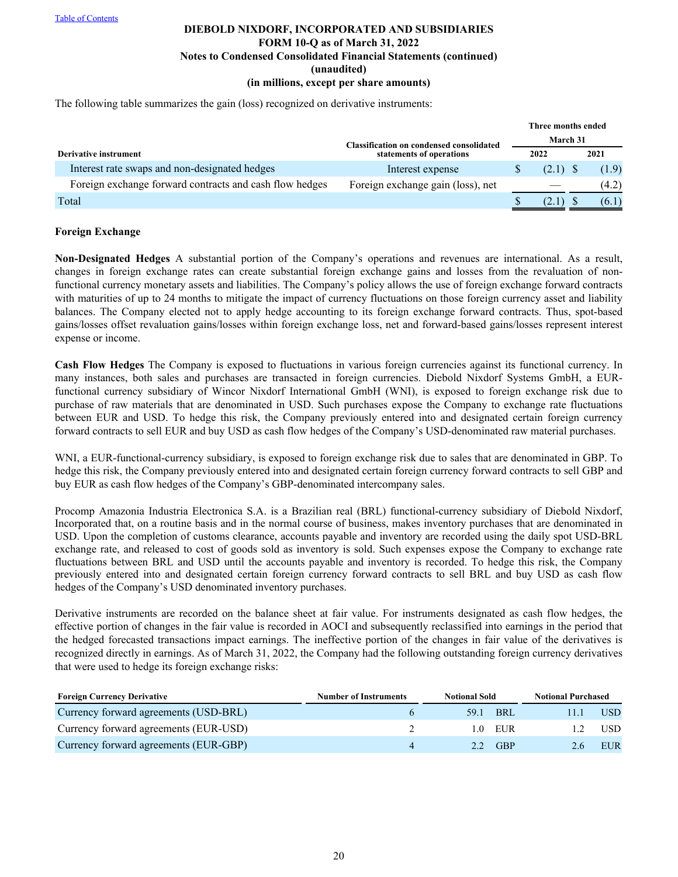The following table summarizes the gain (loss) recognized on derivative instruments:

|                                                         |                                                 | Three months ended |      |       |
|---------------------------------------------------------|-------------------------------------------------|--------------------|------|-------|
|                                                         | <b>Classification on condensed consolidated</b> | March 31           |      |       |
| Derivative instrument                                   | statements of operations                        | 2022               | 2021 |       |
| Interest rate swaps and non-designated hedges           | Interest expense                                |                    |      | (1.9) |
| Foreign exchange forward contracts and cash flow hedges | Foreign exchange gain (loss), net               |                    |      | (4.2) |
| Total                                                   |                                                 |                    |      | (6.1) |

#### **Foreign Exchange**

**Non-Designated Hedges** A substantial portion of the Company's operations and revenues are international. As a result, changes in foreign exchange rates can create substantial foreign exchange gains and losses from the revaluation of nonfunctional currency monetary assets and liabilities. The Company's policy allows the use of foreign exchange forward contracts with maturities of up to 24 months to mitigate the impact of currency fluctuations on those foreign currency asset and liability balances. The Company elected not to apply hedge accounting to its foreign exchange forward contracts. Thus, spot-based gains/losses offset revaluation gains/losses within foreign exchange loss, net and forward-based gains/losses represent interest expense or income.

**Cash Flow Hedges** The Company is exposed to fluctuations in various foreign currencies against its functional currency. In many instances, both sales and purchases are transacted in foreign currencies. Diebold Nixdorf Systems GmbH, a EURfunctional currency subsidiary of Wincor Nixdorf International GmbH (WNI), is exposed to foreign exchange risk due to purchase of raw materials that are denominated in USD. Such purchases expose the Company to exchange rate fluctuations between EUR and USD. To hedge this risk, the Company previously entered into and designated certain foreign currency forward contracts to sell EUR and buy USD as cash flow hedges of the Company's USD-denominated raw material purchases.

WNI, a EUR-functional-currency subsidiary, is exposed to foreign exchange risk due to sales that are denominated in GBP. To hedge this risk, the Company previously entered into and designated certain foreign currency forward contracts to sell GBP and buy EUR as cash flow hedges of the Company's GBP-denominated intercompany sales.

Procomp Amazonia Industria Electronica S.A. is a Brazilian real (BRL) functional-currency subsidiary of Diebold Nixdorf, Incorporated that, on a routine basis and in the normal course of business, makes inventory purchases that are denominated in USD. Upon the completion of customs clearance, accounts payable and inventory are recorded using the daily spot USD-BRL exchange rate, and released to cost of goods sold as inventory is sold. Such expenses expose the Company to exchange rate fluctuations between BRL and USD until the accounts payable and inventory is recorded. To hedge this risk, the Company previously entered into and designated certain foreign currency forward contracts to sell BRL and buy USD as cash flow hedges of the Company's USD denominated inventory purchases.

Derivative instruments are recorded on the balance sheet at fair value. For instruments designated as cash flow hedges, the effective portion of changes in the fair value is recorded in AOCI and subsequently reclassified into earnings in the period that the hedged forecasted transactions impact earnings. The ineffective portion of the changes in fair value of the derivatives is recognized directly in earnings. As of March 31, 2022, the Company had the following outstanding foreign currency derivatives that were used to hedge its foreign exchange risks:

| <b>Foreign Currency Derivative</b>    | <b>Number of Instruments</b> | <b>Notional Sold</b> |                  | <b>Notional Purchased</b> |            |  |
|---------------------------------------|------------------------------|----------------------|------------------|---------------------------|------------|--|
| Currency forward agreements (USD-BRL) |                              | 59 L                 | <b>BRL</b>       |                           | USD.       |  |
| Currency forward agreements (EUR-USD) |                              |                      | $1.0$ EUR        |                           | <b>USD</b> |  |
| Currency forward agreements (EUR-GBP) |                              |                      | $22 \text{ GBP}$ |                           | EUR        |  |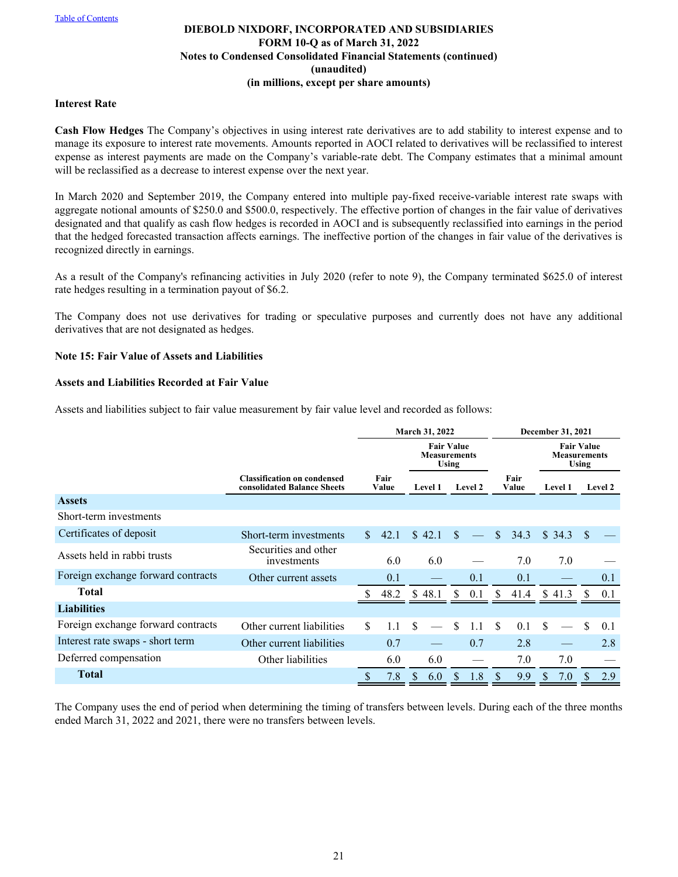#### **Interest Rate**

**Cash Flow Hedges** The Company's objectives in using interest rate derivatives are to add stability to interest expense and to manage its exposure to interest rate movements. Amounts reported in AOCI related to derivatives will be reclassified to interest expense as interest payments are made on the Company's variable-rate debt. The Company estimates that a minimal amount will be reclassified as a decrease to interest expense over the next year.

In March 2020 and September 2019, the Company entered into multiple pay-fixed receive-variable interest rate swaps with aggregate notional amounts of \$250.0 and \$500.0, respectively. The effective portion of changes in the fair value of derivatives designated and that qualify as cash flow hedges is recorded in AOCI and is subsequently reclassified into earnings in the period that the hedged forecasted transaction affects earnings. The ineffective portion of the changes in fair value of the derivatives is recognized directly in earnings.

As a result of the Company's refinancing activities in July 2020 (refer to note 9), the Company terminated \$625.0 of interest rate hedges resulting in a termination payout of \$6.2.

The Company does not use derivatives for trading or speculative purposes and currently does not have any additional derivatives that are not designated as hedges.

#### **Note 15: Fair Value of Assets and Liabilities**

## **Assets and Liabilities Recorded at Fair Value**

Assets and liabilities subject to fair value measurement by fair value level and recorded as follows:

|                                    |                                                                   | March 31, 2022 |               |                                                          |        |     | December 31, 2021 |               |      |                                          |              |               |                |  |         |  |               |  |                |  |  |         |
|------------------------------------|-------------------------------------------------------------------|----------------|---------------|----------------------------------------------------------|--------|-----|-------------------|---------------|------|------------------------------------------|--------------|---------------|----------------|--|---------|--|---------------|--|----------------|--|--|---------|
|                                    |                                                                   |                |               | <b>Fair Value</b><br><b>Measurements</b><br><b>Using</b> |        |     |                   |               |      | <b>Fair Value</b><br><b>Measurements</b> | <b>Using</b> |               |                |  |         |  |               |  |                |  |  |         |
|                                    | <b>Classification on condensed</b><br>consolidated Balance Sheets |                | Fair<br>Value |                                                          |        |     |                   |               |      |                                          |              |               | <b>Level 1</b> |  | Level 2 |  | Fair<br>Value |  | <b>Level 1</b> |  |  | Level 2 |
| <b>Assets</b>                      |                                                                   |                |               |                                                          |        |     |                   |               |      |                                          |              |               |                |  |         |  |               |  |                |  |  |         |
| Short-term investments             |                                                                   |                |               |                                                          |        |     |                   |               |      |                                          |              |               |                |  |         |  |               |  |                |  |  |         |
| Certificates of deposit            | Short-term investments                                            | $\mathbb{S}^-$ | 42.1          |                                                          | \$42.1 | \$. |                   | $\mathbb{S}$  | 34.3 |                                          | \$34.3       | <sup>\$</sup> |                |  |         |  |               |  |                |  |  |         |
| Assets held in rabbi trusts        | Securities and other<br>investments                               |                | 6.0           |                                                          | 6.0    |     |                   |               | 7.0  |                                          | 7.0          |               |                |  |         |  |               |  |                |  |  |         |
| Foreign exchange forward contracts | Other current assets                                              |                | 0.1           |                                                          |        |     | 0.1               |               | 0.1  |                                          |              |               | 0.1            |  |         |  |               |  |                |  |  |         |
| <b>Total</b>                       |                                                                   |                | 48.2          | \$.                                                      | 48.1   | S   | 0.1               | S             | 41.4 |                                          | \$413        |               | 0.1            |  |         |  |               |  |                |  |  |         |
| <b>Liabilities</b>                 |                                                                   |                |               |                                                          |        |     |                   |               |      |                                          |              |               |                |  |         |  |               |  |                |  |  |         |
| Foreign exchange forward contracts | Other current liabilities                                         | \$             | 1.1           | <sup>\$</sup>                                            |        | \$  | 1.1               | <sup>\$</sup> | 0.1  | \$.                                      |              | \$            | 0.1            |  |         |  |               |  |                |  |  |         |
| Interest rate swaps - short term   | Other current liabilities                                         |                | 0.7           |                                                          |        |     | 0.7               |               | 2.8  |                                          |              |               | 2.8            |  |         |  |               |  |                |  |  |         |
| Deferred compensation              | Other liabilities                                                 |                | 6.0           |                                                          | 6.0    |     |                   |               | 7.0  |                                          | 7.0          |               |                |  |         |  |               |  |                |  |  |         |
| <b>Total</b>                       |                                                                   |                | 7.8           | <sup>\$</sup>                                            | 6.0    | S.  | 1.8               | S             | 9.9  |                                          | 7.0          |               | 2.9            |  |         |  |               |  |                |  |  |         |

The Company uses the end of period when determining the timing of transfers between levels. During each of the three months ended March 31, 2022 and 2021, there were no transfers between levels.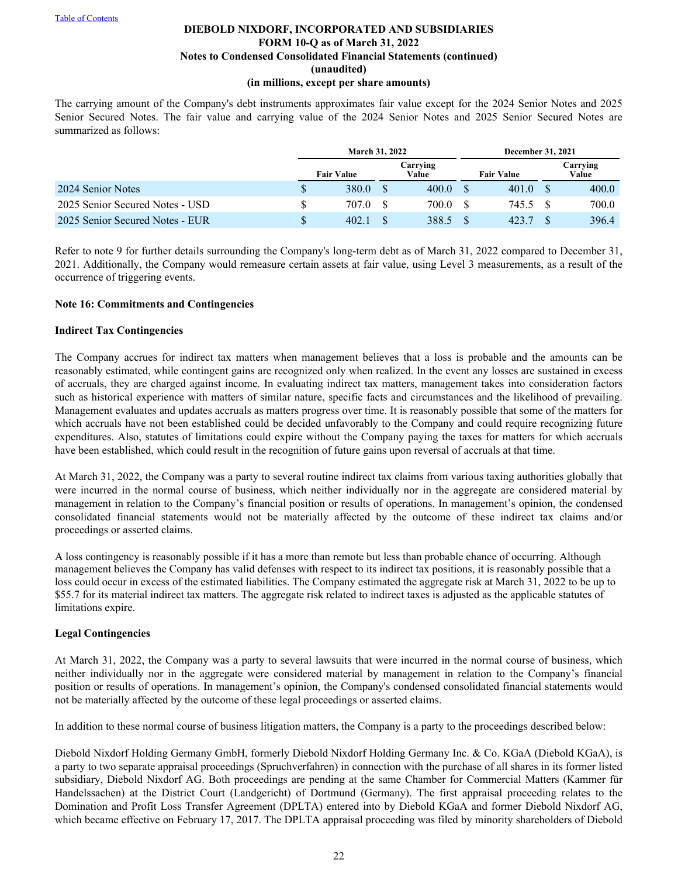# **DIEBOLD NIXDORF, INCORPORATED AND SUBSIDIARIES FORM 10-Q as of March 31, 2022 Notes to Condensed Consolidated Financial Statements (continued) (unaudited)**

#### **(in millions, except per share amounts)**

The carrying amount of the Company's debt instruments approximates fair value except for the 2024 Senior Notes and 2025 Senior Secured Notes. The fair value and carrying value of the 2024 Senior Notes and 2025 Senior Secured Notes are summarized as follows:

|                                 | <b>March 31, 2022</b> |                   | December 31, 2021 |  |                   |  |                   |  |
|---------------------------------|-----------------------|-------------------|-------------------|--|-------------------|--|-------------------|--|
|                                 | <b>Fair Value</b>     | Carrying<br>Value |                   |  | <b>Fair Value</b> |  | Carrying<br>Value |  |
| 2024 Senior Notes               | 380.0                 |                   | 400.0             |  | 401.0             |  | 400.0             |  |
| 2025 Senior Secured Notes - USD | 707.0                 | -8                | 700.0             |  | 745.5             |  | 700.0             |  |
| 2025 Senior Secured Notes - EUR | 402.1                 |                   | 388.5             |  | 423.7             |  | 396.4             |  |

Refer to note 9 for further details surrounding the Company's long-term debt as of March 31, 2022 compared to December 31, 2021. Additionally, the Company would remeasure certain assets at fair value, using Level 3 measurements, as a result of the occurrence of triggering events.

#### **Note 16: Commitments and Contingencies**

#### **Indirect Tax Contingencies**

The Company accrues for indirect tax matters when management believes that a loss is probable and the amounts can be reasonably estimated, while contingent gains are recognized only when realized. In the event any losses are sustained in excess of accruals, they are charged against income. In evaluating indirect tax matters, management takes into consideration factors such as historical experience with matters of similar nature, specific facts and circumstances and the likelihood of prevailing. Management evaluates and updates accruals as matters progress over time. It is reasonably possible that some of the matters for which accruals have not been established could be decided unfavorably to the Company and could require recognizing future expenditures. Also, statutes of limitations could expire without the Company paying the taxes for matters for which accruals have been established, which could result in the recognition of future gains upon reversal of accruals at that time.

At March 31, 2022, the Company was a party to several routine indirect tax claims from various taxing authorities globally that were incurred in the normal course of business, which neither individually nor in the aggregate are considered material by management in relation to the Company's financial position or results of operations. In management's opinion, the condensed consolidated financial statements would not be materially affected by the outcome of these indirect tax claims and/or proceedings or asserted claims.

A loss contingency is reasonably possible if it has a more than remote but less than probable chance of occurring. Although management believes the Company has valid defenses with respect to its indirect tax positions, it is reasonably possible that a loss could occur in excess of the estimated liabilities. The Company estimated the aggregate risk at March 31, 2022 to be up to \$55.7 for its material indirect tax matters. The aggregate risk related to indirect taxes is adjusted as the applicable statutes of limitations expire.

## **Legal Contingencies**

At March 31, 2022, the Company was a party to several lawsuits that were incurred in the normal course of business, which neither individually nor in the aggregate were considered material by management in relation to the Company's financial position or results of operations. In management's opinion, the Company's condensed consolidated financial statements would not be materially affected by the outcome of these legal proceedings or asserted claims.

In addition to these normal course of business litigation matters, the Company is a party to the proceedings described below:

Diebold Nixdorf Holding Germany GmbH, formerly Diebold Nixdorf Holding Germany Inc. & Co. KGaA (Diebold KGaA), is a party to two separate appraisal proceedings (Spruchverfahren) in connection with the purchase of all shares in its former listed subsidiary, Diebold Nixdorf AG. Both proceedings are pending at the same Chamber for Commercial Matters (Kammer für Handelssachen) at the District Court (Landgericht) of Dortmund (Germany). The first appraisal proceeding relates to the Domination and Profit Loss Transfer Agreement (DPLTA) entered into by Diebold KGaA and former Diebold Nixdorf AG, which became effective on February 17, 2017. The DPLTA appraisal proceeding was filed by minority shareholders of Diebold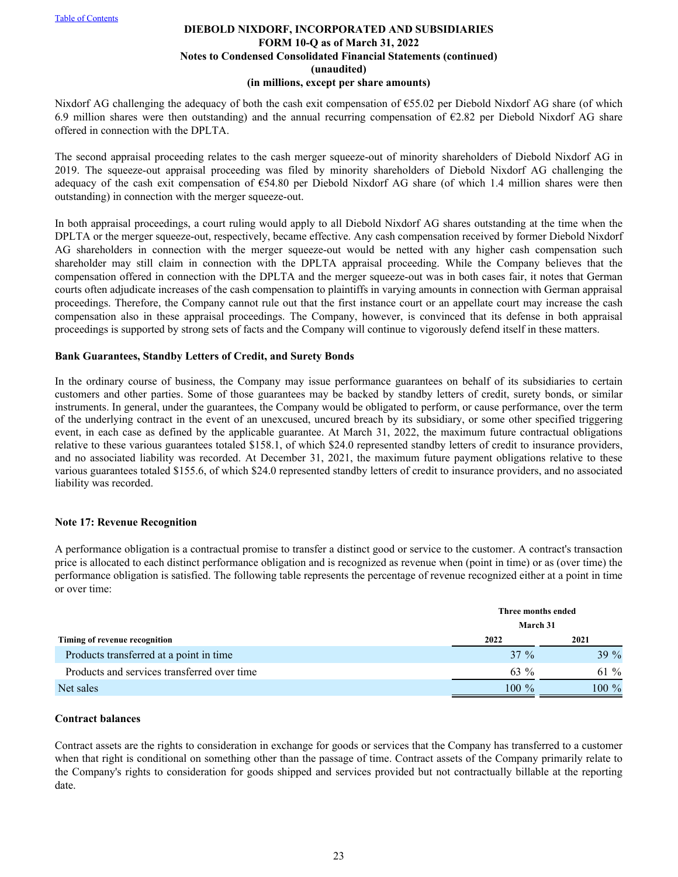Nixdorf AG challenging the adequacy of both the cash exit compensation of €55.02 per Diebold Nixdorf AG share (of which 6.9 million shares were then outstanding) and the annual recurring compensation of  $\epsilon$ 2.82 per Diebold Nixdorf AG share offered in connection with the DPLTA.

The second appraisal proceeding relates to the cash merger squeeze-out of minority shareholders of Diebold Nixdorf AG in 2019. The squeeze-out appraisal proceeding was filed by minority shareholders of Diebold Nixdorf AG challenging the adequacy of the cash exit compensation of €54.80 per Diebold Nixdorf AG share (of which 1.4 million shares were then outstanding) in connection with the merger squeeze-out.

In both appraisal proceedings, a court ruling would apply to all Diebold Nixdorf AG shares outstanding at the time when the DPLTA or the merger squeeze-out, respectively, became effective. Any cash compensation received by former Diebold Nixdorf AG shareholders in connection with the merger squeeze-out would be netted with any higher cash compensation such shareholder may still claim in connection with the DPLTA appraisal proceeding. While the Company believes that the compensation offered in connection with the DPLTA and the merger squeeze-out was in both cases fair, it notes that German courts often adjudicate increases of the cash compensation to plaintiffs in varying amounts in connection with German appraisal proceedings. Therefore, the Company cannot rule out that the first instance court or an appellate court may increase the cash compensation also in these appraisal proceedings. The Company, however, is convinced that its defense in both appraisal proceedings is supported by strong sets of facts and the Company will continue to vigorously defend itself in these matters.

#### **Bank Guarantees, Standby Letters of Credit, and Surety Bonds**

In the ordinary course of business, the Company may issue performance guarantees on behalf of its subsidiaries to certain customers and other parties. Some of those guarantees may be backed by standby letters of credit, surety bonds, or similar instruments. In general, under the guarantees, the Company would be obligated to perform, or cause performance, over the term of the underlying contract in the event of an unexcused, uncured breach by its subsidiary, or some other specified triggering event, in each case as defined by the applicable guarantee. At March 31, 2022, the maximum future contractual obligations relative to these various guarantees totaled \$158.1, of which \$24.0 represented standby letters of credit to insurance providers, and no associated liability was recorded. At December 31, 2021, the maximum future payment obligations relative to these various guarantees totaled \$155.6, of which \$24.0 represented standby letters of credit to insurance providers, and no associated liability was recorded.

#### **Note 17: Revenue Recognition**

A performance obligation is a contractual promise to transfer a distinct good or service to the customer. A contract's transaction price is allocated to each distinct performance obligation and is recognized as revenue when (point in time) or as (over time) the performance obligation is satisfied. The following table represents the percentage of revenue recognized either at a point in time or over time:

|                                             | Three months ended |          |
|---------------------------------------------|--------------------|----------|
|                                             | March 31           |          |
| Timing of revenue recognition               | 2022               | 2021     |
| Products transferred at a point in time     | $37 \%$            | $39\%$   |
| Products and services transferred over time | 63 %               | 61 $%$   |
| Net sales                                   | $100\%$            | $100 \%$ |

#### **Contract balances**

Contract assets are the rights to consideration in exchange for goods or services that the Company has transferred to a customer when that right is conditional on something other than the passage of time. Contract assets of the Company primarily relate to the Company's rights to consideration for goods shipped and services provided but not contractually billable at the reporting date.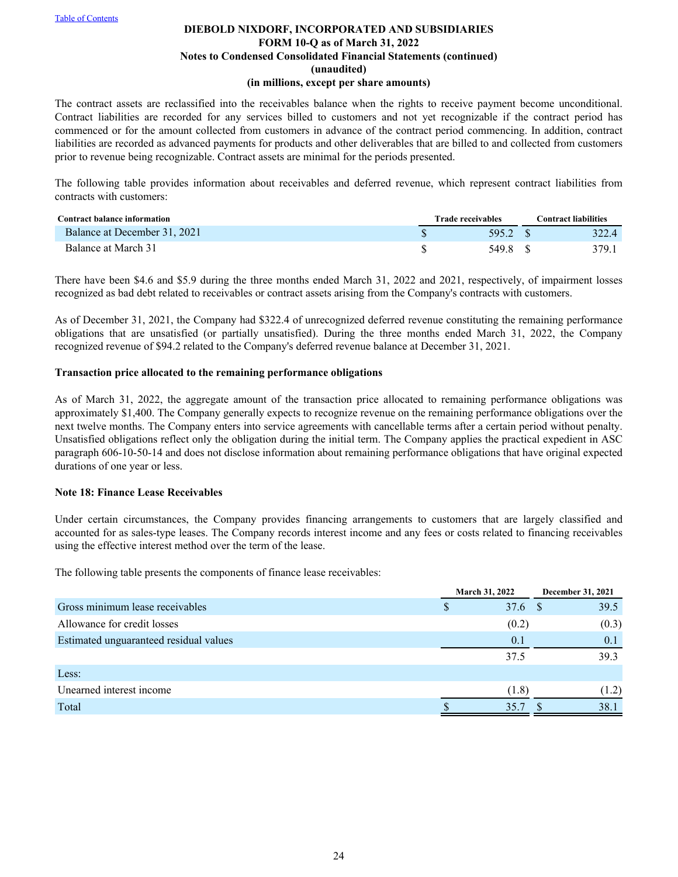The contract assets are reclassified into the receivables balance when the rights to receive payment become unconditional. Contract liabilities are recorded for any services billed to customers and not yet recognizable if the contract period has commenced or for the amount collected from customers in advance of the contract period commencing. In addition, contract liabilities are recorded as advanced payments for products and other deliverables that are billed to and collected from customers prior to revenue being recognizable. Contract assets are minimal for the periods presented.

The following table provides information about receivables and deferred revenue, which represent contract liabilities from contracts with customers:

| Contract balance information | <b>Trade receivables</b> | <b>Contract liabilities</b> |  |  |  |
|------------------------------|--------------------------|-----------------------------|--|--|--|
| Balance at December 31, 2021 | 595.2 S                  | 322.4                       |  |  |  |
| Balance at March 31          | 549.8                    | 379.1                       |  |  |  |

There have been \$4.6 and \$5.9 during the three months ended March 31, 2022 and 2021, respectively, of impairment losses recognized as bad debt related to receivables or contract assets arising from the Company's contracts with customers.

As of December 31, 2021, the Company had \$322.4 of unrecognized deferred revenue constituting the remaining performance obligations that are unsatisfied (or partially unsatisfied). During the three months ended March 31, 2022, the Company recognized revenue of \$94.2 related to the Company's deferred revenue balance at December 31, 2021.

#### **Transaction price allocated to the remaining performance obligations**

As of March 31, 2022, the aggregate amount of the transaction price allocated to remaining performance obligations was approximately \$1,400. The Company generally expects to recognize revenue on the remaining performance obligations over the next twelve months. The Company enters into service agreements with cancellable terms after a certain period without penalty. Unsatisfied obligations reflect only the obligation during the initial term. The Company applies the practical expedient in ASC paragraph 606-10-50-14 and does not disclose information about remaining performance obligations that have original expected durations of one year or less.

#### **Note 18: Finance Lease Receivables**

Under certain circumstances, the Company provides financing arrangements to customers that are largely classified and accounted for as sales-type leases. The Company records interest income and any fees or costs related to financing receivables using the effective interest method over the term of the lease.

The following table presents the components of finance lease receivables:

|                                        | March 31, 2022 | December 31, 2021 |
|----------------------------------------|----------------|-------------------|
| Gross minimum lease receivables        | 37.6           | 39.5              |
| Allowance for credit losses            | (0.2)          | (0.3)             |
| Estimated unguaranteed residual values | 0.1            | 0.1               |
|                                        | 37.5           | 39.3              |
| Less:                                  |                |                   |
| Unearned interest income               | (1.8)          | (1.2)             |
| Total                                  | 35.7           | 38.1              |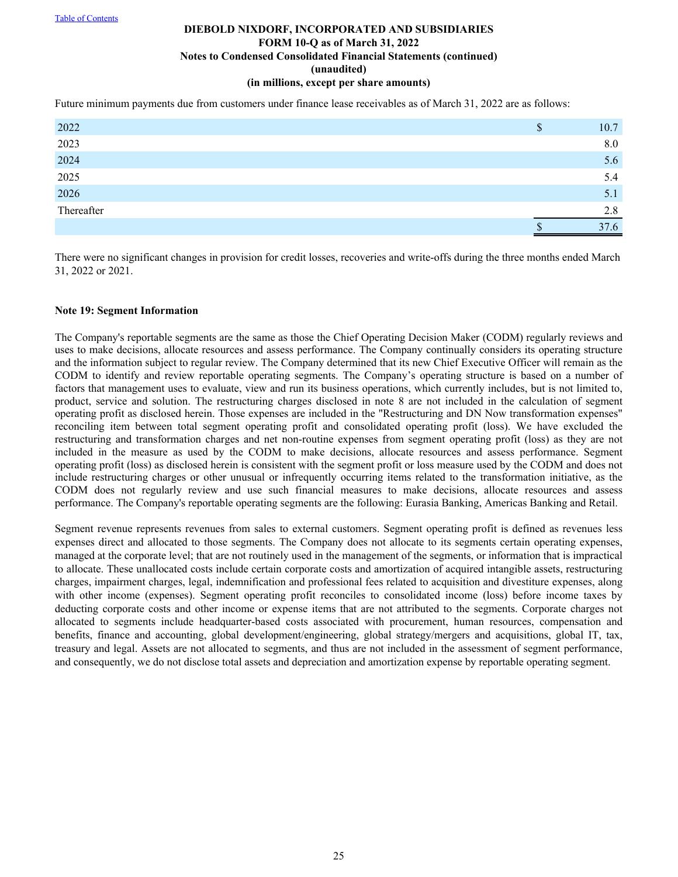Future minimum payments due from customers under finance lease receivables as of March 31, 2022 are as follows:

| 2022                 | 10.7 |
|----------------------|------|
| 2023                 | 8.0  |
|                      | 5.6  |
| 2024<br>2025<br>2026 | 5.4  |
|                      | 5.1  |
| Thereafter           | 2.8  |
|                      | 37.6 |

There were no significant changes in provision for credit losses, recoveries and write-offs during the three months ended March 31, 2022 or 2021.

#### **Note 19: Segment Information**

The Company's reportable segments are the same as those the Chief Operating Decision Maker (CODM) regularly reviews and uses to make decisions, allocate resources and assess performance. The Company continually considers its operating structure and the information subject to regular review. The Company determined that its new Chief Executive Officer will remain as the CODM to identify and review reportable operating segments. The Company's operating structure is based on a number of factors that management uses to evaluate, view and run its business operations, which currently includes, but is not limited to, product, service and solution. The restructuring charges disclosed in note 8 are not included in the calculation of segment operating profit as disclosed herein. Those expenses are included in the "Restructuring and DN Now transformation expenses" reconciling item between total segment operating profit and consolidated operating profit (loss). We have excluded the restructuring and transformation charges and net non-routine expenses from segment operating profit (loss) as they are not included in the measure as used by the CODM to make decisions, allocate resources and assess performance. Segment operating profit (loss) as disclosed herein is consistent with the segment profit or loss measure used by the CODM and does not include restructuring charges or other unusual or infrequently occurring items related to the transformation initiative, as the CODM does not regularly review and use such financial measures to make decisions, allocate resources and assess performance. The Company's reportable operating segments are the following: Eurasia Banking, Americas Banking and Retail.

Segment revenue represents revenues from sales to external customers. Segment operating profit is defined as revenues less expenses direct and allocated to those segments. The Company does not allocate to its segments certain operating expenses, managed at the corporate level; that are not routinely used in the management of the segments, or information that is impractical to allocate. These unallocated costs include certain corporate costs and amortization of acquired intangible assets, restructuring charges, impairment charges, legal, indemnification and professional fees related to acquisition and divestiture expenses, along with other income (expenses). Segment operating profit reconciles to consolidated income (loss) before income taxes by deducting corporate costs and other income or expense items that are not attributed to the segments. Corporate charges not allocated to segments include headquarter-based costs associated with procurement, human resources, compensation and benefits, finance and accounting, global development/engineering, global strategy/mergers and acquisitions, global IT, tax, treasury and legal. Assets are not allocated to segments, and thus are not included in the assessment of segment performance, and consequently, we do not disclose total assets and depreciation and amortization expense by reportable operating segment.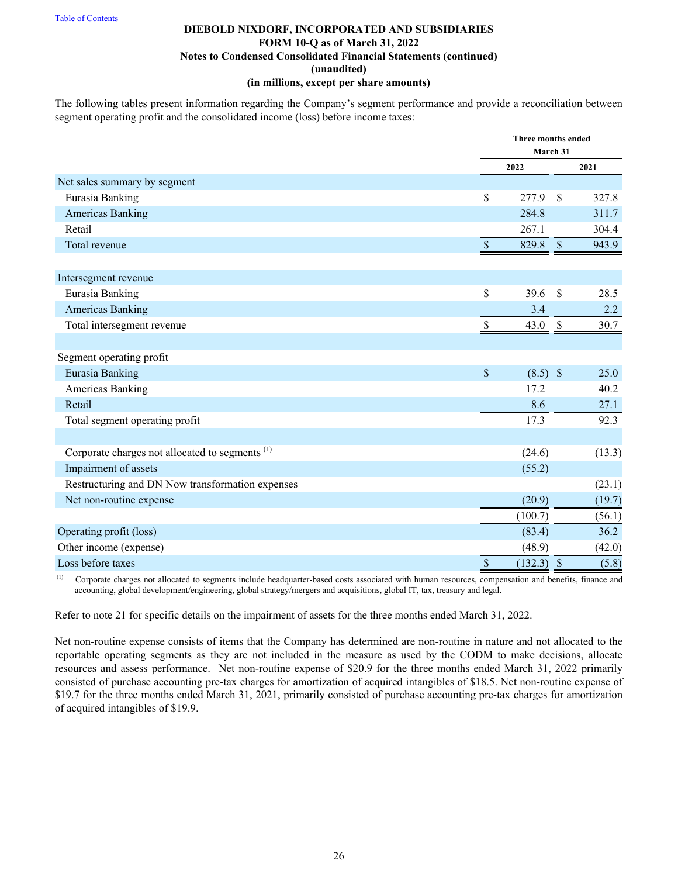The following tables present information regarding the Company's segment performance and provide a reconciliation between segment operating profit and the consolidated income (loss) before income taxes:

|                                                            |                           | Three months ended<br>March 31 |               |        |
|------------------------------------------------------------|---------------------------|--------------------------------|---------------|--------|
|                                                            |                           | 2022                           |               | 2021   |
| Net sales summary by segment                               |                           |                                |               |        |
| Eurasia Banking                                            | \$                        | 277.9                          | \$            | 327.8  |
| <b>Americas Banking</b>                                    |                           | 284.8                          |               | 311.7  |
| Retail                                                     |                           | 267.1                          |               | 304.4  |
| Total revenue                                              | $\mathcal{S}$             | 829.8                          | $\mathcal{S}$ | 943.9  |
|                                                            |                           |                                |               |        |
| Intersegment revenue                                       |                           |                                |               |        |
| Eurasia Banking                                            | \$                        | 39.6                           | \$            | 28.5   |
| <b>Americas Banking</b>                                    |                           | 3.4                            |               | 2.2    |
| Total intersegment revenue                                 | \$                        | 43.0                           | $\mathbb{S}$  | 30.7   |
|                                                            |                           |                                |               |        |
| Segment operating profit                                   |                           |                                |               |        |
| Eurasia Banking                                            | $\boldsymbol{\mathsf{S}}$ | $(8.5)$ \$                     |               | 25.0   |
| Americas Banking                                           |                           | 17.2                           |               | 40.2   |
| Retail                                                     |                           | 8.6                            |               | 27.1   |
| Total segment operating profit                             |                           | 17.3                           |               | 92.3   |
|                                                            |                           |                                |               |        |
| Corporate charges not allocated to segments <sup>(1)</sup> |                           | (24.6)                         |               | (13.3) |
| Impairment of assets                                       |                           | (55.2)                         |               |        |
| Restructuring and DN Now transformation expenses           |                           |                                |               | (23.1) |
| Net non-routine expense                                    |                           | (20.9)                         |               | (19.7) |
|                                                            |                           | (100.7)                        |               | (56.1) |
| Operating profit (loss)                                    |                           | (83.4)                         |               | 36.2   |
| Other income (expense)                                     |                           | (48.9)                         |               | (42.0) |
| Loss before taxes                                          | $\boldsymbol{\mathsf{S}}$ | $(132.3)$ \$                   |               | (5.8)  |

<sup>(1)</sup> Corporate charges not allocated to segments include headquarter-based costs associated with human resources, compensation and benefits, finance and accounting, global development/engineering, global strategy/mergers and acquisitions, global IT, tax, treasury and legal.

Refer to note 21 for specific details on the impairment of assets for the three months ended March 31, 2022.

Net non-routine expense consists of items that the Company has determined are non-routine in nature and not allocated to the reportable operating segments as they are not included in the measure as used by the CODM to make decisions, allocate resources and assess performance. Net non-routine expense of \$20.9 for the three months ended March 31, 2022 primarily consisted of purchase accounting pre-tax charges for amortization of acquired intangibles of \$18.5. Net non-routine expense of \$19.7 for the three months ended March 31, 2021, primarily consisted of purchase accounting pre-tax charges for amortization of acquired intangibles of \$19.9.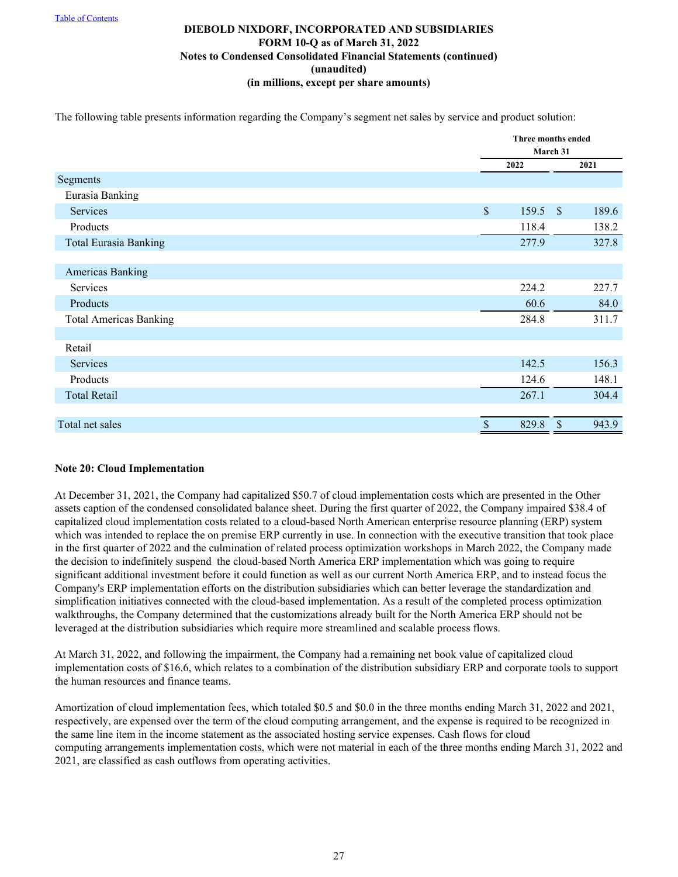The following table presents information regarding the Company's segment net sales by service and product solution:

|                               |               | Three months ended   |
|-------------------------------|---------------|----------------------|
|                               |               | March 31             |
|                               | 2022          | 2021                 |
| Segments                      |               |                      |
| Eurasia Banking               |               |                      |
| Services                      | $\mathsf{\$}$ | $159.5$ \$<br>189.6  |
| Products                      |               | 138.2<br>118.4       |
| <b>Total Eurasia Banking</b>  |               | 327.8<br>277.9       |
|                               |               |                      |
| Americas Banking              |               |                      |
| Services                      |               | 224.2<br>227.7       |
| Products                      |               | 60.6<br>84.0         |
| <b>Total Americas Banking</b> |               | 284.8<br>311.7       |
|                               |               |                      |
| Retail                        |               |                      |
| Services                      |               | 142.5<br>156.3       |
| Products                      |               | 148.1<br>124.6       |
| <b>Total Retail</b>           |               | 267.1<br>304.4       |
|                               |               |                      |
| Total net sales               | $\mathcal{S}$ | 829.8<br>943.9<br>\$ |

## **Note 20: Cloud Implementation**

At December 31, 2021, the Company had capitalized \$50.7 of cloud implementation costs which are presented in the Other assets caption of the condensed consolidated balance sheet. During the first quarter of 2022, the Company impaired \$38.4 of capitalized cloud implementation costs related to a cloud-based North American enterprise resource planning (ERP) system which was intended to replace the on premise ERP currently in use. In connection with the executive transition that took place in the first quarter of 2022 and the culmination of related process optimization workshops in March 2022, the Company made the decision to indefinitely suspend the cloud-based North America ERP implementation which was going to require significant additional investment before it could function as well as our current North America ERP, and to instead focus the Company's ERP implementation efforts on the distribution subsidiaries which can better leverage the standardization and simplification initiatives connected with the cloud-based implementation. As a result of the completed process optimization walkthroughs, the Company determined that the customizations already built for the North America ERP should not be leveraged at the distribution subsidiaries which require more streamlined and scalable process flows.

At March 31, 2022, and following the impairment, the Company had a remaining net book value of capitalized cloud implementation costs of \$16.6, which relates to a combination of the distribution subsidiary ERP and corporate tools to support the human resources and finance teams.

Amortization of cloud implementation fees, which totaled \$0.5 and \$0.0 in the three months ending March 31, 2022 and 2021, respectively, are expensed over the term of the cloud computing arrangement, and the expense is required to be recognized in the same line item in the income statement as the associated hosting service expenses. Cash flows for cloud computing arrangements implementation costs, which were not material in each of the three months ending March 31, 2022 and 2021, are classified as cash outflows from operating activities.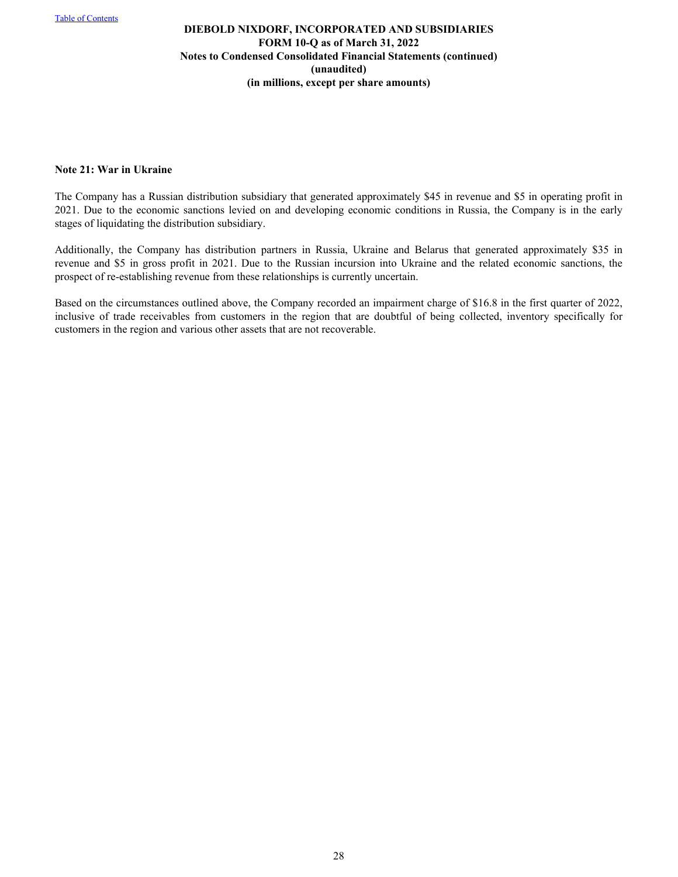#### **Note 21: War in Ukraine**

The Company has a Russian distribution subsidiary that generated approximately \$45 in revenue and \$5 in operating profit in 2021. Due to the economic sanctions levied on and developing economic conditions in Russia, the Company is in the early stages of liquidating the distribution subsidiary.

Additionally, the Company has distribution partners in Russia, Ukraine and Belarus that generated approximately \$35 in revenue and \$5 in gross profit in 2021. Due to the Russian incursion into Ukraine and the related economic sanctions, the prospect of re-establishing revenue from these relationships is currently uncertain.

Based on the circumstances outlined above, the Company recorded an impairment charge of \$16.8 in the first quarter of 2022, inclusive of trade receivables from customers in the region that are doubtful of being collected, inventory specifically for customers in the region and various other assets that are not recoverable.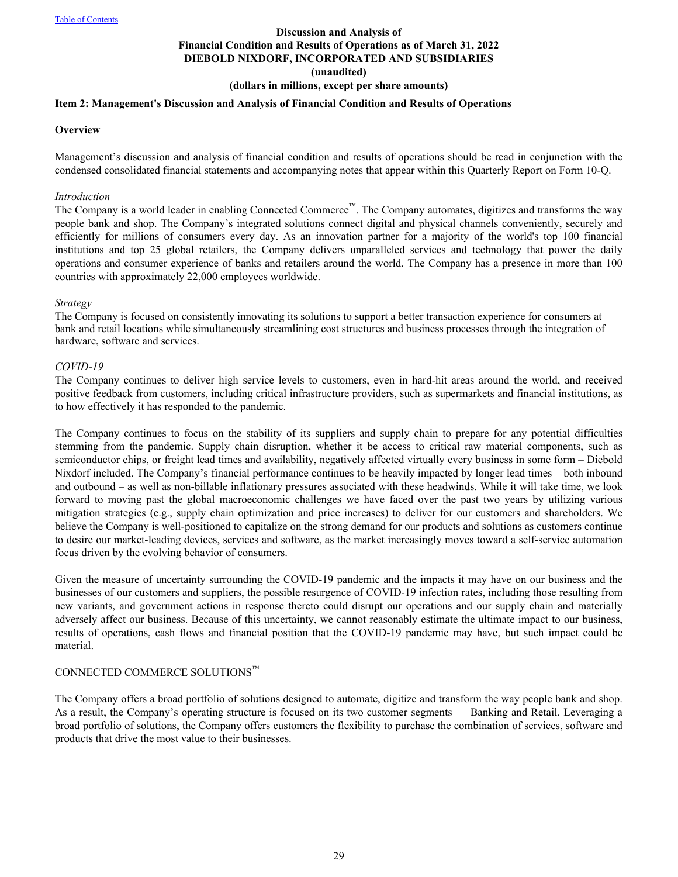# **Discussion and Analysis of Financial Condition and Results of Operations as of March 31, 2022 DIEBOLD NIXDORF, INCORPORATED AND SUBSIDIARIES (unaudited)**

# **(dollars in millions, except per share amounts)**

### <span id="page-28-0"></span>**Item 2: Management's Discussion and Analysis of Financial Condition and Results of Operations**

#### **Overview**

Management's discussion and analysis of financial condition and results of operations should be read in conjunction with the condensed consolidated financial statements and accompanying notes that appear within this Quarterly Report on Form 10-Q.

#### *Introduction*

The Company is a world leader in enabling Connected Commerce™. The Company automates, digitizes and transforms the way people bank and shop. The Company's integrated solutions connect digital and physical channels conveniently, securely and efficiently for millions of consumers every day. As an innovation partner for a majority of the world's top 100 financial institutions and top 25 global retailers, the Company delivers unparalleled services and technology that power the daily operations and consumer experience of banks and retailers around the world. The Company has a presence in more than 100 countries with approximately 22,000 employees worldwide.

#### *Strategy*

The Company is focused on consistently innovating its solutions to support a better transaction experience for consumers at bank and retail locations while simultaneously streamlining cost structures and business processes through the integration of hardware, software and services.

#### *COVID-19*

The Company continues to deliver high service levels to customers, even in hard-hit areas around the world, and received positive feedback from customers, including critical infrastructure providers, such as supermarkets and financial institutions, as to how effectively it has responded to the pandemic.

The Company continues to focus on the stability of its suppliers and supply chain to prepare for any potential difficulties stemming from the pandemic. Supply chain disruption, whether it be access to critical raw material components, such as semiconductor chips, or freight lead times and availability, negatively affected virtually every business in some form – Diebold Nixdorf included. The Company's financial performance continues to be heavily impacted by longer lead times – both inbound and outbound – as well as non-billable inflationary pressures associated with these headwinds. While it will take time, we look forward to moving past the global macroeconomic challenges we have faced over the past two years by utilizing various mitigation strategies (e.g., supply chain optimization and price increases) to deliver for our customers and shareholders. We believe the Company is well-positioned to capitalize on the strong demand for our products and solutions as customers continue to desire our market-leading devices, services and software, as the market increasingly moves toward a self-service automation focus driven by the evolving behavior of consumers.

Given the measure of uncertainty surrounding the COVID-19 pandemic and the impacts it may have on our business and the businesses of our customers and suppliers, the possible resurgence of COVID-19 infection rates, including those resulting from new variants, and government actions in response thereto could disrupt our operations and our supply chain and materially adversely affect our business. Because of this uncertainty, we cannot reasonably estimate the ultimate impact to our business, results of operations, cash flows and financial position that the COVID-19 pandemic may have, but such impact could be material.

#### CONNECTED COMMERCE SOLUTIONS™

The Company offers a broad portfolio of solutions designed to automate, digitize and transform the way people bank and shop. As a result, the Company's operating structure is focused on its two customer segments — Banking and Retail. Leveraging a broad portfolio of solutions, the Company offers customers the flexibility to purchase the combination of services, software and products that drive the most value to their businesses.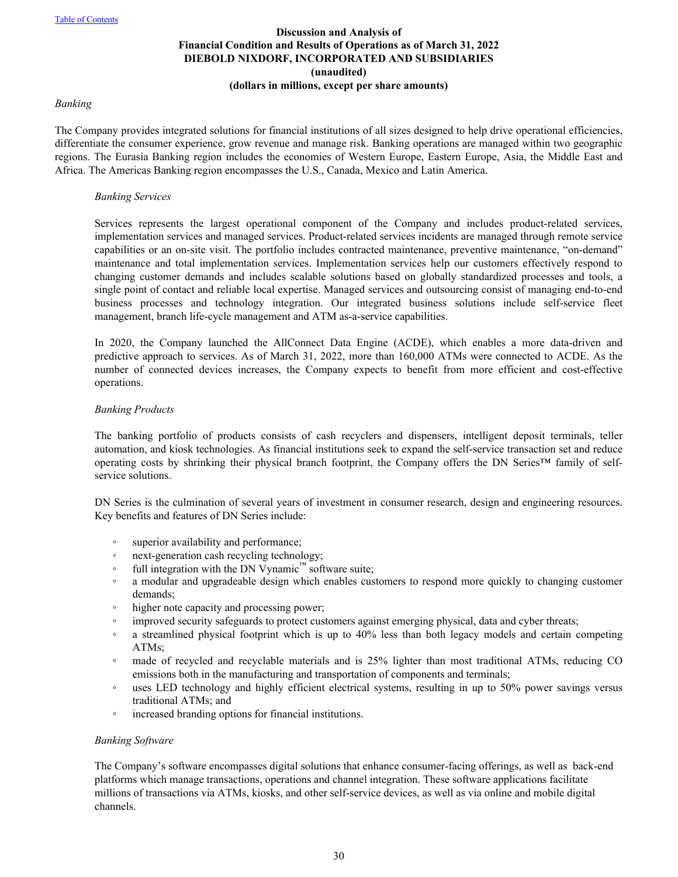#### *Banking*

The Company provides integrated solutions for financial institutions of all sizes designed to help drive operational efficiencies, differentiate the consumer experience, grow revenue and manage risk. Banking operations are managed within two geographic regions. The Eurasia Banking region includes the economies of Western Europe, Eastern Europe, Asia, the Middle East and Africa. The Americas Banking region encompasses the U.S., Canada, Mexico and Latin America.

#### *Banking Services*

Services represents the largest operational component of the Company and includes product-related services, implementation services and managed services. Product-related services incidents are managed through remote service capabilities or an on-site visit. The portfolio includes contracted maintenance, preventive maintenance, "on-demand" maintenance and total implementation services. Implementation services help our customers effectively respond to changing customer demands and includes scalable solutions based on globally standardized processes and tools, a single point of contact and reliable local expertise. Managed services and outsourcing consist of managing end-to-end business processes and technology integration. Our integrated business solutions include self-service fleet management, branch life-cycle management and ATM as-a-service capabilities.

In 2020, the Company launched the AllConnect Data Engine (ACDE), which enables a more data-driven and predictive approach to services. As of March 31, 2022, more than 160,000 ATMs were connected to ACDE. As the number of connected devices increases, the Company expects to benefit from more efficient and cost-effective operations.

#### *Banking Products*

The banking portfolio of products consists of cash recyclers and dispensers, intelligent deposit terminals, teller automation, and kiosk technologies. As financial institutions seek to expand the self-service transaction set and reduce operating costs by shrinking their physical branch footprint, the Company offers the DN Series™ family of selfservice solutions.

DN Series is the culmination of several years of investment in consumer research, design and engineering resources. Key benefits and features of DN Series include:

- superior availability and performance;
- next-generation cash recycling technology;
- full integration with the DN Vynamic™ software suite;
- a modular and upgradeable design which enables customers to respond more quickly to changing customer demands;
- higher note capacity and processing power;
- improved security safeguards to protect customers against emerging physical, data and cyber threats;
- a streamlined physical footprint which is up to 40% less than both legacy models and certain competing ATMs;
- made of recycled and recyclable materials and is 25% lighter than most traditional ATMs, reducing CO emissions both in the manufacturing and transportation of components and terminals;
- uses LED technology and highly efficient electrical systems, resulting in up to 50% power savings versus traditional ATMs; and
- increased branding options for financial institutions.

#### *Banking Software*

The Company's software encompasses digital solutions that enhance consumer-facing offerings, as well as back-end platforms which manage transactions, operations and channel integration. These software applications facilitate millions of transactions via ATMs, kiosks, and other self-service devices, as well as via online and mobile digital channels.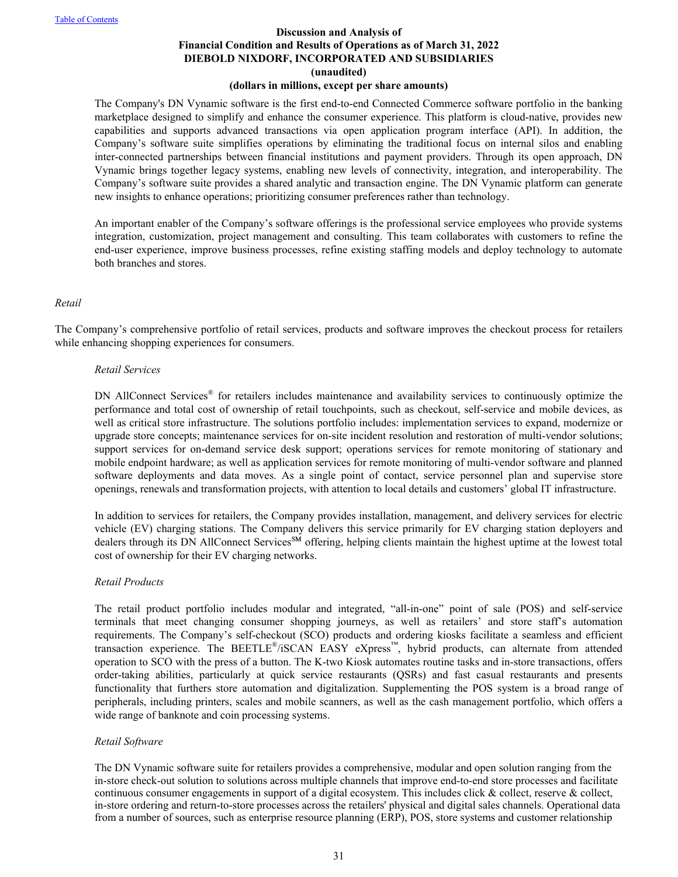# **Discussion and Analysis of Financial Condition and Results of Operations as of March 31, 2022 DIEBOLD NIXDORF, INCORPORATED AND SUBSIDIARIES (unaudited)**

#### **(dollars in millions, except per share amounts)**

The Company's DN Vynamic software is the first end-to-end Connected Commerce software portfolio in the banking marketplace designed to simplify and enhance the consumer experience. This platform is cloud-native, provides new capabilities and supports advanced transactions via open application program interface (API). In addition, the Company's software suite simplifies operations by eliminating the traditional focus on internal silos and enabling inter-connected partnerships between financial institutions and payment providers. Through its open approach, DN Vynamic brings together legacy systems, enabling new levels of connectivity, integration, and interoperability. The Company's software suite provides a shared analytic and transaction engine. The DN Vynamic platform can generate new insights to enhance operations; prioritizing consumer preferences rather than technology.

An important enabler of the Company's software offerings is the professional service employees who provide systems integration, customization, project management and consulting. This team collaborates with customers to refine the end-user experience, improve business processes, refine existing staffing models and deploy technology to automate both branches and stores.

#### *Retail*

The Company's comprehensive portfolio of retail services, products and software improves the checkout process for retailers while enhancing shopping experiences for consumers.

#### *Retail Services*

DN AllConnect Services® for retailers includes maintenance and availability services to continuously optimize the performance and total cost of ownership of retail touchpoints, such as checkout, self-service and mobile devices, as well as critical store infrastructure. The solutions portfolio includes: implementation services to expand, modernize or upgrade store concepts; maintenance services for on-site incident resolution and restoration of multi-vendor solutions; support services for on-demand service desk support; operations services for remote monitoring of stationary and mobile endpoint hardware; as well as application services for remote monitoring of multi-vendor software and planned software deployments and data moves. As a single point of contact, service personnel plan and supervise store openings, renewals and transformation projects, with attention to local details and customers' global IT infrastructure.

In addition to services for retailers, the Company provides installation, management, and delivery services for electric vehicle (EV) charging stations. The Company delivers this service primarily for EV charging station deployers and dealers through its DN AllConnect Services<sup>SM</sup> offering, helping clients maintain the highest uptime at the lowest total cost of ownership for their EV charging networks.

#### *Retail Products*

The retail product portfolio includes modular and integrated, "all-in-one" point of sale (POS) and self-service terminals that meet changing consumer shopping journeys, as well as retailers' and store staff's automation requirements. The Company's self-checkout (SCO) products and ordering kiosks facilitate a seamless and efficient transaction experience. The BEETLE®/iSCAN EASY eXpress™, hybrid products, can alternate from attended operation to SCO with the press of a button. The K-two Kiosk automates routine tasks and in-store transactions, offers order-taking abilities, particularly at quick service restaurants (QSRs) and fast casual restaurants and presents functionality that furthers store automation and digitalization. Supplementing the POS system is a broad range of peripherals, including printers, scales and mobile scanners, as well as the cash management portfolio, which offers a wide range of banknote and coin processing systems.

#### *Retail Software*

The DN Vynamic software suite for retailers provides a comprehensive, modular and open solution ranging from the in-store check-out solution to solutions across multiple channels that improve end-to-end store processes and facilitate continuous consumer engagements in support of a digital ecosystem. This includes click  $\&$  collect, reserve  $\&$  collect, in-store ordering and return-to-store processes across the retailers' physical and digital sales channels. Operational data from a number of sources, such as enterprise resource planning (ERP), POS, store systems and customer relationship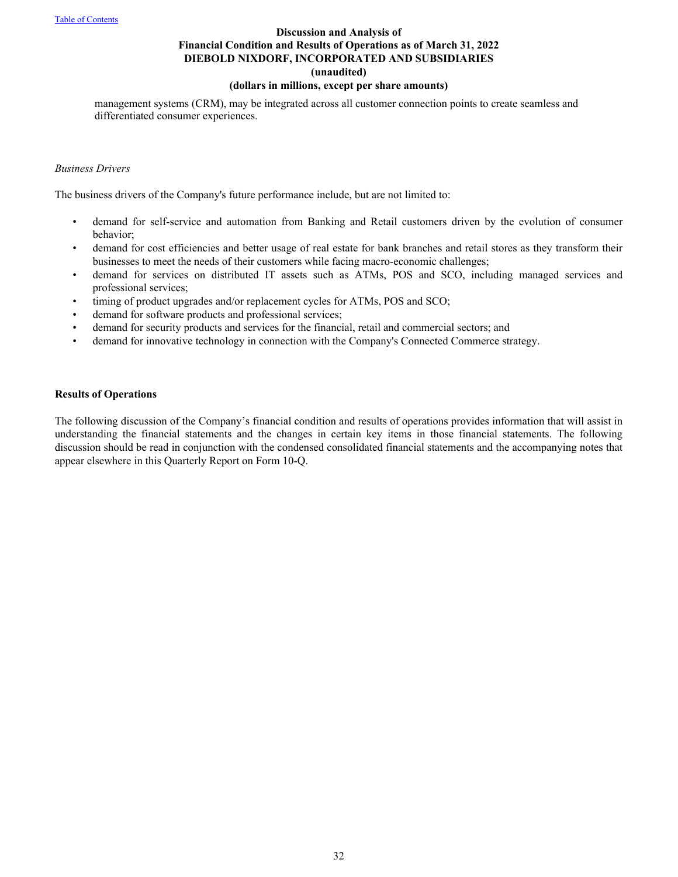# **Discussion and Analysis of Financial Condition and Results of Operations as of March 31, 2022 DIEBOLD NIXDORF, INCORPORATED AND SUBSIDIARIES (unaudited)**

# **(dollars in millions, except per share amounts)**

management systems (CRM), may be integrated across all customer connection points to create seamless and differentiated consumer experiences.

#### *Business Drivers*

The business drivers of the Company's future performance include, but are not limited to:

- demand for self-service and automation from Banking and Retail customers driven by the evolution of consumer behavior;
- demand for cost efficiencies and better usage of real estate for bank branches and retail stores as they transform their businesses to meet the needs of their customers while facing macro-economic challenges;
- demand for services on distributed IT assets such as ATMs, POS and SCO, including managed services and professional services;
- timing of product upgrades and/or replacement cycles for ATMs, POS and SCO;
- demand for software products and professional services;
- demand for security products and services for the financial, retail and commercial sectors; and
- demand for innovative technology in connection with the Company's Connected Commerce strategy.

#### **Results of Operations**

The following discussion of the Company's financial condition and results of operations provides information that will assist in understanding the financial statements and the changes in certain key items in those financial statements. The following discussion should be read in conjunction with the condensed consolidated financial statements and the accompanying notes that appear elsewhere in this Quarterly Report on Form 10-Q.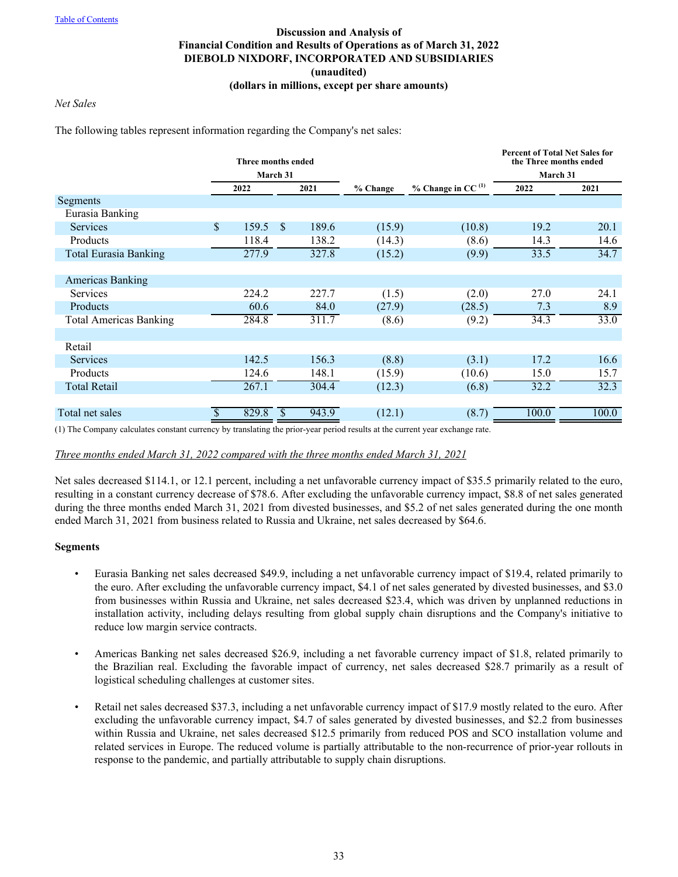# *Net Sales*

The following tables represent information regarding the Company's net sales:

|                               |    | <b>Three months ended</b> |               |       |          |                                 | <b>Percent of Total Net Sales for</b><br>the Three months ended |       |
|-------------------------------|----|---------------------------|---------------|-------|----------|---------------------------------|-----------------------------------------------------------------|-------|
|                               |    |                           | March 31      |       |          |                                 | March 31                                                        |       |
|                               |    | 2022                      |               | 2021  | % Change | $%$ Change in CC <sup>(1)</sup> | 2022                                                            | 2021  |
| Segments                      |    |                           |               |       |          |                                 |                                                                 |       |
| Eurasia Banking               |    |                           |               |       |          |                                 |                                                                 |       |
| <b>Services</b>               | \$ | 159.5                     | <sup>\$</sup> | 189.6 | (15.9)   | (10.8)                          | 19.2                                                            | 20.1  |
| Products                      |    | 118.4                     |               | 138.2 | (14.3)   | (8.6)                           | 14.3                                                            | 14.6  |
| <b>Total Eurasia Banking</b>  |    | 277.9                     |               | 327.8 | (15.2)   | (9.9)                           | 33.5                                                            | 34.7  |
|                               |    |                           |               |       |          |                                 |                                                                 |       |
| <b>Americas Banking</b>       |    |                           |               |       |          |                                 |                                                                 |       |
| <b>Services</b>               |    | 224.2                     |               | 227.7 | (1.5)    | (2.0)                           | 27.0                                                            | 24.1  |
| Products                      |    | 60.6                      |               | 84.0  | (27.9)   | (28.5)                          | 7.3                                                             | 8.9   |
| <b>Total Americas Banking</b> |    | 284.8                     |               | 311.7 | (8.6)    | (9.2)                           | 34.3                                                            | 33.0  |
|                               |    |                           |               |       |          |                                 |                                                                 |       |
| Retail                        |    |                           |               |       |          |                                 |                                                                 |       |
| <b>Services</b>               |    | 142.5                     |               | 156.3 | (8.8)    | (3.1)                           | 17.2                                                            | 16.6  |
| Products                      |    | 124.6                     |               | 148.1 | (15.9)   | (10.6)                          | 15.0                                                            | 15.7  |
| <b>Total Retail</b>           |    | 267.1                     |               | 304.4 | (12.3)   | (6.8)                           | 32.2                                                            | 32.3  |
|                               |    |                           |               |       |          |                                 |                                                                 |       |
| Total net sales               | S  | 829.8                     | $\mathbb{S}$  | 943.9 | (12.1)   | (8.7)                           | 100.0                                                           | 100.0 |

(1) The Company calculates constant currency by translating the prior-year period results at the current year exchange rate.

*Three months ended March 31, 2022 compared with the three months ended March 31, 2021*

Net sales decreased \$114.1, or 12.1 percent, including a net unfavorable currency impact of \$35.5 primarily related to the euro, resulting in a constant currency decrease of \$78.6. After excluding the unfavorable currency impact, \$8.8 of net sales generated during the three months ended March 31, 2021 from divested businesses, and \$5.2 of net sales generated during the one month ended March 31, 2021 from business related to Russia and Ukraine, net sales decreased by \$64.6.

#### **Segments**

- Eurasia Banking net sales decreased \$49.9, including a net unfavorable currency impact of \$19.4, related primarily to the euro. After excluding the unfavorable currency impact, \$4.1 of net sales generated by divested businesses, and \$3.0 from businesses within Russia and Ukraine, net sales decreased \$23.4, which was driven by unplanned reductions in installation activity, including delays resulting from global supply chain disruptions and the Company's initiative to reduce low margin service contracts.
- Americas Banking net sales decreased \$26.9, including a net favorable currency impact of \$1.8, related primarily to the Brazilian real. Excluding the favorable impact of currency, net sales decreased \$28.7 primarily as a result of logistical scheduling challenges at customer sites.
- Retail net sales decreased \$37.3, including a net unfavorable currency impact of \$17.9 mostly related to the euro. After excluding the unfavorable currency impact, \$4.7 of sales generated by divested businesses, and \$2.2 from businesses within Russia and Ukraine, net sales decreased \$12.5 primarily from reduced POS and SCO installation volume and related services in Europe. The reduced volume is partially attributable to the non-recurrence of prior-year rollouts in response to the pandemic, and partially attributable to supply chain disruptions.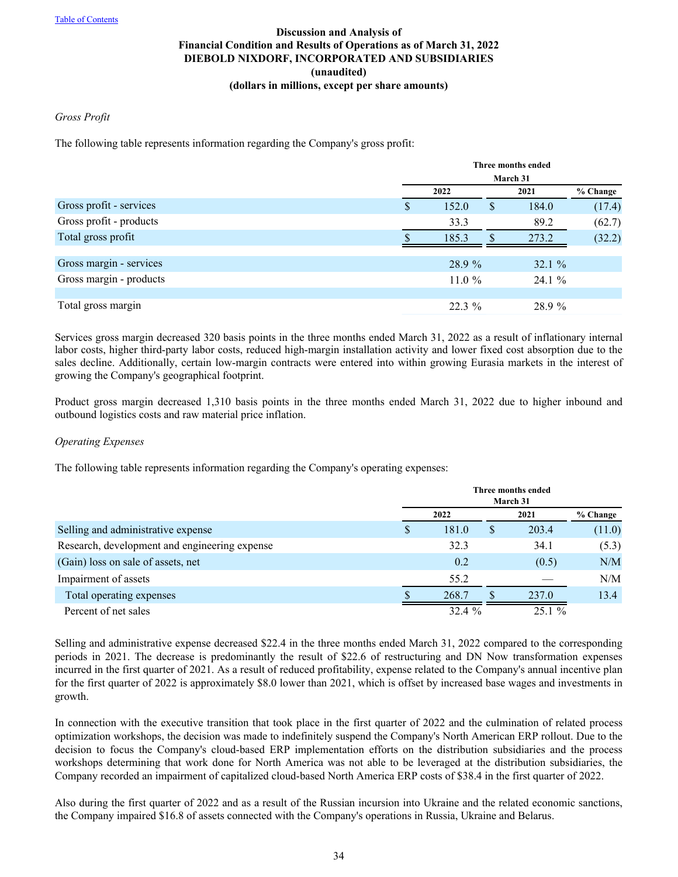#### *Gross Profit*

The following table represents information regarding the Company's gross profit:

|                         | Three months ended |     |        |          |  |  |
|-------------------------|--------------------|-----|--------|----------|--|--|
|                         | March 31           |     |        |          |  |  |
|                         | 2022               |     | 2021   | % Change |  |  |
| Gross profit - services | \$<br>152.0        | S   | 184.0  | (17.4)   |  |  |
| Gross profit - products | 33.3               |     | 89.2   | (62.7)   |  |  |
| Total gross profit      | 185.3              | \$. | 273.2  | (32.2)   |  |  |
|                         |                    |     |        |          |  |  |
| Gross margin - services | 28.9 %             |     | 32.1%  |          |  |  |
| Gross margin - products | 11.0 $%$           |     | 24.1%  |          |  |  |
|                         |                    |     |        |          |  |  |
| Total gross margin      | $22.3\%$           |     | 28.9 % |          |  |  |

Services gross margin decreased 320 basis points in the three months ended March 31, 2022 as a result of inflationary internal labor costs, higher third-party labor costs, reduced high-margin installation activity and lower fixed cost absorption due to the sales decline. Additionally, certain low-margin contracts were entered into within growing Eurasia markets in the interest of growing the Company's geographical footprint.

Product gross margin decreased 1,310 basis points in the three months ended March 31, 2022 due to higher inbound and outbound logistics costs and raw material price inflation.

#### *Operating Expenses*

The following table represents information regarding the Company's operating expenses:

|                                               | Three months ended<br>March 31 |   |       |          |  |
|-----------------------------------------------|--------------------------------|---|-------|----------|--|
|                                               | 2022                           |   | 2021  | % Change |  |
| Selling and administrative expense            | \$<br>181.0                    | S | 203.4 | (11.0)   |  |
| Research, development and engineering expense | 32.3                           |   | 34.1  | (5.3)    |  |
| (Gain) loss on sale of assets, net            | 0.2                            |   | (0.5) | N/M      |  |
| Impairment of assets                          | 55.2                           |   |       | N/M      |  |
| Total operating expenses                      | 268.7                          | S | 237.0 | 13.4     |  |
| Percent of net sales                          | 32.4%                          |   | 25.1% |          |  |

Selling and administrative expense decreased \$22.4 in the three months ended March 31, 2022 compared to the corresponding periods in 2021. The decrease is predominantly the result of \$22.6 of restructuring and DN Now transformation expenses incurred in the first quarter of 2021. As a result of reduced profitability, expense related to the Company's annual incentive plan for the first quarter of 2022 is approximately \$8.0 lower than 2021, which is offset by increased base wages and investments in growth.

In connection with the executive transition that took place in the first quarter of 2022 and the culmination of related process optimization workshops, the decision was made to indefinitely suspend the Company's North American ERP rollout. Due to the decision to focus the Company's cloud-based ERP implementation efforts on the distribution subsidiaries and the process workshops determining that work done for North America was not able to be leveraged at the distribution subsidiaries, the Company recorded an impairment of capitalized cloud-based North America ERP costs of \$38.4 in the first quarter of 2022.

Also during the first quarter of 2022 and as a result of the Russian incursion into Ukraine and the related economic sanctions, the Company impaired \$16.8 of assets connected with the Company's operations in Russia, Ukraine and Belarus.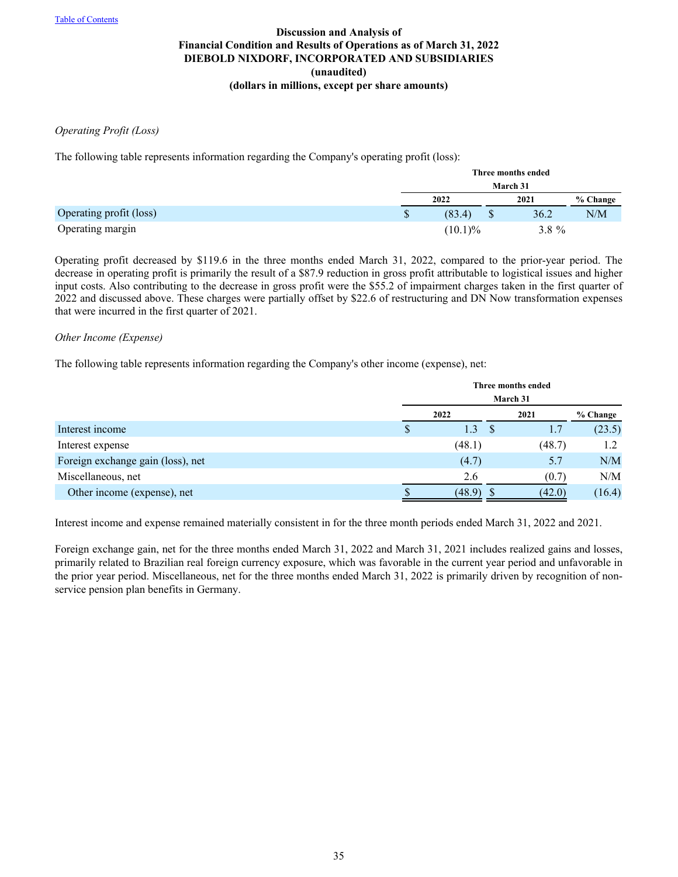#### *Operating Profit (Loss)*

The following table represents information regarding the Company's operating profit (loss):

|                         | Three months ended |            |      |          |          |  |
|-------------------------|--------------------|------------|------|----------|----------|--|
|                         | March 31           |            |      |          |          |  |
|                         |                    | 2022       | 2021 |          | % Change |  |
| Operating profit (loss) | \$                 | (83.4)     |      | 36.2     | N/M      |  |
| Operating margin        |                    | $(10.1)\%$ |      | $3.8 \%$ |          |  |

Operating profit decreased by \$119.6 in the three months ended March 31, 2022, compared to the prior-year period. The decrease in operating profit is primarily the result of a \$87.9 reduction in gross profit attributable to logistical issues and higher input costs. Also contributing to the decrease in gross profit were the \$55.2 of impairment charges taken in the first quarter of 2022 and discussed above. These charges were partially offset by \$22.6 of restructuring and DN Now transformation expenses that were incurred in the first quarter of 2021.

#### *Other Income (Expense)*

The following table represents information regarding the Company's other income (expense), net:

|                                   |   | Three months ended<br>March 31 |  |        |          |  |
|-----------------------------------|---|--------------------------------|--|--------|----------|--|
|                                   |   | 2022                           |  | 2021   | % Change |  |
| Interest income                   | S | 1.3                            |  | 1.7    | (23.5)   |  |
| Interest expense                  |   | (48.1)                         |  | (48.7) | 1.2      |  |
| Foreign exchange gain (loss), net |   | (4.7)                          |  | 5.7    | N/M      |  |
| Miscellaneous, net                |   | 2.6                            |  | (0.7)  | N/M      |  |
| Other income (expense), net       |   | (48.9)                         |  | (42.0) | (16.4)   |  |

Interest income and expense remained materially consistent in for the three month periods ended March 31, 2022 and 2021.

Foreign exchange gain, net for the three months ended March 31, 2022 and March 31, 2021 includes realized gains and losses, primarily related to Brazilian real foreign currency exposure, which was favorable in the current year period and unfavorable in the prior year period. Miscellaneous, net for the three months ended March 31, 2022 is primarily driven by recognition of nonservice pension plan benefits in Germany.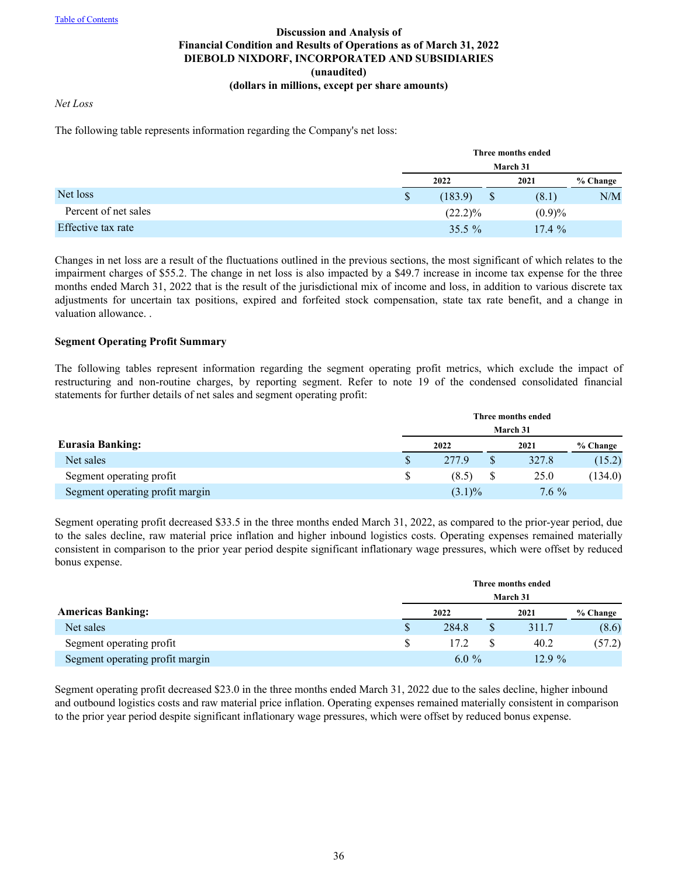### *Net Loss*

The following table represents information regarding the Company's net loss:

|                      |    | Three months ended<br>March 31 |  |           |          |  |
|----------------------|----|--------------------------------|--|-----------|----------|--|
|                      |    |                                |  |           |          |  |
|                      |    | 2022                           |  | 2021      | % Change |  |
| Net loss             | \$ | (183.9)                        |  | (8.1)     | N/M      |  |
| Percent of net sales |    | $(22.2)\%$                     |  | $(0.9)\%$ |          |  |
| Effective tax rate   |    | $35.5\%$                       |  | 17.4%     |          |  |

Changes in net loss are a result of the fluctuations outlined in the previous sections, the most significant of which relates to the impairment charges of \$55.2. The change in net loss is also impacted by a \$49.7 increase in income tax expense for the three months ended March 31, 2022 that is the result of the jurisdictional mix of income and loss, in addition to various discrete tax adjustments for uncertain tax positions, expired and forfeited stock compensation, state tax rate benefit, and a change in valuation allowance. .

#### **Segment Operating Profit Summary**

The following tables represent information regarding the segment operating profit metrics, which exclude the impact of restructuring and non-routine charges, by reporting segment. Refer to note 19 of the condensed consolidated financial statements for further details of net sales and segment operating profit:

|                                 |    |  | Three months ended |  |         |          |  |  |
|---------------------------------|----|--|--------------------|--|---------|----------|--|--|
|                                 |    |  | March 31           |  |         |          |  |  |
| <b>Eurasia Banking:</b>         |    |  | 2022               |  | 2021    | % Change |  |  |
| Net sales                       | S  |  | 277.9              |  | 327.8   | (15.2)   |  |  |
| Segment operating profit        | S. |  | (8.5)              |  | 25.0    | (134.0)  |  |  |
| Segment operating profit margin |    |  | $(3.1)\%$          |  | $7.6\%$ |          |  |  |

Segment operating profit decreased \$33.5 in the three months ended March 31, 2022, as compared to the prior-year period, due to the sales decline, raw material price inflation and higher inbound logistics costs. Operating expenses remained materially consistent in comparison to the prior year period despite significant inflationary wage pressures, which were offset by reduced bonus expense.

|                                 |               | Three months ended |          |  |          |          |  |
|---------------------------------|---------------|--------------------|----------|--|----------|----------|--|
|                                 |               |                    | March 31 |  |          |          |  |
| <b>Americas Banking:</b>        | 2022          |                    |          |  | 2021     | % Change |  |
| Net sales                       | \$            |                    | 284.8    |  | 311.7    | (8.6)    |  |
| Segment operating profit        | <sup>\$</sup> |                    | 17.2     |  | 40.2     | (57.2)   |  |
| Segment operating profit margin |               |                    | $6.0\%$  |  | $12.9\%$ |          |  |

Segment operating profit decreased \$23.0 in the three months ended March 31, 2022 due to the sales decline, higher inbound and outbound logistics costs and raw material price inflation. Operating expenses remained materially consistent in comparison to the prior year period despite significant inflationary wage pressures, which were offset by reduced bonus expense.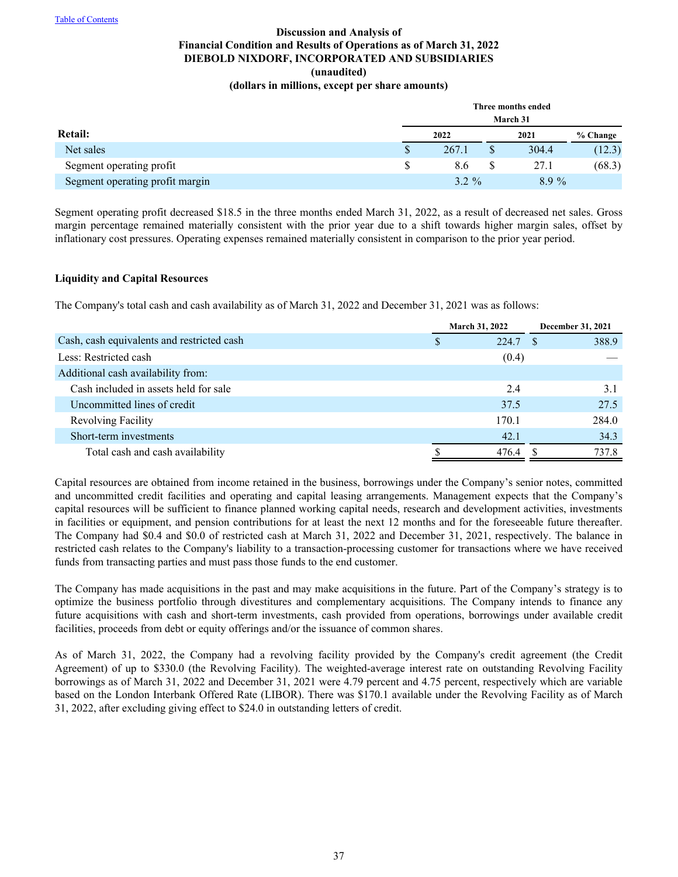|                                 |    | Three months ended |  |          |          |  |  |  |
|---------------------------------|----|--------------------|--|----------|----------|--|--|--|
|                                 |    |                    |  | March 31 |          |  |  |  |
| Retail:                         |    | 2022               |  | 2021     | % Change |  |  |  |
| Net sales                       | \$ | 267.1              |  | 304.4    | (12.3)   |  |  |  |
| Segment operating profit        | \$ | 8.6                |  | 27.1     | (68.3)   |  |  |  |
| Segment operating profit margin |    | $3.2 \%$           |  | $8.9\%$  |          |  |  |  |

Segment operating profit decreased \$18.5 in the three months ended March 31, 2022, as a result of decreased net sales. Gross margin percentage remained materially consistent with the prior year due to a shift towards higher margin sales, offset by inflationary cost pressures. Operating expenses remained materially consistent in comparison to the prior year period.

#### **Liquidity and Capital Resources**

The Company's total cash and cash availability as of March 31, 2022 and December 31, 2021 was as follows:

|                                            |   | <b>March 31, 2022</b> | December 31, 2021 |
|--------------------------------------------|---|-----------------------|-------------------|
| Cash, cash equivalents and restricted cash | S | 224.7 \$              | 388.9             |
| Less: Restricted cash                      |   | (0.4)                 |                   |
| Additional cash availability from:         |   |                       |                   |
| Cash included in assets held for sale      |   | 2.4                   | 3.1               |
| Uncommitted lines of credit                |   | 37.5                  | 27.5              |
| <b>Revolving Facility</b>                  |   | 170.1                 | 284.0             |
| Short-term investments                     |   | 42.1                  | 34.3              |
| Total cash and cash availability           |   | 476.4                 | 737.8             |

Capital resources are obtained from income retained in the business, borrowings under the Company's senior notes, committed and uncommitted credit facilities and operating and capital leasing arrangements. Management expects that the Company's capital resources will be sufficient to finance planned working capital needs, research and development activities, investments in facilities or equipment, and pension contributions for at least the next 12 months and for the foreseeable future thereafter. The Company had \$0.4 and \$0.0 of restricted cash at March 31, 2022 and December 31, 2021, respectively. The balance in restricted cash relates to the Company's liability to a transaction-processing customer for transactions where we have received funds from transacting parties and must pass those funds to the end customer.

The Company has made acquisitions in the past and may make acquisitions in the future. Part of the Company's strategy is to optimize the business portfolio through divestitures and complementary acquisitions. The Company intends to finance any future acquisitions with cash and short-term investments, cash provided from operations, borrowings under available credit facilities, proceeds from debt or equity offerings and/or the issuance of common shares.

As of March 31, 2022, the Company had a revolving facility provided by the Company's credit agreement (the Credit Agreement) of up to \$330.0 (the Revolving Facility). The weighted-average interest rate on outstanding Revolving Facility borrowings as of March 31, 2022 and December 31, 2021 were 4.79 percent and 4.75 percent, respectively which are variable based on the London Interbank Offered Rate (LIBOR). There was \$170.1 available under the Revolving Facility as of March 31, 2022, after excluding giving effect to \$24.0 in outstanding letters of credit.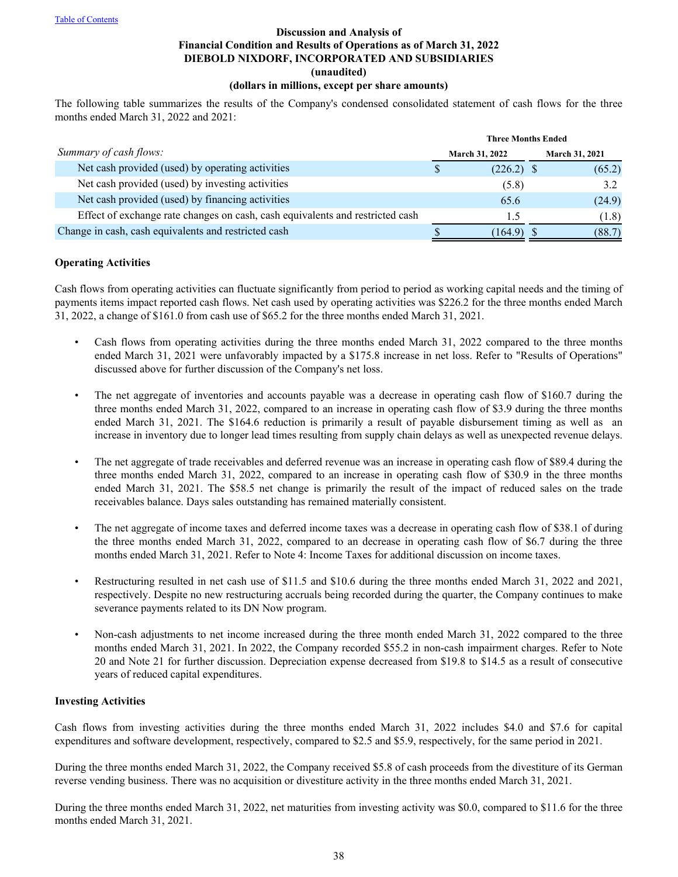# **Discussion and Analysis of Financial Condition and Results of Operations as of March 31, 2022 DIEBOLD NIXDORF, INCORPORATED AND SUBSIDIARIES (unaudited)**

# **(dollars in millions, except per share amounts)**

The following table summarizes the results of the Company's condensed consolidated statement of cash flows for the three months ended March 31, 2022 and 2021:

|                                                                               | <b>Three Months Ended</b> |                       |  |                |
|-------------------------------------------------------------------------------|---------------------------|-----------------------|--|----------------|
| Summary of cash flows:                                                        |                           | <b>March 31, 2022</b> |  | March 31, 2021 |
| Net cash provided (used) by operating activities                              |                           | $(226.2)$ \$          |  | (65.2)         |
| Net cash provided (used) by investing activities                              |                           | (5.8)                 |  | 3.2            |
| Net cash provided (used) by financing activities                              |                           | 65.6                  |  | (24.9)         |
| Effect of exchange rate changes on cash, cash equivalents and restricted cash |                           | 1.5                   |  | (1.8)          |
| Change in cash, cash equivalents and restricted cash                          |                           | (164.9)               |  | (88.7)         |

#### **Operating Activities**

Cash flows from operating activities can fluctuate significantly from period to period as working capital needs and the timing of payments items impact reported cash flows. Net cash used by operating activities was \$226.2 for the three months ended March 31, 2022, a change of \$161.0 from cash use of \$65.2 for the three months ended March 31, 2021.

- Cash flows from operating activities during the three months ended March 31, 2022 compared to the three months ended March 31, 2021 were unfavorably impacted by a \$175.8 increase in net loss. Refer to "Results of Operations" discussed above for further discussion of the Company's net loss.
- The net aggregate of inventories and accounts payable was a decrease in operating cash flow of \$160.7 during the three months ended March 31, 2022, compared to an increase in operating cash flow of \$3.9 during the three months ended March 31, 2021. The \$164.6 reduction is primarily a result of payable disbursement timing as well as an increase in inventory due to longer lead times resulting from supply chain delays as well as unexpected revenue delays.
- The net aggregate of trade receivables and deferred revenue was an increase in operating cash flow of \$89.4 during the three months ended March 31, 2022, compared to an increase in operating cash flow of \$30.9 in the three months ended March 31, 2021. The \$58.5 net change is primarily the result of the impact of reduced sales on the trade receivables balance. Days sales outstanding has remained materially consistent.
- The net aggregate of income taxes and deferred income taxes was a decrease in operating cash flow of \$38.1 of during the three months ended March 31, 2022, compared to an decrease in operating cash flow of \$6.7 during the three months ended March 31, 2021. Refer to Note 4: Income Taxes for additional discussion on income taxes.
- Restructuring resulted in net cash use of \$11.5 and \$10.6 during the three months ended March 31, 2022 and 2021, respectively. Despite no new restructuring accruals being recorded during the quarter, the Company continues to make severance payments related to its DN Now program.
- Non-cash adjustments to net income increased during the three month ended March 31, 2022 compared to the three months ended March 31, 2021. In 2022, the Company recorded \$55.2 in non-cash impairment charges. Refer to Note 20 and Note 21 for further discussion. Depreciation expense decreased from \$19.8 to \$14.5 as a result of consecutive years of reduced capital expenditures.

#### **Investing Activities**

Cash flows from investing activities during the three months ended March 31, 2022 includes \$4.0 and \$7.6 for capital expenditures and software development, respectively, compared to \$2.5 and \$5.9, respectively, for the same period in 2021.

During the three months ended March 31, 2022, the Company received \$5.8 of cash proceeds from the divestiture of its German reverse vending business. There was no acquisition or divestiture activity in the three months ended March 31, 2021.

During the three months ended March 31, 2022, net maturities from investing activity was \$0.0, compared to \$11.6 for the three months ended March 31, 2021.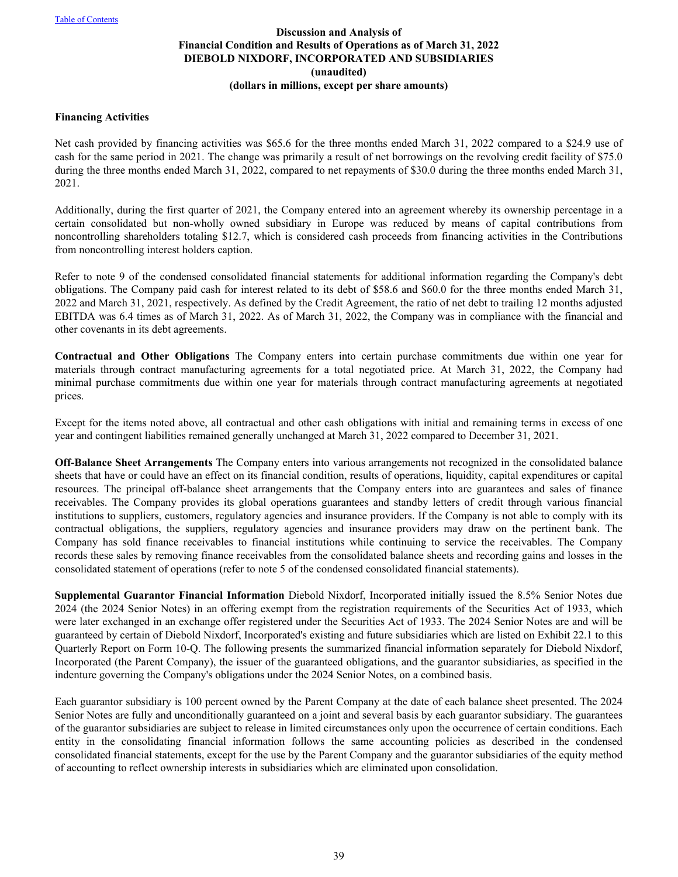#### **Financing Activities**

Net cash provided by financing activities was \$65.6 for the three months ended March 31, 2022 compared to a \$24.9 use of cash for the same period in 2021. The change was primarily a result of net borrowings on the revolving credit facility of \$75.0 during the three months ended March 31, 2022, compared to net repayments of \$30.0 during the three months ended March 31, 2021.

Additionally, during the first quarter of 2021, the Company entered into an agreement whereby its ownership percentage in a certain consolidated but non-wholly owned subsidiary in Europe was reduced by means of capital contributions from noncontrolling shareholders totaling \$12.7, which is considered cash proceeds from financing activities in the Contributions from noncontrolling interest holders caption.

Refer to note 9 of the condensed consolidated financial statements for additional information regarding the Company's debt obligations. The Company paid cash for interest related to its debt of \$58.6 and \$60.0 for the three months ended March 31, 2022 and March 31, 2021, respectively. As defined by the Credit Agreement, the ratio of net debt to trailing 12 months adjusted EBITDA was 6.4 times as of March 31, 2022. As of March 31, 2022, the Company was in compliance with the financial and other covenants in its debt agreements.

**Contractual and Other Obligations** The Company enters into certain purchase commitments due within one year for materials through contract manufacturing agreements for a total negotiated price. At March 31, 2022, the Company had minimal purchase commitments due within one year for materials through contract manufacturing agreements at negotiated prices.

Except for the items noted above, all contractual and other cash obligations with initial and remaining terms in excess of one year and contingent liabilities remained generally unchanged at March 31, 2022 compared to December 31, 2021.

**Off-Balance Sheet Arrangements** The Company enters into various arrangements not recognized in the consolidated balance sheets that have or could have an effect on its financial condition, results of operations, liquidity, capital expenditures or capital resources. The principal off-balance sheet arrangements that the Company enters into are guarantees and sales of finance receivables. The Company provides its global operations guarantees and standby letters of credit through various financial institutions to suppliers, customers, regulatory agencies and insurance providers. If the Company is not able to comply with its contractual obligations, the suppliers, regulatory agencies and insurance providers may draw on the pertinent bank. The Company has sold finance receivables to financial institutions while continuing to service the receivables. The Company records these sales by removing finance receivables from the consolidated balance sheets and recording gains and losses in the consolidated statement of operations (refer to note 5 of the condensed consolidated financial statements).

**Supplemental Guarantor Financial Information** Diebold Nixdorf, Incorporated initially issued the 8.5% Senior Notes due 2024 (the 2024 Senior Notes) in an offering exempt from the registration requirements of the Securities Act of 1933, which were later exchanged in an exchange offer registered under the Securities Act of 1933. The 2024 Senior Notes are and will be guaranteed by certain of Diebold Nixdorf, Incorporated's existing and future subsidiaries which are listed on Exhibit 22.1 to this Quarterly Report on Form 10-Q. The following presents the summarized financial information separately for Diebold Nixdorf, Incorporated (the Parent Company), the issuer of the guaranteed obligations, and the guarantor subsidiaries, as specified in the indenture governing the Company's obligations under the 2024 Senior Notes, on a combined basis.

Each guarantor subsidiary is 100 percent owned by the Parent Company at the date of each balance sheet presented. The 2024 Senior Notes are fully and unconditionally guaranteed on a joint and several basis by each guarantor subsidiary. The guarantees of the guarantor subsidiaries are subject to release in limited circumstances only upon the occurrence of certain conditions. Each entity in the consolidating financial information follows the same accounting policies as described in the condensed consolidated financial statements, except for the use by the Parent Company and the guarantor subsidiaries of the equity method of accounting to reflect ownership interests in subsidiaries which are eliminated upon consolidation.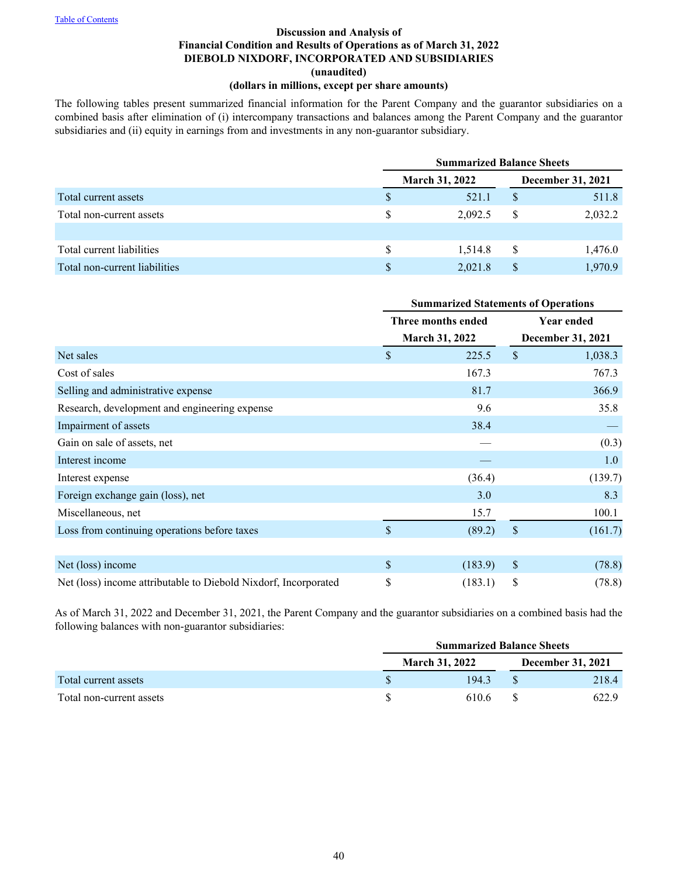# **Discussion and Analysis of Financial Condition and Results of Operations as of March 31, 2022 DIEBOLD NIXDORF, INCORPORATED AND SUBSIDIARIES (unaudited)**

# **(dollars in millions, except per share amounts)**

The following tables present summarized financial information for the Parent Company and the guarantor subsidiaries on a combined basis after elimination of (i) intercompany transactions and balances among the Parent Company and the guarantor subsidiaries and (ii) equity in earnings from and investments in any non-guarantor subsidiary.

|                               |               | <b>Summarized Balance Sheets</b> |   |         |  |
|-------------------------------|---------------|----------------------------------|---|---------|--|
|                               |               | <b>March 31, 2022</b>            |   |         |  |
| Total current assets          |               | 521.1                            |   | 511.8   |  |
| Total non-current assets      | <sup>\$</sup> | 2.092.5                          | S | 2,032.2 |  |
|                               |               |                                  |   |         |  |
| Total current liabilities     | S.            | 1.514.8                          | S | 1,476.0 |  |
| Total non-current liabilities |               | 2,021.8                          |   | 1.970.9 |  |

|                                                                 | <b>Summarized Statements of Operations</b>  |         |                                        |         |
|-----------------------------------------------------------------|---------------------------------------------|---------|----------------------------------------|---------|
|                                                                 | Three months ended<br><b>March 31, 2022</b> |         | Year ended<br><b>December 31, 2021</b> |         |
|                                                                 |                                             |         |                                        |         |
| Net sales                                                       | \$                                          | 225.5   | $\mathcal{S}$                          | 1,038.3 |
| Cost of sales                                                   |                                             | 167.3   |                                        | 767.3   |
| Selling and administrative expense                              |                                             | 81.7    |                                        | 366.9   |
| Research, development and engineering expense                   |                                             | 9.6     |                                        | 35.8    |
| Impairment of assets                                            |                                             | 38.4    |                                        |         |
| Gain on sale of assets, net                                     |                                             |         |                                        | (0.3)   |
| Interest income                                                 |                                             |         |                                        | 1.0     |
| Interest expense                                                |                                             | (36.4)  |                                        | (139.7) |
| Foreign exchange gain (loss), net                               |                                             | 3.0     |                                        | 8.3     |
| Miscellaneous, net                                              |                                             | 15.7    |                                        | 100.1   |
| Loss from continuing operations before taxes                    | $\mathbf{\hat{S}}$                          | (89.2)  | $\sqrt{\ }$                            | (161.7) |
|                                                                 |                                             |         |                                        |         |
| Net (loss) income                                               | $\mathsf{\$}$                               | (183.9) | $\$$                                   | (78.8)  |
| Net (loss) income attributable to Diebold Nixdorf, Incorporated | \$                                          | (183.1) | \$                                     | (78.8)  |

As of March 31, 2022 and December 31, 2021, the Parent Company and the guarantor subsidiaries on a combined basis had the following balances with non-guarantor subsidiaries:

|                          | <b>Summarized Balance Sheets</b> |  |                          |  |
|--------------------------|----------------------------------|--|--------------------------|--|
|                          | <b>March 31, 2022</b>            |  | <b>December 31, 2021</b> |  |
| Total current assets     | 194.3                            |  | 218.4                    |  |
| Total non-current assets | 610.6                            |  | 622.9                    |  |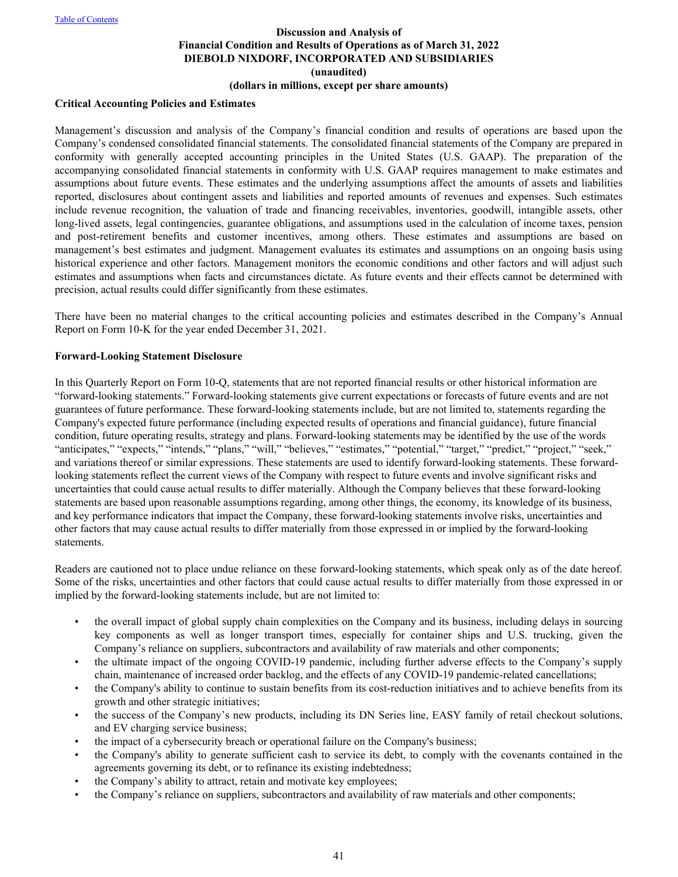# **Critical Accounting Policies and Estimates**

Management's discussion and analysis of the Company's financial condition and results of operations are based upon the Company's condensed consolidated financial statements. The consolidated financial statements of the Company are prepared in conformity with generally accepted accounting principles in the United States (U.S. GAAP). The preparation of the accompanying consolidated financial statements in conformity with U.S. GAAP requires management to make estimates and assumptions about future events. These estimates and the underlying assumptions affect the amounts of assets and liabilities reported, disclosures about contingent assets and liabilities and reported amounts of revenues and expenses. Such estimates include revenue recognition, the valuation of trade and financing receivables, inventories, goodwill, intangible assets, other long-lived assets, legal contingencies, guarantee obligations, and assumptions used in the calculation of income taxes, pension and post-retirement benefits and customer incentives, among others. These estimates and assumptions are based on management's best estimates and judgment. Management evaluates its estimates and assumptions on an ongoing basis using historical experience and other factors. Management monitors the economic conditions and other factors and will adjust such estimates and assumptions when facts and circumstances dictate. As future events and their effects cannot be determined with precision, actual results could differ significantly from these estimates.

There have been no material changes to the critical accounting policies and estimates described in the Company's Annual Report on Form 10-K for the year ended December 31, 2021.

#### **Forward-Looking Statement Disclosure**

In this Quarterly Report on Form 10-Q, statements that are not reported financial results or other historical information are "forward-looking statements." Forward-looking statements give current expectations or forecasts of future events and are not guarantees of future performance. These forward-looking statements include, but are not limited to, statements regarding the Company's expected future performance (including expected results of operations and financial guidance), future financial condition, future operating results, strategy and plans. Forward-looking statements may be identified by the use of the words "anticipates," "expects," "intends," "plans," "will," "believes," "estimates," "potential," "target," "predict," "project," "seek," and variations thereof or similar expressions. These statements are used to identify forward-looking statements. These forwardlooking statements reflect the current views of the Company with respect to future events and involve significant risks and uncertainties that could cause actual results to differ materially. Although the Company believes that these forward-looking statements are based upon reasonable assumptions regarding, among other things, the economy, its knowledge of its business, and key performance indicators that impact the Company, these forward-looking statements involve risks, uncertainties and other factors that may cause actual results to differ materially from those expressed in or implied by the forward-looking statements.

Readers are cautioned not to place undue reliance on these forward-looking statements, which speak only as of the date hereof. Some of the risks, uncertainties and other factors that could cause actual results to differ materially from those expressed in or implied by the forward-looking statements include, but are not limited to:

- the overall impact of global supply chain complexities on the Company and its business, including delays in sourcing key components as well as longer transport times, especially for container ships and U.S. trucking, given the Company's reliance on suppliers, subcontractors and availability of raw materials and other components;
- the ultimate impact of the ongoing COVID-19 pandemic, including further adverse effects to the Company's supply chain, maintenance of increased order backlog, and the effects of any COVID-19 pandemic-related cancellations;
- the Company's ability to continue to sustain benefits from its cost-reduction initiatives and to achieve benefits from its growth and other strategic initiatives;
- the success of the Company's new products, including its DN Series line, EASY family of retail checkout solutions, and EV charging service business;
- the impact of a cybersecurity breach or operational failure on the Company's business;
- the Company's ability to generate sufficient cash to service its debt, to comply with the covenants contained in the agreements governing its debt, or to refinance its existing indebtedness;
- the Company's ability to attract, retain and motivate key employees;
- the Company's reliance on suppliers, subcontractors and availability of raw materials and other components;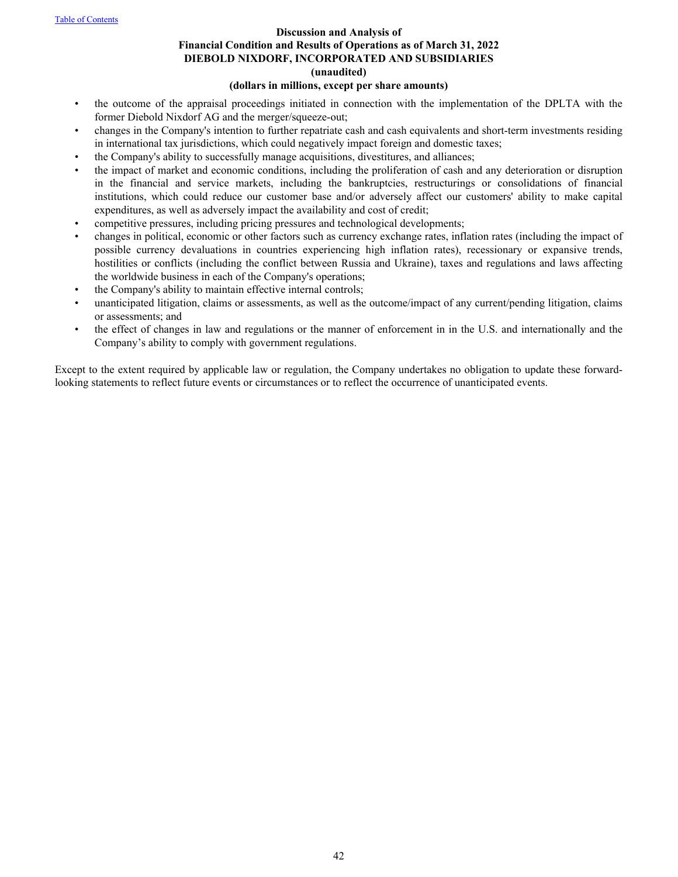#### **Discussion and Analysis of**

# **Financial Condition and Results of Operations as of March 31, 2022 DIEBOLD NIXDORF, INCORPORATED AND SUBSIDIARIES (unaudited)**

#### **(dollars in millions, except per share amounts)**

- the outcome of the appraisal proceedings initiated in connection with the implementation of the DPLTA with the former Diebold Nixdorf AG and the merger/squeeze-out;
- changes in the Company's intention to further repatriate cash and cash equivalents and short-term investments residing in international tax jurisdictions, which could negatively impact foreign and domestic taxes;
- the Company's ability to successfully manage acquisitions, divestitures, and alliances;
- the impact of market and economic conditions, including the proliferation of cash and any deterioration or disruption in the financial and service markets, including the bankruptcies, restructurings or consolidations of financial institutions, which could reduce our customer base and/or adversely affect our customers' ability to make capital expenditures, as well as adversely impact the availability and cost of credit;
- competitive pressures, including pricing pressures and technological developments;
- changes in political, economic or other factors such as currency exchange rates, inflation rates (including the impact of possible currency devaluations in countries experiencing high inflation rates), recessionary or expansive trends, hostilities or conflicts (including the conflict between Russia and Ukraine), taxes and regulations and laws affecting the worldwide business in each of the Company's operations;
- the Company's ability to maintain effective internal controls;
- unanticipated litigation, claims or assessments, as well as the outcome/impact of any current/pending litigation, claims or assessments; and
- the effect of changes in law and regulations or the manner of enforcement in in the U.S. and internationally and the Company's ability to comply with government regulations.

Except to the extent required by applicable law or regulation, the Company undertakes no obligation to update these forwardlooking statements to reflect future events or circumstances or to reflect the occurrence of unanticipated events.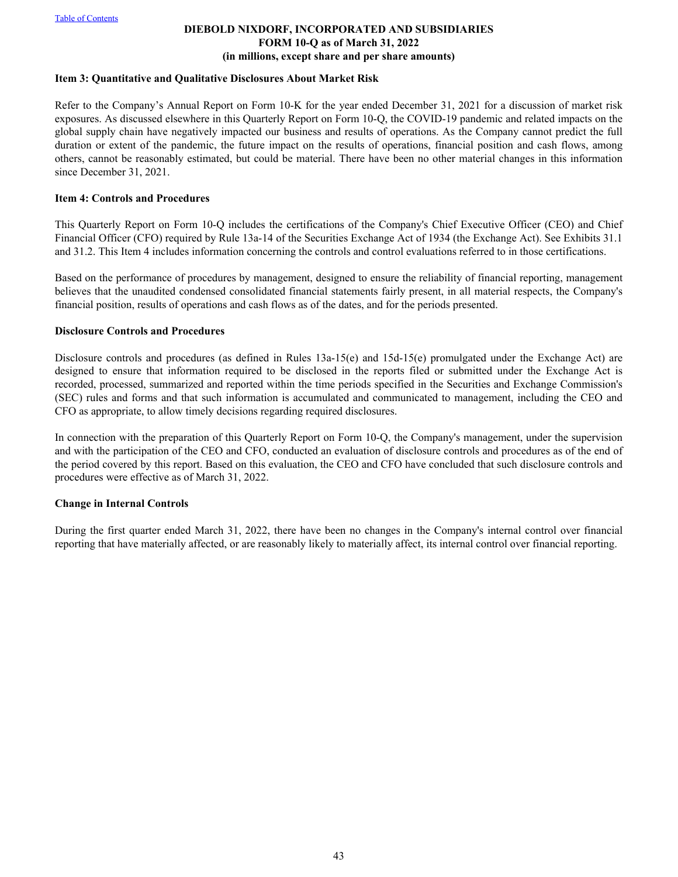#### **DIEBOLD NIXDORF, INCORPORATED AND SUBSIDIARIES FORM 10-Q as of March 31, 2022 (in millions, except share and per share amounts)**

#### <span id="page-42-0"></span>**Item 3: Quantitative and Qualitative Disclosures About Market Risk**

Refer to the Company's Annual Report on Form 10-K for the year ended December 31, 2021 for a discussion of market risk exposures. As discussed elsewhere in this Quarterly Report on Form 10-Q, the COVID-19 pandemic and related impacts on the global supply chain have negatively impacted our business and results of operations. As the Company cannot predict the full duration or extent of the pandemic, the future impact on the results of operations, financial position and cash flows, among others, cannot be reasonably estimated, but could be material. There have been no other material changes in this information since December 31, 2021.

#### **Item 4: Controls and Procedures**

This Quarterly Report on Form 10-Q includes the certifications of the Company's Chief Executive Officer (CEO) and Chief Financial Officer (CFO) required by Rule 13a-14 of the Securities Exchange Act of 1934 (the Exchange Act). See Exhibits 31.1 and 31.2. This Item 4 includes information concerning the controls and control evaluations referred to in those certifications.

Based on the performance of procedures by management, designed to ensure the reliability of financial reporting, management believes that the unaudited condensed consolidated financial statements fairly present, in all material respects, the Company's financial position, results of operations and cash flows as of the dates, and for the periods presented.

#### **Disclosure Controls and Procedures**

Disclosure controls and procedures (as defined in Rules 13a-15(e) and 15d-15(e) promulgated under the Exchange Act) are designed to ensure that information required to be disclosed in the reports filed or submitted under the Exchange Act is recorded, processed, summarized and reported within the time periods specified in the Securities and Exchange Commission's (SEC) rules and forms and that such information is accumulated and communicated to management, including the CEO and CFO as appropriate, to allow timely decisions regarding required disclosures.

In connection with the preparation of this Quarterly Report on Form 10-Q, the Company's management, under the supervision and with the participation of the CEO and CFO, conducted an evaluation of disclosure controls and procedures as of the end of the period covered by this report. Based on this evaluation, the CEO and CFO have concluded that such disclosure controls and procedures were effective as of March 31, 2022.

## **Change in Internal Controls**

During the first quarter ended March 31, 2022, there have been no changes in the Company's internal control over financial reporting that have materially affected, or are reasonably likely to materially affect, its internal control over financial reporting.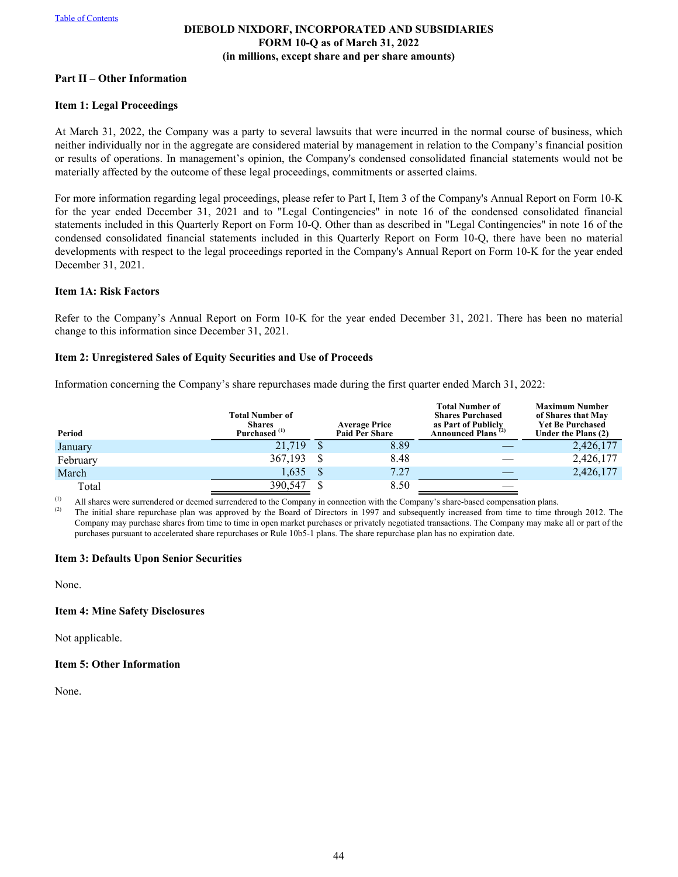## **DIEBOLD NIXDORF, INCORPORATED AND SUBSIDIARIES FORM 10-Q as of March 31, 2022 (in millions, except share and per share amounts)**

#### <span id="page-43-0"></span>**Part II – Other Information**

#### **Item 1: Legal Proceedings**

At March 31, 2022, the Company was a party to several lawsuits that were incurred in the normal course of business, which neither individually nor in the aggregate are considered material by management in relation to the Company's financial position or results of operations. In management's opinion, the Company's condensed consolidated financial statements would not be materially affected by the outcome of these legal proceedings, commitments or asserted claims.

For more information regarding legal proceedings, please refer to Part I, Item 3 of the Company's Annual Report on Form 10-K for the year ended December 31, 2021 and to "Legal Contingencies" in note 16 of the condensed consolidated financial statements included in this Quarterly Report on Form 10-Q. Other than as described in "Legal Contingencies" in note 16 of the condensed consolidated financial statements included in this Quarterly Report on Form 10-Q, there have been no material developments with respect to the legal proceedings reported in the Company's Annual Report on Form 10-K for the year ended December 31, 2021.

#### **Item 1A: Risk Factors**

Refer to the Company's Annual Report on Form 10-K for the year ended December 31, 2021. There has been no material change to this information since December 31, 2021.

#### **Item 2: Unregistered Sales of Equity Securities and Use of Proceeds**

Information concerning the Company's share repurchases made during the first quarter ended March 31, 2022:

| Period   | <b>Total Number of</b><br><b>Shares</b><br>Purchased <sup>(1)</sup> | <b>Average Price</b><br><b>Paid Per Share</b> | <b>Total Number of</b><br><b>Shares Purchased</b><br>as Part of Publicly<br>Announced Plans <sup>(2)</sup> | <b>Maximum Number</b><br>of Shares that May<br><b>Yet Be Purchased</b><br>Under the Plans (2) |
|----------|---------------------------------------------------------------------|-----------------------------------------------|------------------------------------------------------------------------------------------------------------|-----------------------------------------------------------------------------------------------|
| January  | 21.719                                                              | 8.89                                          |                                                                                                            | 2,426,177                                                                                     |
| February | 367,193                                                             | 8.48                                          |                                                                                                            | 2,426,177                                                                                     |
| March    | 1,635                                                               | 7.27                                          |                                                                                                            | 2,426,177                                                                                     |
| Total    | 390,547                                                             | 8.50                                          |                                                                                                            |                                                                                               |

(1) All shares were surrendered or deemed surrendered to the Company in connection with the Company's share-based compensation plans.

The initial share repurchase plan was approved by the Board of Directors in 1997 and subsequently increased from time to time through 2012. The Company may purchase shares from time to time in open market purchases or privately negotiated transactions. The Company may make all or part of the purchases pursuant to accelerated share repurchases or Rule 10b5-1 plans. The share repurchase plan has no expiration date.

#### **Item 3: Defaults Upon Senior Securities**

None.

#### **Item 4: Mine Safety Disclosures**

Not applicable.

#### **Item 5: Other Information**

None.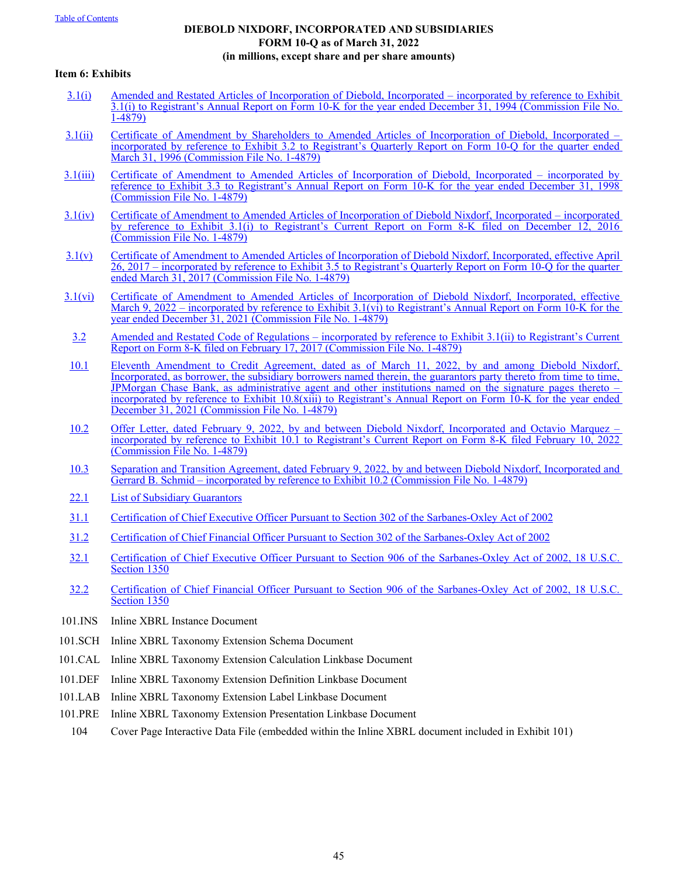# **DIEBOLD NIXDORF, INCORPORATED AND SUBSIDIARIES FORM 10-Q as of March 31, 2022 (in millions, except share and per share amounts)**

#### <span id="page-44-0"></span>**Item 6: Exhibits**

- [3.1\(i\)](http://www.sec.gov/Archives/edgar/data/28823/0000950152-95-000292.txt) [Amended and Restated Articles of Incorporation of Diebold, Incorporated incorporated by reference to Exhib](http://www.sec.gov/Archives/edgar/data/28823/0000950152-95-000292.txt)it [3.1\(i\) to Registrant's Annual Report on Form 10-K for the year ended December 31, 1994 \(Commission File No](http://www.sec.gov/Archives/edgar/data/28823/0000950152-95-000292.txt). [1-4879\)](http://www.sec.gov/Archives/edgar/data/28823/0000950152-95-000292.txt)
- [3.1\(ii\)](http://www.sec.gov/Archives/edgar/data/28823/0000950152-96-001930.txt) [Certificate of Amendment by Shareholders to Amended Articles of Incorporation of Diebold, Incorpora](http://www.sec.gov/Archives/edgar/data/28823/0000950152-96-001930.txt)ted [incorporated by reference to Exhibit 3.2 to Registrant's Quarterly Report on Form 10-Q for the quarter e](http://www.sec.gov/Archives/edgar/data/28823/0000950152-96-001930.txt)nded [March 31, 1996 \(Commission File No. 1-4879\)](http://www.sec.gov/Archives/edgar/data/28823/0000950152-96-001930.txt)
- [3.1\(iii\)](http://www.sec.gov/Archives/edgar/data/28823/0000950152-99-001688.txt) [Certificate of Amendment to Amended Articles of Incorporation of Diebold, Incorporated incorporate](http://www.sec.gov/Archives/edgar/data/28823/0000950152-99-001688.txt)d by [reference to Exhibit 3.3 to Registrant's Annual Report on Form 10-K for the year ended December 31,](http://www.sec.gov/Archives/edgar/data/28823/0000950152-99-001688.txt) 1998 [\(Commission File No. 1-4879\)](http://www.sec.gov/Archives/edgar/data/28823/0000950152-99-001688.txt)
- [3.1\(iv\)](http://www.sec.gov/Archives/edgar/data/28823/000119312516790181/d366434dex31i.htm) [Certificate of Amendment to Amended Articles of Incorporation of Diebold Nixdorf, Incorporated incorporated](http://www.sec.gov/Archives/edgar/data/28823/000119312516790181/d366434dex31i.htm) [by reference to Exhibit 3.1\(i\) to Registrant's Current Report on Form 8-K filed on Decembe](http://www.sec.gov/Archives/edgar/data/28823/000119312516790181/d366434dex31i.htm)r 12, 2016 [\(Commission File No. 1-4879\)](http://www.sec.gov/Archives/edgar/data/28823/000119312516790181/d366434dex31i.htm)
- [3.1\(v\)](http://www.sec.gov/Archives/edgar/data/28823/000002882317000090/dbd3312017ex35.htm) [Certificate of Amendment to Amended Articles of Incorporation of Diebold Nixdorf, Incorporated, effective April](http://www.sec.gov/Archives/edgar/data/28823/000002882317000090/dbd3312017ex35.htm)  [26, 2017 – incorporated by reference to Exhibit 3.5 to Registrant's Quarterly Report on Form 10-Q for the quarter](http://www.sec.gov/Archives/edgar/data/28823/000002882317000090/dbd3312017ex35.htm) [ended March 31, 2017 \(Commission File No. 1-4879\)](http://www.sec.gov/Archives/edgar/data/28823/000002882317000090/dbd3312017ex35.htm)
- [3.1\(vi\)](https://www.sec.gov/Archives/edgar/data/28823/000002882322000058/dbd12312021ex-31.htm) [Certificate of Amendment to Amended Articles of Incorporation of Diebold Nixdorf, Incorporated, effe](https://www.sec.gov/Archives/edgar/data/28823/000002882322000058/dbd12312021ex-31.htm)ctive [March 9, 2022 – incorporated by reference to Exhibit 3.1\(vi\) to Registrant's Annual Report on Form 10-K for the](https://www.sec.gov/Archives/edgar/data/28823/000002882322000058/dbd12312021ex-31.htm) [year ended December 31, 2021 \(Commission File No. 1-4879\)](https://www.sec.gov/Archives/edgar/data/28823/000002882322000058/dbd12312021ex-31.htm)
	- [3.2](http://www.sec.gov/Archives/edgar/data/28823/000002882317000046/ex31iiarcodeofregulat17c.htm) [Amended and Restated Code of Regulations incorporated by reference to Exhibit 3.1\(ii\) to Registrant's Curren](http://www.sec.gov/Archives/edgar/data/28823/000002882317000046/ex31iiarcodeofregulat17c.htm)t [Report on Form 8-K filed on February 17, 2017 \(Commission File No. 1-4879\)](http://www.sec.gov/Archives/edgar/data/28823/000002882317000046/ex31iiarcodeofregulat17c.htm)
- [10.1](https://www.sec.gov/Archives/edgar/data/28823/000002882322000058/dbd12312021ex-108xiii.htm) [Eleventh Amendment to Credit Agreement, dated as of March 11, 2022, by and among Diebold](https://www.sec.gov/Archives/edgar/data/28823/000002882322000058/dbd12312021ex-108xiii.htm) Nixdorf, [Incorporated, as borrower, the subsidiary borrowers named therein, the guarantors party thereto from time to time,](https://www.sec.gov/Archives/edgar/data/28823/000002882322000058/dbd12312021ex-108xiii.htm)  [JPMorgan Chase Bank, as administrative agent and other institutions named on the signature pages ther](https://www.sec.gov/Archives/edgar/data/28823/000002882322000058/dbd12312021ex-108xiii.htm)eto – [incorporated by reference to Exhibit 10.8\(xiii\) to Registrant's Annual Report on Form 10-K for the year en](https://www.sec.gov/Archives/edgar/data/28823/000002882322000058/dbd12312021ex-108xiii.htm)ded [December 31, 2021 \(Commission File No. 1-4879\)](https://www.sec.gov/Archives/edgar/data/28823/000002882322000058/dbd12312021ex-108xiii.htm)
- [10.2](https://www.sec.gov/Archives/edgar/data/0000028823/000002882322000038/ex101.htm) [Offer Letter, dated February 9, 2022, by and between Diebold Nixdorf, Incorporated and Octavio Marqu](https://www.sec.gov/Archives/edgar/data/0000028823/000002882322000038/ex101.htm)ez [incorporated by reference to Exhibit 10.1 to Registrant's Current Report on Form 8-K filed February 10, 2](https://www.sec.gov/Archives/edgar/data/0000028823/000002882322000038/ex101.htm)022 [\(Commission File No. 1-4879\)](https://www.sec.gov/Archives/edgar/data/0000028823/000002882322000038/ex101.htm)
- [10.3](https://www.sec.gov/Archives/edgar/data/0000028823/000002882322000038/ex102.htm) [Separation and Transition Agreement, dated February 9, 2022, by and between Diebold Nixdorf, Incorporated and](https://www.sec.gov/Archives/edgar/data/0000028823/000002882322000038/ex102.htm)  [Gerrard B. Schmid – incorporated by reference to Exhibit 10.2 \(Commission File No. 1-4879\)](https://www.sec.gov/Archives/edgar/data/0000028823/000002882322000038/ex102.htm)
- 22.1 List of Subsidiary Guarantors
- 31.1 Certification of Chief Executive Officer Pursuant to Section 302 of the Sarbanes-Oxley Act of 2002
- 31.2 Certification of Chief Financial Officer Pursuant to Section 302 of the Sarbanes-Oxley Act of 2002
- 32.1 Certification of Chief Executive Officer Pursuant to Section 906 of the Sarbanes-Oxley Act of 2002, 18 U.S.C. Section 1350
- 32.2 Certification of Chief Financial Officer Pursuant to Section 906 of the Sarbanes-Oxley Act of 2002, 18 U.S.C. Section 1350
- 101.INS Inline XBRL Instance Document
- 101.SCH Inline XBRL Taxonomy Extension Schema Document
- 101.CAL Inline XBRL Taxonomy Extension Calculation Linkbase Document
- 101.DEF Inline XBRL Taxonomy Extension Definition Linkbase Document
- 101.LAB Inline XBRL Taxonomy Extension Label Linkbase Document
- 101.PRE Inline XBRL Taxonomy Extension Presentation Linkbase Document
- 104 Cover Page Interactive Data File (embedded within the Inline XBRL document included in Exhibit 101)